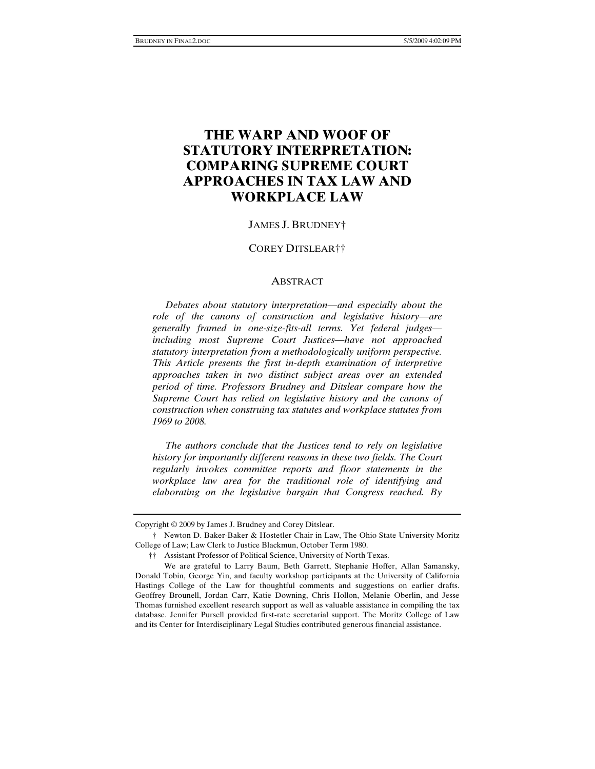# **THE WARP AND WOOF OF STATUTORY INTERPRETATION: COMPARING SUPREME COURT APPROACHES IN TAX LAW AND WORKPLACE LAW**

#### JAMES J. BRUDNEY†

#### COREY DITSLEAR††

#### ABSTRACT

 *Debates about statutory interpretation—and especially about the role of the canons of construction and legislative history—are generally framed in one-size-fits-all terms. Yet federal judges including most Supreme Court Justices—have not approached statutory interpretation from a methodologically uniform perspective. This Article presents the first in-depth examination of interpretive approaches taken in two distinct subject areas over an extended period of time. Professors Brudney and Ditslear compare how the Supreme Court has relied on legislative history and the canons of construction when construing tax statutes and workplace statutes from 1969 to 2008.* 

 *The authors conclude that the Justices tend to rely on legislative history for importantly different reasons in these two fields. The Court regularly invokes committee reports and floor statements in the workplace law area for the traditional role of identifying and elaborating on the legislative bargain that Congress reached. By* 

Copyright © 2009 by James J. Brudney and Corey Ditslear.

 <sup>†</sup> Newton D. Baker-Baker & Hostetler Chair in Law, The Ohio State University Moritz College of Law; Law Clerk to Justice Blackmun, October Term 1980.

 <sup>††</sup> Assistant Professor of Political Science, University of North Texas.

We are grateful to Larry Baum, Beth Garrett, Stephanie Hoffer, Allan Samansky, Donald Tobin, George Yin, and faculty workshop participants at the University of California Hastings College of the Law for thoughtful comments and suggestions on earlier drafts. Geoffrey Brounell, Jordan Carr, Katie Downing, Chris Hollon, Melanie Oberlin, and Jesse Thomas furnished excellent research support as well as valuable assistance in compiling the tax database. Jennifer Pursell provided first-rate secretarial support. The Moritz College of Law and its Center for Interdisciplinary Legal Studies contributed generous financial assistance.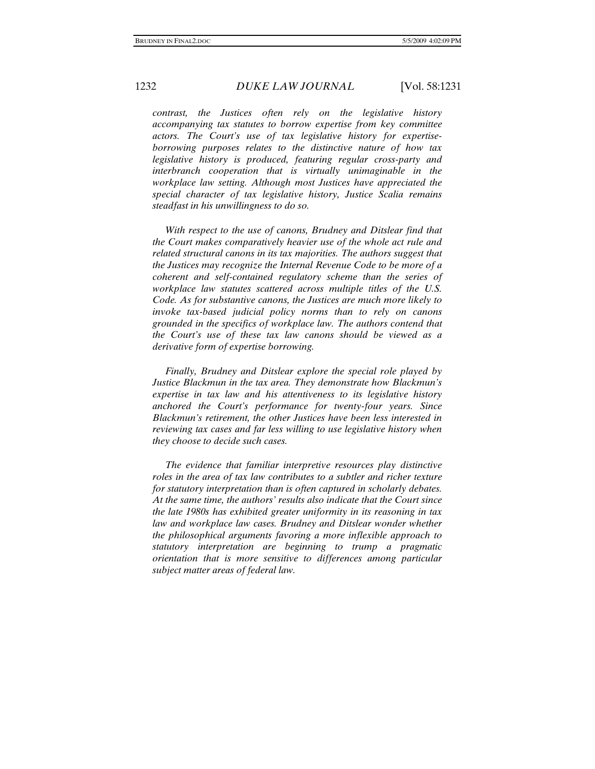*contrast, the Justices often rely on the legislative history accompanying tax statutes to borrow expertise from key committee actors. The Court's use of tax legislative history for expertiseborrowing purposes relates to the distinctive nature of how tax legislative history is produced, featuring regular cross-party and interbranch cooperation that is virtually unimaginable in the workplace law setting. Although most Justices have appreciated the special character of tax legislative history, Justice Scalia remains steadfast in his unwillingness to do so.* 

 *With respect to the use of canons, Brudney and Ditslear find that the Court makes comparatively heavier use of the whole act rule and related structural canons in its tax majorities. The authors suggest that the Justices may recognize the Internal Revenue Code to be more of a coherent and self-contained regulatory scheme than the series of workplace law statutes scattered across multiple titles of the U.S. Code. As for substantive canons, the Justices are much more likely to invoke tax-based judicial policy norms than to rely on canons grounded in the specifics of workplace law. The authors contend that the Court's use of these tax law canons should be viewed as a derivative form of expertise borrowing.* 

 *Finally, Brudney and Ditslear explore the special role played by Justice Blackmun in the tax area. They demonstrate how Blackmun's expertise in tax law and his attentiveness to its legislative history anchored the Court's performance for twenty-four years. Since Blackmun's retirement, the other Justices have been less interested in reviewing tax cases and far less willing to use legislative history when they choose to decide such cases.* 

 *The evidence that familiar interpretive resources play distinctive roles in the area of tax law contributes to a subtler and richer texture for statutory interpretation than is often captured in scholarly debates. At the same time, the authors' results also indicate that the Court since the late 1980s has exhibited greater uniformity in its reasoning in tax law and workplace law cases. Brudney and Ditslear wonder whether the philosophical arguments favoring a more inflexible approach to statutory interpretation are beginning to trump a pragmatic orientation that is more sensitive to differences among particular subject matter areas of federal law.*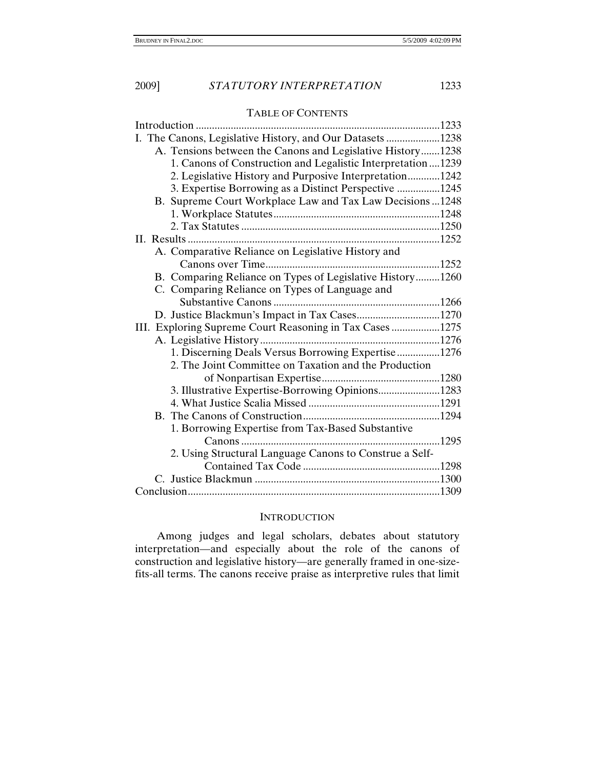## TABLE OF CONTENTS

| Introduction                                                |  |
|-------------------------------------------------------------|--|
| I. The Canons, Legislative History, and Our Datasets 1238   |  |
| A. Tensions between the Canons and Legislative History1238  |  |
| 1. Canons of Construction and Legalistic Interpretation1239 |  |
| 2. Legislative History and Purposive Interpretation1242     |  |
| 3. Expertise Borrowing as a Distinct Perspective 1245       |  |
| B. Supreme Court Workplace Law and Tax Law Decisions  1248  |  |
|                                                             |  |
|                                                             |  |
|                                                             |  |
| A. Comparative Reliance on Legislative History and          |  |
|                                                             |  |
| B. Comparing Reliance on Types of Legislative History1260   |  |
| C. Comparing Reliance on Types of Language and              |  |
|                                                             |  |
|                                                             |  |
| III. Exploring Supreme Court Reasoning in Tax Cases 1275    |  |
|                                                             |  |
| 1. Discerning Deals Versus Borrowing Expertise1276          |  |
| 2. The Joint Committee on Taxation and the Production       |  |
|                                                             |  |
| 3. Illustrative Expertise-Borrowing Opinions1283            |  |
|                                                             |  |
|                                                             |  |
| 1. Borrowing Expertise from Tax-Based Substantive           |  |
|                                                             |  |
| 2. Using Structural Language Canons to Construe a Self-     |  |
|                                                             |  |
|                                                             |  |
|                                                             |  |

# **INTRODUCTION**

Among judges and legal scholars, debates about statutory interpretation—and especially about the role of the canons of construction and legislative history—are generally framed in one-sizefits-all terms. The canons receive praise as interpretive rules that limit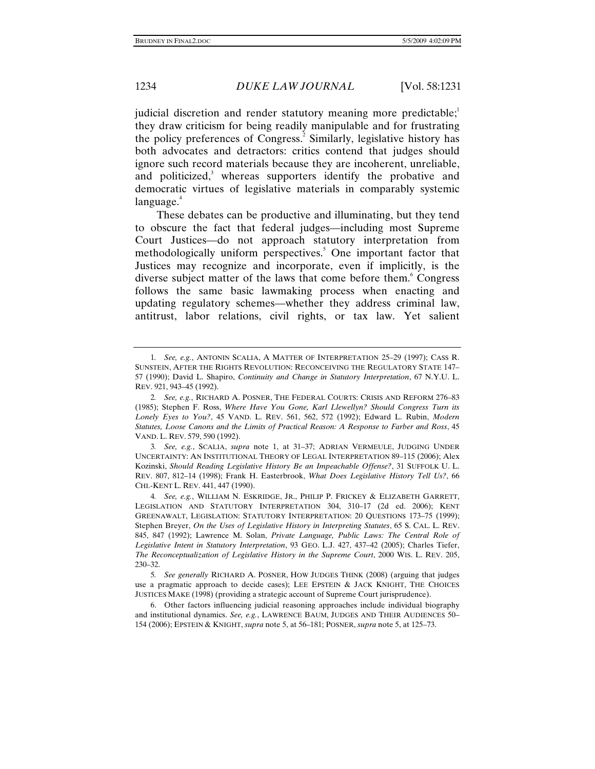judicial discretion and render statutory meaning more predictable; $\frac{1}{2}$ they draw criticism for being readily manipulable and for frustrating the policy preferences of Congress.<sup>2</sup> Similarly, legislative history has both advocates and detractors: critics contend that judges should ignore such record materials because they are incoherent, unreliable, and politicized,<sup>3</sup> whereas supporters identify the probative and democratic virtues of legislative materials in comparably systemic  $language.<sup>4</sup>$ 

These debates can be productive and illuminating, but they tend to obscure the fact that federal judges—including most Supreme Court Justices—do not approach statutory interpretation from methodologically uniform perspectives.<sup>5</sup> One important factor that Justices may recognize and incorporate, even if implicitly, is the diverse subject matter of the laws that come before them.<sup>6</sup> Congress follows the same basic lawmaking process when enacting and updating regulatory schemes—whether they address criminal law, antitrust, labor relations, civil rights, or tax law. Yet salient

<sup>1</sup>*. See, e.g.*, ANTONIN SCALIA, A MATTER OF INTERPRETATION 25–29 (1997); CASS R. SUNSTEIN, AFTER THE RIGHTS REVOLUTION: RECONCEIVING THE REGULATORY STATE 147– 57 (1990); David L. Shapiro, *Continuity and Change in Statutory Interpretation*, 67 N.Y.U. L. REV. 921, 943–45 (1992).

<sup>2</sup>*. See, e.g.*, RICHARD A. POSNER, THE FEDERAL COURTS: CRISIS AND REFORM 276–83 (1985); Stephen F. Ross, *Where Have You Gone, Karl Llewellyn? Should Congress Turn its Lonely Eyes to You?*, 45 VAND. L. REV. 561, 562, 572 (1992); Edward L. Rubin, *Modern Statutes, Loose Canons and the Limits of Practical Reason: A Response to Farber and Ross*, 45 VAND. L. REV. 579, 590 (1992).

<sup>3</sup>*. See, e.g.*, SCALIA, *supra* note 1, at 31–37; ADRIAN VERMEULE, JUDGING UNDER UNCERTAINTY: AN INSTITUTIONAL THEORY OF LEGAL INTERPRETATION 89–115 (2006); Alex Kozinski, *Should Reading Legislative History Be an Impeachable Offense?*, 31 SUFFOLK U. L. REV. 807, 812–14 (1998); Frank H. Easterbrook, *What Does Legislative History Tell Us?*, 66 CHI.-KENT L. REV. 441, 447 (1990).

<sup>4</sup>*. See, e.g.*, WILLIAM N. ESKRIDGE, JR., PHILIP P. FRICKEY & ELIZABETH GARRETT, LEGISLATION AND STATUTORY INTERPRETATION 304, 310–17 (2d ed. 2006); KENT GREENAWALT, LEGISLATION: STATUTORY INTERPRETATION: 20 QUESTIONS 173–75 (1999); Stephen Breyer, *On the Uses of Legislative History in Interpreting Statutes*, 65 S. CAL. L. REV. 845, 847 (1992); Lawrence M. Solan, *Private Language, Public Laws: The Central Role of Legislative Intent in Statutory Interpretation*, 93 GEO. L.J. 427, 437–42 (2005); Charles Tiefer, *The Reconceptualization of Legislative History in the Supreme Court*, 2000 WIS. L. REV. 205, 230–32.

<sup>5</sup>*. See generally* RICHARD A. POSNER, HOW JUDGES THINK (2008) (arguing that judges use a pragmatic approach to decide cases); LEE EPSTEIN & JACK KNIGHT, THE CHOICES JUSTICES MAKE (1998) (providing a strategic account of Supreme Court jurisprudence).

 <sup>6.</sup> Other factors influencing judicial reasoning approaches include individual biography and institutional dynamics. *See, e.g.*, LAWRENCE BAUM, JUDGES AND THEIR AUDIENCES 50– 154 (2006); EPSTEIN & KNIGHT, *supra* note 5, at 56–181; POSNER, *supra* note 5, at 125–73.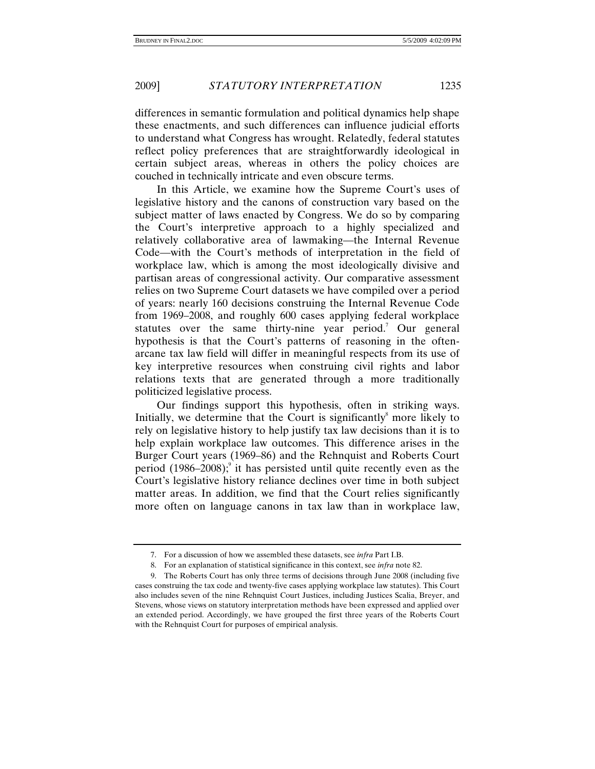differences in semantic formulation and political dynamics help shape these enactments, and such differences can influence judicial efforts to understand what Congress has wrought. Relatedly, federal statutes reflect policy preferences that are straightforwardly ideological in certain subject areas, whereas in others the policy choices are couched in technically intricate and even obscure terms.

In this Article, we examine how the Supreme Court's uses of legislative history and the canons of construction vary based on the subject matter of laws enacted by Congress. We do so by comparing the Court's interpretive approach to a highly specialized and relatively collaborative area of lawmaking—the Internal Revenue Code—with the Court's methods of interpretation in the field of workplace law, which is among the most ideologically divisive and partisan areas of congressional activity. Our comparative assessment relies on two Supreme Court datasets we have compiled over a period of years: nearly 160 decisions construing the Internal Revenue Code from 1969–2008, and roughly 600 cases applying federal workplace statutes over the same thirty-nine year period.<sup>7</sup> Our general hypothesis is that the Court's patterns of reasoning in the oftenarcane tax law field will differ in meaningful respects from its use of key interpretive resources when construing civil rights and labor relations texts that are generated through a more traditionally politicized legislative process.

Our findings support this hypothesis, often in striking ways. Initially, we determine that the Court is significantly $\delta$  more likely to rely on legislative history to help justify tax law decisions than it is to help explain workplace law outcomes. This difference arises in the Burger Court years (1969–86) and the Rehnquist and Roberts Court period  $(1986-2008)$ ; it has persisted until quite recently even as the Court's legislative history reliance declines over time in both subject matter areas. In addition, we find that the Court relies significantly more often on language canons in tax law than in workplace law,

 <sup>7.</sup> For a discussion of how we assembled these datasets, see *infra* Part I.B.

 <sup>8.</sup> For an explanation of statistical significance in this context, see *infra* note 82.

 <sup>9.</sup> The Roberts Court has only three terms of decisions through June 2008 (including five cases construing the tax code and twenty-five cases applying workplace law statutes). This Court also includes seven of the nine Rehnquist Court Justices, including Justices Scalia, Breyer, and Stevens, whose views on statutory interpretation methods have been expressed and applied over an extended period. Accordingly, we have grouped the first three years of the Roberts Court with the Rehnquist Court for purposes of empirical analysis.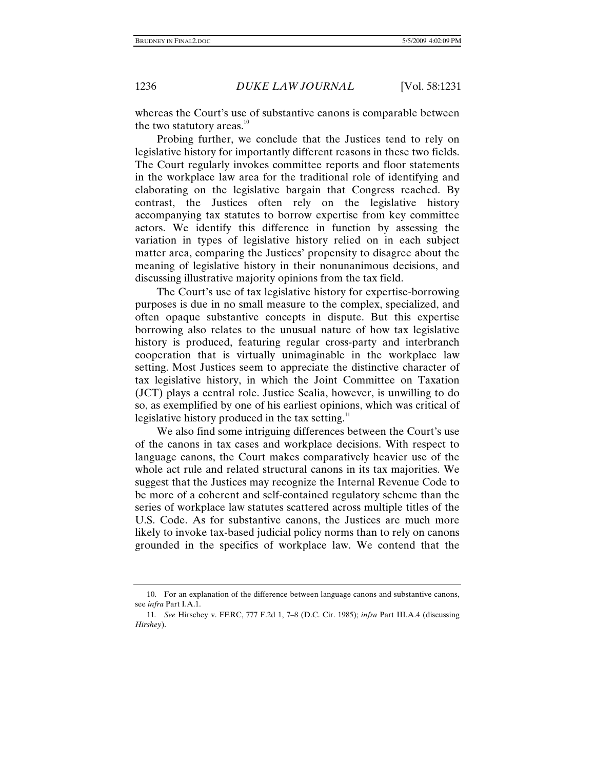whereas the Court's use of substantive canons is comparable between the two statutory areas. $10<sup>10</sup>$ 

Probing further, we conclude that the Justices tend to rely on legislative history for importantly different reasons in these two fields. The Court regularly invokes committee reports and floor statements in the workplace law area for the traditional role of identifying and elaborating on the legislative bargain that Congress reached. By contrast, the Justices often rely on the legislative history accompanying tax statutes to borrow expertise from key committee actors. We identify this difference in function by assessing the variation in types of legislative history relied on in each subject matter area, comparing the Justices' propensity to disagree about the meaning of legislative history in their nonunanimous decisions, and discussing illustrative majority opinions from the tax field.

The Court's use of tax legislative history for expertise-borrowing purposes is due in no small measure to the complex, specialized, and often opaque substantive concepts in dispute. But this expertise borrowing also relates to the unusual nature of how tax legislative history is produced, featuring regular cross-party and interbranch cooperation that is virtually unimaginable in the workplace law setting. Most Justices seem to appreciate the distinctive character of tax legislative history, in which the Joint Committee on Taxation (JCT) plays a central role. Justice Scalia, however, is unwilling to do so, as exemplified by one of his earliest opinions, which was critical of legislative history produced in the tax setting.<sup>11</sup>

We also find some intriguing differences between the Court's use of the canons in tax cases and workplace decisions. With respect to language canons, the Court makes comparatively heavier use of the whole act rule and related structural canons in its tax majorities. We suggest that the Justices may recognize the Internal Revenue Code to be more of a coherent and self-contained regulatory scheme than the series of workplace law statutes scattered across multiple titles of the U.S. Code. As for substantive canons, the Justices are much more likely to invoke tax-based judicial policy norms than to rely on canons grounded in the specifics of workplace law. We contend that the

 <sup>10.</sup> For an explanation of the difference between language canons and substantive canons, see *infra* Part I.A.1.

<sup>11</sup>*. See* Hirschey v. FERC, 777 F.2d 1, 7–8 (D.C. Cir. 1985); *infra* Part III.A.4 (discussing *Hirshey*).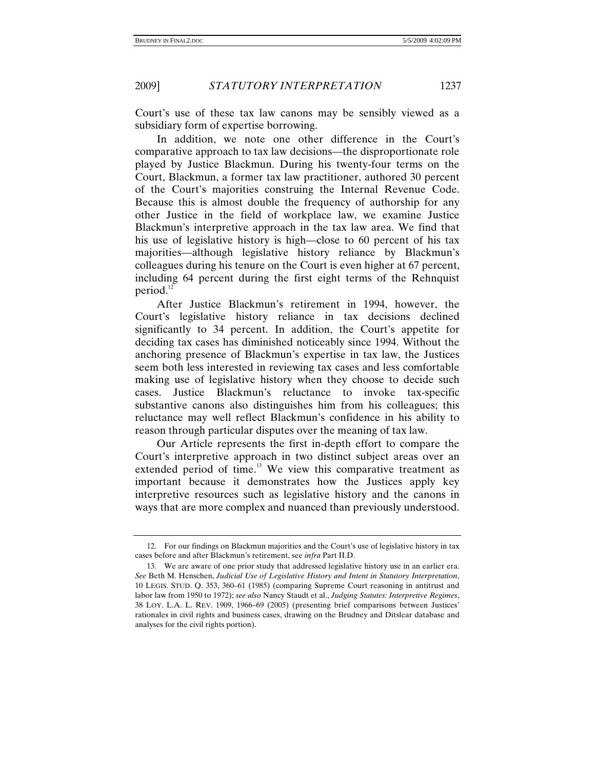Court's use of these tax law canons may be sensibly viewed as a subsidiary form of expertise borrowing.

In addition, we note one other difference in the Court's comparative approach to tax law decisions—the disproportionate role played by Justice Blackmun. During his twenty-four terms on the Court, Blackmun, a former tax law practitioner, authored 30 percent of the Court's majorities construing the Internal Revenue Code. Because this is almost double the frequency of authorship for any other Justice in the field of workplace law, we examine Justice Blackmun's interpretive approach in the tax law area. We find that his use of legislative history is high—close to 60 percent of his tax majorities—although legislative history reliance by Blackmun's colleagues during his tenure on the Court is even higher at 67 percent, including 64 percent during the first eight terms of the Rehnquist period. $12$ 

After Justice Blackmun's retirement in 1994, however, the Court's legislative history reliance in tax decisions declined significantly to 34 percent. In addition, the Court's appetite for deciding tax cases has diminished noticeably since 1994. Without the anchoring presence of Blackmun's expertise in tax law, the Justices seem both less interested in reviewing tax cases and less comfortable making use of legislative history when they choose to decide such cases. Justice Blackmun's reluctance to invoke tax-specific substantive canons also distinguishes him from his colleagues; this reluctance may well reflect Blackmun's confidence in his ability to reason through particular disputes over the meaning of tax law.

Our Article represents the first in-depth effort to compare the Court's interpretive approach in two distinct subject areas over an extended period of time.<sup>13</sup> We view this comparative treatment as important because it demonstrates how the Justices apply key interpretive resources such as legislative history and the canons in ways that are more complex and nuanced than previously understood.

 <sup>12.</sup> For our findings on Blackmun majorities and the Court's use of legislative history in tax cases before and after Blackmun's retirement, see *infra* Part II.D.

 <sup>13.</sup> We are aware of one prior study that addressed legislative history use in an earlier era. *See* Beth M. Henschen, *Judicial Use of Legislative History and Intent in Statutory Interpretation*, 10 LEGIS. STUD. Q. 353, 360–61 (1985) (comparing Supreme Court reasoning in antitrust and labor law from 1950 to 1972); *see also* Nancy Staudt et al., *Judging Statutes: Interpretive Regimes*, 38 LOY. L.A. L. REV. 1909, 1966–69 (2005) (presenting brief comparisons between Justices' rationales in civil rights and business cases, drawing on the Brudney and Ditslear database and analyses for the civil rights portion).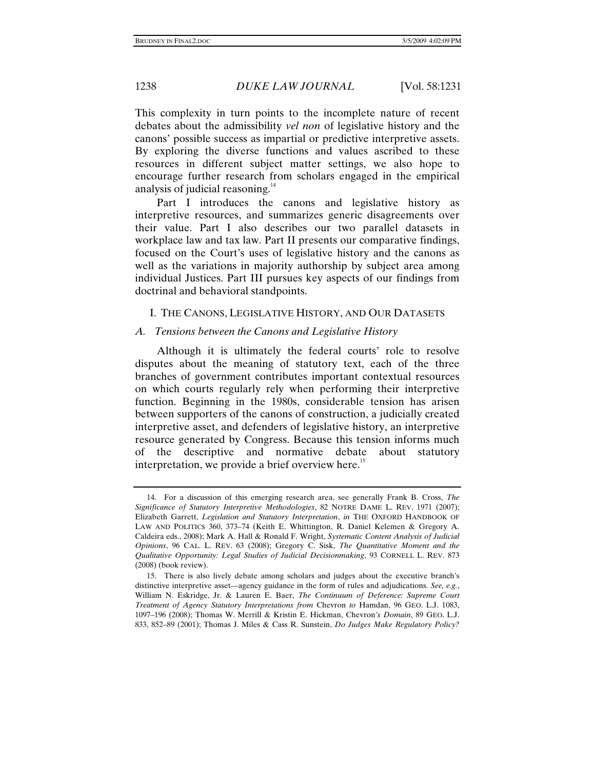This complexity in turn points to the incomplete nature of recent debates about the admissibility *vel non* of legislative history and the canons' possible success as impartial or predictive interpretive assets. By exploring the diverse functions and values ascribed to these resources in different subject matter settings, we also hope to encourage further research from scholars engaged in the empirical analysis of judicial reasoning.<sup>14</sup>

Part I introduces the canons and legislative history as interpretive resources, and summarizes generic disagreements over their value. Part I also describes our two parallel datasets in workplace law and tax law. Part II presents our comparative findings, focused on the Court's uses of legislative history and the canons as well as the variations in majority authorship by subject area among individual Justices. Part III pursues key aspects of our findings from doctrinal and behavioral standpoints.

#### I. THE CANONS, LEGISLATIVE HISTORY, AND OUR DATASETS

#### *A. Tensions between the Canons and Legislative History*

Although it is ultimately the federal courts' role to resolve disputes about the meaning of statutory text, each of the three branches of government contributes important contextual resources on which courts regularly rely when performing their interpretive function. Beginning in the 1980s, considerable tension has arisen between supporters of the canons of construction, a judicially created interpretive asset, and defenders of legislative history, an interpretive resource generated by Congress. Because this tension informs much of the descriptive and normative debate about statutory interpretation, we provide a brief overview here.<sup>15</sup>

 <sup>14.</sup> For a discussion of this emerging research area, see generally Frank B. Cross, *The Significance of Statutory Interpretive Methodologies*, 82 NOTRE DAME L. REV. 1971 (2007); Elizabeth Garrett, *Legislation and Statutory Interpretation*, *in* THE OXFORD HANDBOOK OF LAW AND POLITICS 360, 373–74 (Keith E. Whittington, R. Daniel Kelemen & Gregory A. Caldeira eds., 2008); Mark A. Hall & Ronald F. Wright, *Systematic Content Analysis of Judicial Opinions*, 96 CAL. L. REV. 63 (2008); Gregory C. Sisk, *The Quantitative Moment and the Qualitative Opportunity: Legal Studies of Judicial Decisionmaking*, 93 CORNELL L. REV. 873 (2008) (book review).

 <sup>15.</sup> There is also lively debate among scholars and judges about the executive branch's distinctive interpretive asset—agency guidance in the form of rules and adjudications. *See, e.g.*, William N. Eskridge, Jr. & Lauren E. Baer, *The Continuum of Deference: Supreme Court Treatment of Agency Statutory Interpretations from* Chevron *to* Hamdan, 96 GEO. L.J. 1083, 1097–196 (2008); Thomas W. Merrill & Kristin E. Hickman, Chevron*'s Domain*, 89 GEO. L.J. 833, 852–89 (2001); Thomas J. Miles & Cass R. Sunstein, *Do Judges Make Regulatory Policy?*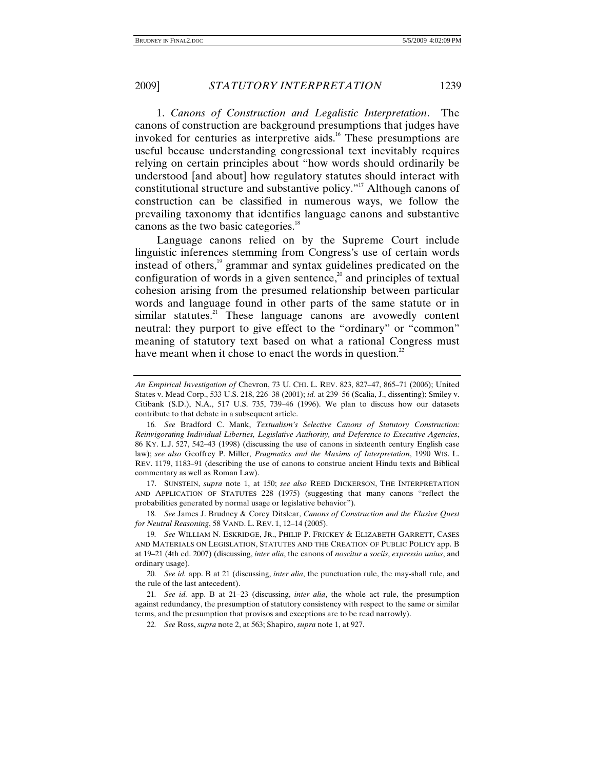1. *Canons of Construction and Legalistic Interpretation*. The canons of construction are background presumptions that judges have invoked for centuries as interpretive aids.<sup>16</sup> These presumptions are useful because understanding congressional text inevitably requires relying on certain principles about "how words should ordinarily be understood [and about] how regulatory statutes should interact with constitutional structure and substantive policy."<sup>17</sup> Although canons of construction can be classified in numerous ways, we follow the prevailing taxonomy that identifies language canons and substantive canons as the two basic categories.<sup>18</sup>

Language canons relied on by the Supreme Court include linguistic inferences stemming from Congress's use of certain words instead of others,<sup>19</sup> grammar and syntax guidelines predicated on the configuration of words in a given sentence,<sup>20</sup> and principles of textual cohesion arising from the presumed relationship between particular words and language found in other parts of the same statute or in similar statutes.<sup>21</sup> These language canons are avowedly content neutral: they purport to give effect to the "ordinary" or "common" meaning of statutory text based on what a rational Congress must have meant when it chose to enact the words in question.<sup>22</sup>

 17. SUNSTEIN, *supra* note 1, at 150; *see also* REED DICKERSON, THE INTERPRETATION AND APPLICATION OF STATUTES 228 (1975) (suggesting that many canons "reflect the probabilities generated by normal usage or legislative behavior").

18*. See* James J. Brudney & Corey Ditslear, *Canons of Construction and the Elusive Quest for Neutral Reasoning*, 58 VAND. L. REV. 1, 12–14 (2005).

20*. See id.* app. B at 21 (discussing, *inter alia*, the punctuation rule, the may-shall rule, and the rule of the last antecedent).

21*. See id.* app. B at 21–23 (discussing, *inter alia*, the whole act rule, the presumption against redundancy, the presumption of statutory consistency with respect to the same or similar terms, and the presumption that provisos and exceptions are to be read narrowly).

22*. See* Ross, *supra* note 2, at 563; Shapiro, *supra* note 1, at 927.

*An Empirical Investigation of* Chevron, 73 U. CHI. L. REV. 823, 827–47, 865–71 (2006); United States v. Mead Corp., 533 U.S. 218, 226–38 (2001); *id.* at 239–56 (Scalia, J., dissenting); Smiley v. Citibank (S.D.), N.A., 517 U.S. 735, 739–46 (1996). We plan to discuss how our datasets contribute to that debate in a subsequent article.

<sup>16</sup>*. See* Bradford C. Mank, *Textualism's Selective Canons of Statutory Construction: Reinvigorating Individual Liberties, Legislative Authority, and Deference to Executive Agencies*, 86 KY. L.J. 527, 542–43 (1998) (discussing the use of canons in sixteenth century English case law); *see also* Geoffrey P. Miller, *Pragmatics and the Maxims of Interpretation*, 1990 WIS. L. REV. 1179, 1183–91 (describing the use of canons to construe ancient Hindu texts and Biblical commentary as well as Roman Law).

<sup>19</sup>*. See* WILLIAM N. ESKRIDGE, JR., PHILIP P. FRICKEY & ELIZABETH GARRETT, CASES AND MATERIALS ON LEGISLATION, STATUTES AND THE CREATION OF PUBLIC POLICY app. B at 19–21 (4th ed. 2007) (discussing, *inter alia*, the canons of *noscitur a sociis*, *expressio unius*, and ordinary usage).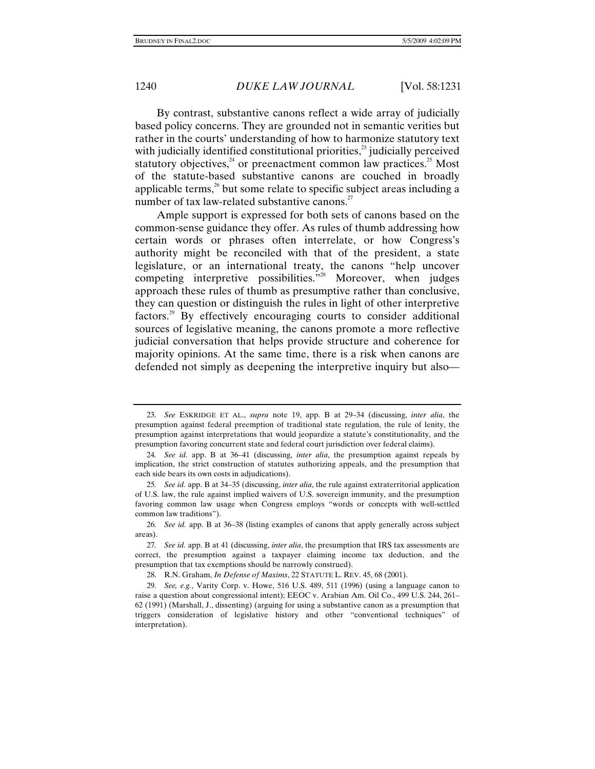By contrast, substantive canons reflect a wide array of judicially based policy concerns. They are grounded not in semantic verities but rather in the courts' understanding of how to harmonize statutory text with judicially identified constitutional priorities, $^{23}$  judicially perceived statutory objectives, $24$  or preenactment common law practices.<sup>25</sup> Most of the statute-based substantive canons are couched in broadly applicable terms, $26$  but some relate to specific subject areas including a number of tax law-related substantive canons. $^{27}$ 

Ample support is expressed for both sets of canons based on the common-sense guidance they offer. As rules of thumb addressing how certain words or phrases often interrelate, or how Congress's authority might be reconciled with that of the president, a state legislature, or an international treaty, the canons "help uncover competing interpretive possibilities.<sup>"28</sup> Moreover, when judges approach these rules of thumb as presumptive rather than conclusive, they can question or distinguish the rules in light of other interpretive factors.29 By effectively encouraging courts to consider additional sources of legislative meaning, the canons promote a more reflective judicial conversation that helps provide structure and coherence for majority opinions. At the same time, there is a risk when canons are defended not simply as deepening the interpretive inquiry but also—

<sup>23</sup>*. See* ESKRIDGE ET AL., *supra* note 19, app. B at 29–34 (discussing, *inter alia*, the presumption against federal preemption of traditional state regulation, the rule of lenity, the presumption against interpretations that would jeopardize a statute's constitutionality, and the presumption favoring concurrent state and federal court jurisdiction over federal claims).

<sup>24</sup>*. See id.* app. B at 36–41 (discussing, *inter alia*, the presumption against repeals by implication, the strict construction of statutes authorizing appeals, and the presumption that each side bears its own costs in adjudications).

<sup>25</sup>*. See id.* app. B at 34–35 (discussing, *inter alia*, the rule against extraterritorial application of U.S. law, the rule against implied waivers of U.S. sovereign immunity, and the presumption favoring common law usage when Congress employs "words or concepts with well-settled common law traditions").

<sup>26</sup>*. See id.* app. B at 36–38 (listing examples of canons that apply generally across subject areas).

<sup>27</sup>*. See id.* app. B at 41 (discussing, *inter alia*, the presumption that IRS tax assessments are correct, the presumption against a taxpayer claiming income tax deduction, and the presumption that tax exemptions should be narrowly construed).

 <sup>28.</sup> R.N. Graham, *In Defense of Maxims*, 22 STATUTE L. REV. 45, 68 (2001).

<sup>29</sup>*. See, e.g.*, Varity Corp. v. Howe, 516 U.S. 489, 511 (1996) (using a language canon to raise a question about congressional intent); EEOC v. Arabian Am. Oil Co., 499 U.S. 244, 261– 62 (1991) (Marshall, J., dissenting) (arguing for using a substantive canon as a presumption that triggers consideration of legislative history and other "conventional techniques" of interpretation).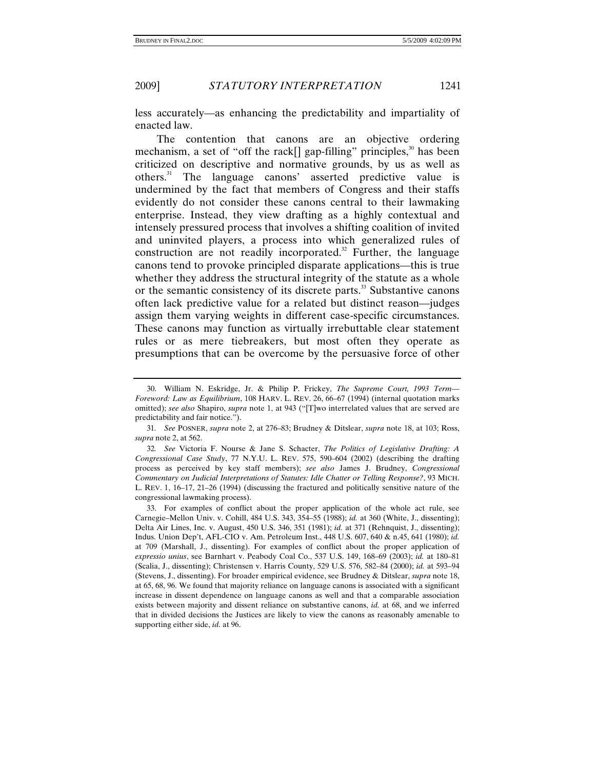less accurately—as enhancing the predictability and impartiality of enacted law.

The contention that canons are an objective ordering mechanism, a set of "off the rack[] gap-filling" principles, $30$  has been criticized on descriptive and normative grounds, by us as well as others.<sup>31</sup> The language canons' asserted predictive value is undermined by the fact that members of Congress and their staffs evidently do not consider these canons central to their lawmaking enterprise. Instead, they view drafting as a highly contextual and intensely pressured process that involves a shifting coalition of invited and uninvited players, a process into which generalized rules of construction are not readily incorporated. $32$  Further, the language canons tend to provoke principled disparate applications—this is true whether they address the structural integrity of the statute as a whole or the semantic consistency of its discrete parts.<sup>33</sup> Substantive canons often lack predictive value for a related but distinct reason—judges assign them varying weights in different case-specific circumstances. These canons may function as virtually irrebuttable clear statement rules or as mere tiebreakers, but most often they operate as presumptions that can be overcome by the persuasive force of other

 <sup>30.</sup> William N. Eskridge, Jr. & Philip P. Frickey, *The Supreme Court, 1993 Term— Foreword: Law as Equilibrium*, 108 HARV. L. REV. 26, 66–67 (1994) (internal quotation marks omitted); *see also* Shapiro, *supra* note 1, at 943 ("[T]wo interrelated values that are served are predictability and fair notice.").

<sup>31</sup>*. See* POSNER, *supra* note 2, at 276–83; Brudney & Ditslear, *supra* note 18, at 103; Ross, *supra* note 2, at 562.

<sup>32</sup>*. See* Victoria F. Nourse & Jane S. Schacter, *The Politics of Legislative Drafting: A Congressional Case Study*, 77 N.Y.U. L. REV. 575, 590–604 (2002) (describing the drafting process as perceived by key staff members); *see also* James J. Brudney, *Congressional Commentary on Judicial Interpretations of Statutes: Idle Chatter or Telling Response?*, 93 MICH. L. REV. 1, 16–17, 21–26 (1994) (discussing the fractured and politically sensitive nature of the congressional lawmaking process).

 <sup>33.</sup> For examples of conflict about the proper application of the whole act rule, see Carnegie–Mellon Univ. v. Cohill, 484 U.S. 343, 354–55 (1988); *id.* at 360 (White, J., dissenting); Delta Air Lines, Inc. v. August, 450 U.S. 346, 351 (1981); *id.* at 371 (Rehnquist, J., dissenting); Indus. Union Dep't, AFL-CIO v. Am. Petroleum Inst., 448 U.S. 607, 640 & n.45, 641 (1980); *id.* at 709 (Marshall, J., dissenting). For examples of conflict about the proper application of *expressio unius*, see Barnhart v. Peabody Coal Co., 537 U.S. 149, 168–69 (2003); *id.* at 180–81 (Scalia, J., dissenting); Christensen v. Harris County, 529 U.S. 576, 582–84 (2000); *id.* at 593–94 (Stevens, J., dissenting). For broader empirical evidence, see Brudney & Ditslear, *supra* note 18, at 65, 68, 96. We found that majority reliance on language canons is associated with a significant increase in dissent dependence on language canons as well and that a comparable association exists between majority and dissent reliance on substantive canons, *id.* at 68, and we inferred that in divided decisions the Justices are likely to view the canons as reasonably amenable to supporting either side, *id.* at 96.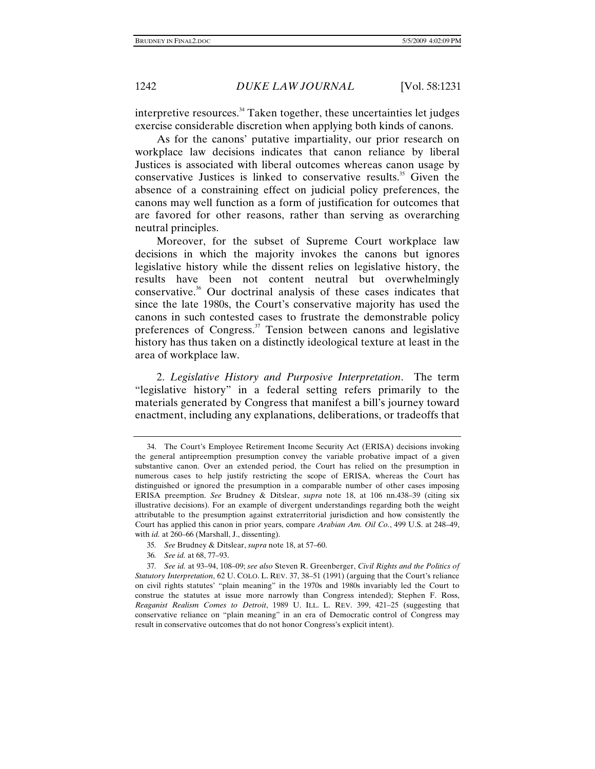interpretive resources.<sup>34</sup> Taken together, these uncertainties let judges exercise considerable discretion when applying both kinds of canons.

As for the canons' putative impartiality, our prior research on workplace law decisions indicates that canon reliance by liberal Justices is associated with liberal outcomes whereas canon usage by conservative Justices is linked to conservative results.<sup>35</sup> Given the absence of a constraining effect on judicial policy preferences, the canons may well function as a form of justification for outcomes that are favored for other reasons, rather than serving as overarching neutral principles.

Moreover, for the subset of Supreme Court workplace law decisions in which the majority invokes the canons but ignores legislative history while the dissent relies on legislative history, the results have been not content neutral but overwhelmingly conservative.36 Our doctrinal analysis of these cases indicates that since the late 1980s, the Court's conservative majority has used the canons in such contested cases to frustrate the demonstrable policy preferences of Congress.<sup>37</sup> Tension between canons and legislative history has thus taken on a distinctly ideological texture at least in the area of workplace law.

2. *Legislative History and Purposive Interpretation*. The term "legislative history" in a federal setting refers primarily to the materials generated by Congress that manifest a bill's journey toward enactment, including any explanations, deliberations, or tradeoffs that

- 35*. See* Brudney & Ditslear, *supra* note 18, at 57–60.
- 36*. See id.* at 68, 77–93.

 <sup>34.</sup> The Court's Employee Retirement Income Security Act (ERISA) decisions invoking the general antipreemption presumption convey the variable probative impact of a given substantive canon. Over an extended period, the Court has relied on the presumption in numerous cases to help justify restricting the scope of ERISA, whereas the Court has distinguished or ignored the presumption in a comparable number of other cases imposing ERISA preemption. *See* Brudney & Ditslear, *supra* note 18, at 106 nn.438–39 (citing six illustrative decisions). For an example of divergent understandings regarding both the weight attributable to the presumption against extraterritorial jurisdiction and how consistently the Court has applied this canon in prior years, compare *Arabian Am. Oil Co.*, 499 U.S. at 248–49, with *id.* at 260–66 (Marshall, J., dissenting).

<sup>37</sup>*. See id.* at 93–94, 108–09; *see also* Steven R. Greenberger, *Civil Rights and the Politics of Statutory Interpretation*, 62 U. COLO. L. REV. 37, 38–51 (1991) (arguing that the Court's reliance on civil rights statutes' "plain meaning" in the 1970s and 1980s invariably led the Court to construe the statutes at issue more narrowly than Congress intended); Stephen F. Ross, *Reaganist Realism Comes to Detroit*, 1989 U. ILL. L. REV. 399, 421–25 (suggesting that conservative reliance on "plain meaning" in an era of Democratic control of Congress may result in conservative outcomes that do not honor Congress's explicit intent).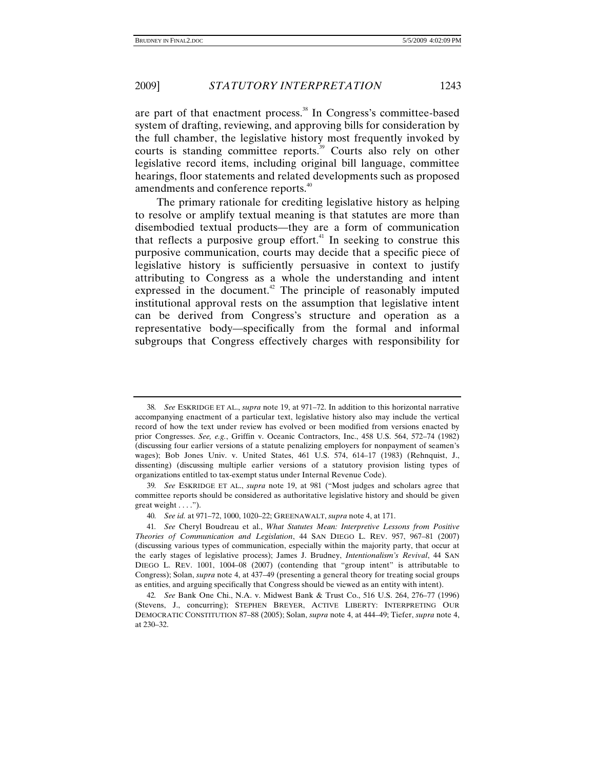are part of that enactment process. $38$  In Congress's committee-based system of drafting, reviewing, and approving bills for consideration by the full chamber, the legislative history most frequently invoked by courts is standing committee reports.<sup>39</sup> Courts also rely on other legislative record items, including original bill language, committee hearings, floor statements and related developments such as proposed amendments and conference reports.<sup>40</sup>

The primary rationale for crediting legislative history as helping to resolve or amplify textual meaning is that statutes are more than disembodied textual products—they are a form of communication that reflects a purposive group effort.<sup>41</sup> In seeking to construe this purposive communication, courts may decide that a specific piece of legislative history is sufficiently persuasive in context to justify attributing to Congress as a whole the understanding and intent expressed in the document.<sup>42</sup> The principle of reasonably imputed institutional approval rests on the assumption that legislative intent can be derived from Congress's structure and operation as a representative body—specifically from the formal and informal subgroups that Congress effectively charges with responsibility for

<sup>38</sup>*. See* ESKRIDGE ET AL., *supra* note 19, at 971–72. In addition to this horizontal narrative accompanying enactment of a particular text, legislative history also may include the vertical record of how the text under review has evolved or been modified from versions enacted by prior Congresses. *See, e.g.*, Griffin v. Oceanic Contractors, Inc., 458 U.S. 564, 572–74 (1982) (discussing four earlier versions of a statute penalizing employers for nonpayment of seamen's wages); Bob Jones Univ. v. United States, 461 U.S. 574, 614–17 (1983) (Rehnquist, J., dissenting) (discussing multiple earlier versions of a statutory provision listing types of organizations entitled to tax-exempt status under Internal Revenue Code).

<sup>39</sup>*. See* ESKRIDGE ET AL., *supra* note 19, at 981 ("Most judges and scholars agree that committee reports should be considered as authoritative legislative history and should be given great weight . . . .").

<sup>40</sup>*. See id.* at 971–72, 1000, 1020–22; GREENAWALT, *supra* note 4, at 171.

<sup>41</sup>*. See* Cheryl Boudreau et al., *What Statutes Mean: Interpretive Lessons from Positive Theories of Communication and Legislation*, 44 SAN DIEGO L. REV. 957, 967–81 (2007) (discussing various types of communication, especially within the majority party, that occur at the early stages of legislative process); James J. Brudney, *Intentionalism's Revival*, 44 SAN DIEGO L. REV. 1001, 1004–08 (2007) (contending that "group intent" is attributable to Congress); Solan, *supra* note 4, at 437–49 (presenting a general theory for treating social groups as entities, and arguing specifically that Congress should be viewed as an entity with intent).

<sup>42</sup>*. See* Bank One Chi., N.A. v. Midwest Bank & Trust Co., 516 U.S. 264, 276–77 (1996) (Stevens, J., concurring); STEPHEN BREYER, ACTIVE LIBERTY: INTERPRETING OUR DEMOCRATIC CONSTITUTION 87–88 (2005); Solan, *supra* note 4, at 444–49; Tiefer, *supra* note 4, at 230–32.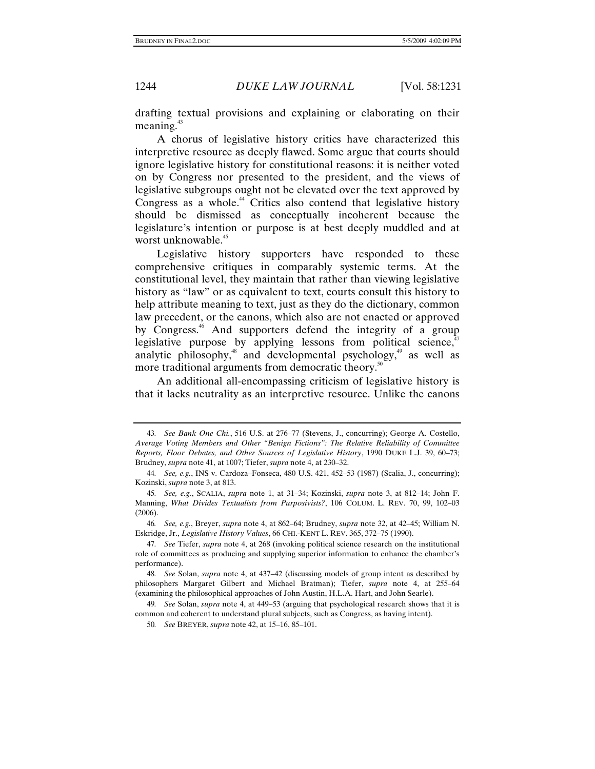drafting textual provisions and explaining or elaborating on their meaning.<sup>43</sup>

A chorus of legislative history critics have characterized this interpretive resource as deeply flawed. Some argue that courts should ignore legislative history for constitutional reasons: it is neither voted on by Congress nor presented to the president, and the views of legislative subgroups ought not be elevated over the text approved by Congress as a whole.<sup>44</sup> Critics also contend that legislative history should be dismissed as conceptually incoherent because the legislature's intention or purpose is at best deeply muddled and at worst unknowable.<sup>45</sup>

Legislative history supporters have responded to these comprehensive critiques in comparably systemic terms. At the constitutional level, they maintain that rather than viewing legislative history as "law" or as equivalent to text, courts consult this history to help attribute meaning to text, just as they do the dictionary, common law precedent, or the canons, which also are not enacted or approved by Congress.<sup>46</sup> And supporters defend the integrity of a group legislative purpose by applying lessons from political science, $\alpha$ <sup>4</sup> analytic philosophy,<sup>48</sup> and developmental psychology,<sup>49</sup> as well as more traditional arguments from democratic theory.<sup>50</sup>

An additional all-encompassing criticism of legislative history is that it lacks neutrality as an interpretive resource. Unlike the canons

<sup>43</sup>*. See Bank One Chi.*, 516 U.S. at 276–77 (Stevens, J., concurring); George A. Costello, *Average Voting Members and Other "Benign Fictions": The Relative Reliability of Committee Reports, Floor Debates, and Other Sources of Legislative History*, 1990 DUKE L.J. 39, 60–73; Brudney, *supra* note 41, at 1007; Tiefer, *supra* note 4, at 230–32.

<sup>44</sup>*. See, e.g.*, INS v. Cardoza–Fonseca, 480 U.S. 421, 452–53 (1987) (Scalia, J., concurring); Kozinski, *supra* note 3, at 813.

<sup>45</sup>*. See, e.g.*, SCALIA, *supra* note 1, at 31–34; Kozinski, *supra* note 3, at 812–14; John F. Manning, *What Divides Textualists from Purposivists?*, 106 COLUM. L. REV. 70, 99, 102–03 (2006).

<sup>46</sup>*. See, e.g.*, Breyer, *supra* note 4, at 862–64; Brudney, *supra* note 32, at 42–45; William N. Eskridge, Jr., *Legislative History Values*, 66 CHI.-KENT L. REV. 365, 372–75 (1990).

<sup>47</sup>*. See* Tiefer, *supra* note 4, at 268 (invoking political science research on the institutional role of committees as producing and supplying superior information to enhance the chamber's performance).

<sup>48</sup>*. See* Solan, *supra* note 4, at 437–42 (discussing models of group intent as described by philosophers Margaret Gilbert and Michael Bratman); Tiefer, *supra* note 4, at 255–64 (examining the philosophical approaches of John Austin, H.L.A. Hart, and John Searle).

<sup>49</sup>*. See* Solan, *supra* note 4, at 449–53 (arguing that psychological research shows that it is common and coherent to understand plural subjects, such as Congress, as having intent).

<sup>50</sup>*. See* BREYER, *supra* note 42, at 15–16, 85–101.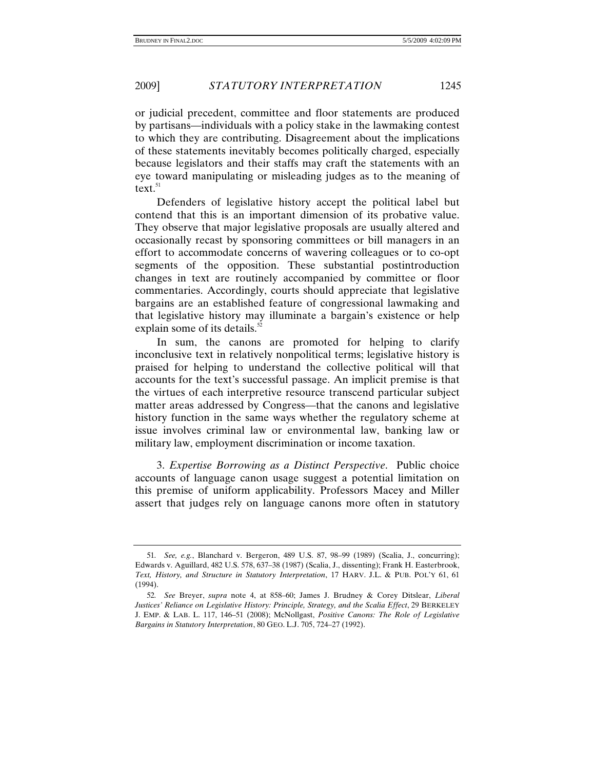or judicial precedent, committee and floor statements are produced by partisans—individuals with a policy stake in the lawmaking contest to which they are contributing. Disagreement about the implications of these statements inevitably becomes politically charged, especially because legislators and their staffs may craft the statements with an eye toward manipulating or misleading judges as to the meaning of text. $51$ 

Defenders of legislative history accept the political label but contend that this is an important dimension of its probative value. They observe that major legislative proposals are usually altered and occasionally recast by sponsoring committees or bill managers in an effort to accommodate concerns of wavering colleagues or to co-opt segments of the opposition. These substantial postintroduction changes in text are routinely accompanied by committee or floor commentaries. Accordingly, courts should appreciate that legislative bargains are an established feature of congressional lawmaking and that legislative history may illuminate a bargain's existence or help explain some of its details. $52$ 

In sum, the canons are promoted for helping to clarify inconclusive text in relatively nonpolitical terms; legislative history is praised for helping to understand the collective political will that accounts for the text's successful passage. An implicit premise is that the virtues of each interpretive resource transcend particular subject matter areas addressed by Congress—that the canons and legislative history function in the same ways whether the regulatory scheme at issue involves criminal law or environmental law, banking law or military law, employment discrimination or income taxation.

3. *Expertise Borrowing as a Distinct Perspective*. Public choice accounts of language canon usage suggest a potential limitation on this premise of uniform applicability. Professors Macey and Miller assert that judges rely on language canons more often in statutory

<sup>51</sup>*. See, e.g.*, Blanchard v. Bergeron, 489 U.S. 87, 98–99 (1989) (Scalia, J., concurring); Edwards v. Aguillard, 482 U.S. 578, 637–38 (1987) (Scalia, J., dissenting); Frank H. Easterbrook, *Text, History, and Structure in Statutory Interpretation*, 17 HARV. J.L. & PUB. POL'Y 61, 61 (1994).

<sup>52</sup>*. See* Breyer, *supra* note 4, at 858–60; James J. Brudney & Corey Ditslear, *Liberal Justices' Reliance on Legislative History: Principle, Strategy, and the Scalia Effect*, 29 BERKELEY J. EMP. & LAB. L. 117, 146–51 (2008); McNollgast, *Positive Canons: The Role of Legislative Bargains in Statutory Interpretation*, 80 GEO. L.J. 705, 724–27 (1992).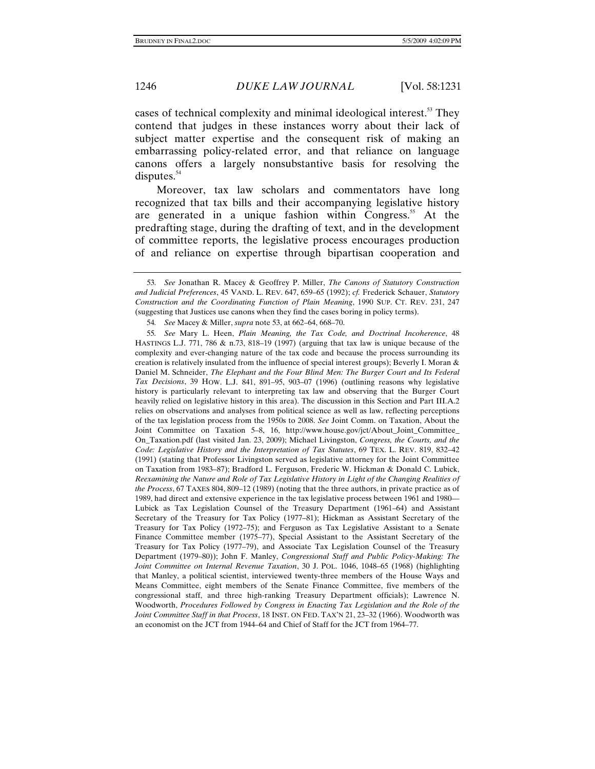cases of technical complexity and minimal ideological interest.<sup>53</sup> They contend that judges in these instances worry about their lack of subject matter expertise and the consequent risk of making an embarrassing policy-related error, and that reliance on language canons offers a largely nonsubstantive basis for resolving the disputes. $54$ 

Moreover, tax law scholars and commentators have long recognized that tax bills and their accompanying legislative history are generated in a unique fashion within Congress.<sup>55</sup> At the predrafting stage, during the drafting of text, and in the development of committee reports, the legislative process encourages production of and reliance on expertise through bipartisan cooperation and

55*. See* Mary L. Heen, *Plain Meaning, the Tax Code, and Doctrinal Incoherence*, 48 HASTINGS L.J. 771, 786 & n.73, 818–19 (1997) (arguing that tax law is unique because of the complexity and ever-changing nature of the tax code and because the process surrounding its creation is relatively insulated from the influence of special interest groups); Beverly I. Moran & Daniel M. Schneider, *The Elephant and the Four Blind Men: The Burger Court and Its Federal Tax Decisions*, 39 HOW. L.J. 841, 891–95, 903–07 (1996) (outlining reasons why legislative history is particularly relevant to interpreting tax law and observing that the Burger Court heavily relied on legislative history in this area). The discussion in this Section and Part III.A.2 relies on observations and analyses from political science as well as law, reflecting perceptions of the tax legislation process from the 1950s to 2008. *See* Joint Comm. on Taxation, About the Joint Committee on Taxation 5–8, 16, http://www.house.gov/jct/About\_Joint\_Committee\_ On\_Taxation.pdf (last visited Jan. 23, 2009); Michael Livingston, *Congress, the Courts, and the Code: Legislative History and the Interpretation of Tax Statutes*, 69 TEX. L. REV. 819, 832–42 (1991) (stating that Professor Livingston served as legislative attorney for the Joint Committee on Taxation from 1983–87); Bradford L. Ferguson, Frederic W. Hickman & Donald C. Lubick, *Reexamining the Nature and Role of Tax Legislative History in Light of the Changing Realities of the Process*, 67 TAXES 804, 809–12 (1989) (noting that the three authors, in private practice as of 1989, had direct and extensive experience in the tax legislative process between 1961 and 1980— Lubick as Tax Legislation Counsel of the Treasury Department (1961–64) and Assistant Secretary of the Treasury for Tax Policy (1977–81); Hickman as Assistant Secretary of the Treasury for Tax Policy (1972–75); and Ferguson as Tax Legislative Assistant to a Senate Finance Committee member (1975–77), Special Assistant to the Assistant Secretary of the Treasury for Tax Policy (1977–79), and Associate Tax Legislation Counsel of the Treasury Department (1979–80)); John F. Manley, *Congressional Staff and Public Policy-Making: The Joint Committee on Internal Revenue Taxation*, 30 J. POL. 1046, 1048–65 (1968) (highlighting that Manley, a political scientist, interviewed twenty-three members of the House Ways and Means Committee, eight members of the Senate Finance Committee, five members of the congressional staff, and three high-ranking Treasury Department officials); Lawrence N. Woodworth, *Procedures Followed by Congress in Enacting Tax Legislation and the Role of the Joint Committee Staff in that Process*, 18 INST. ON FED. TAX'N 21, 23–32 (1966). Woodworth was an economist on the JCT from 1944–64 and Chief of Staff for the JCT from 1964–77.

<sup>53</sup>*. See* Jonathan R. Macey & Geoffrey P. Miller, *The Canons of Statutory Construction and Judicial Preferences*, 45 VAND. L. REV. 647, 659–65 (1992); *cf.* Frederick Schauer, *Statutory Construction and the Coordinating Function of Plain Meaning*, 1990 SUP. CT. REV. 231, 247 (suggesting that Justices use canons when they find the cases boring in policy terms).

<sup>54</sup>*. See* Macey & Miller, *supra* note 53, at 662–64, 668–70.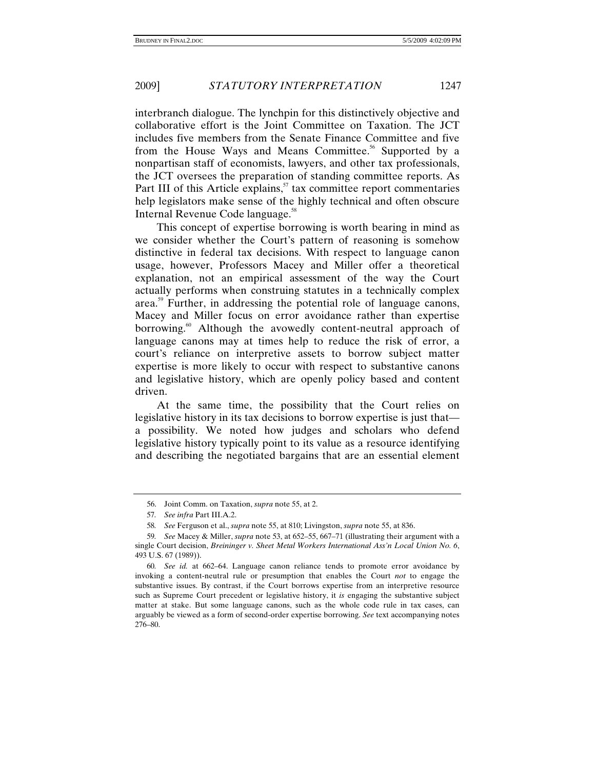interbranch dialogue. The lynchpin for this distinctively objective and collaborative effort is the Joint Committee on Taxation. The JCT includes five members from the Senate Finance Committee and five from the House Ways and Means Committee.<sup>56</sup> Supported by a nonpartisan staff of economists, lawyers, and other tax professionals, the JCT oversees the preparation of standing committee reports. As Part III of this Article explains, $57$  tax committee report commentaries help legislators make sense of the highly technical and often obscure Internal Revenue Code language.58

This concept of expertise borrowing is worth bearing in mind as we consider whether the Court's pattern of reasoning is somehow distinctive in federal tax decisions. With respect to language canon usage, however, Professors Macey and Miller offer a theoretical explanation, not an empirical assessment of the way the Court actually performs when construing statutes in a technically complex area.<sup>59</sup> Further, in addressing the potential role of language canons, Macey and Miller focus on error avoidance rather than expertise borrowing.<sup>60</sup> Although the avowedly content-neutral approach of language canons may at times help to reduce the risk of error, a court's reliance on interpretive assets to borrow subject matter expertise is more likely to occur with respect to substantive canons and legislative history, which are openly policy based and content driven.

At the same time, the possibility that the Court relies on legislative history in its tax decisions to borrow expertise is just that a possibility. We noted how judges and scholars who defend legislative history typically point to its value as a resource identifying and describing the negotiated bargains that are an essential element

 <sup>56.</sup> Joint Comm. on Taxation, *supra* note 55, at 2.

<sup>57</sup>*. See infra* Part III.A.2.

<sup>58</sup>*. See* Ferguson et al., *supra* note 55, at 810; Livingston, *supra* note 55, at 836.

<sup>59</sup>*. See* Macey & Miller, *supra* note 53, at 652–55, 667–71 (illustrating their argument with a single Court decision, *Breininger v. Sheet Metal Workers International Ass'n Local Union No. 6*, 493 U.S. 67 (1989)).

<sup>60</sup>*. See id.* at 662–64. Language canon reliance tends to promote error avoidance by invoking a content-neutral rule or presumption that enables the Court *not* to engage the substantive issues. By contrast, if the Court borrows expertise from an interpretive resource such as Supreme Court precedent or legislative history, it *is* engaging the substantive subject matter at stake. But some language canons, such as the whole code rule in tax cases, can arguably be viewed as a form of second-order expertise borrowing. *See* text accompanying notes 276–80.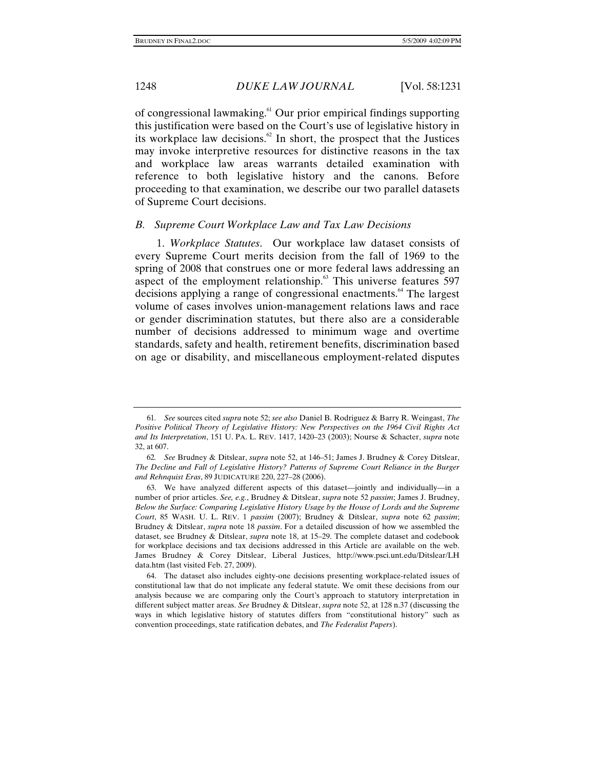of congressional lawmaking.61 Our prior empirical findings supporting this justification were based on the Court's use of legislative history in its workplace law decisions.<sup>62</sup> In short, the prospect that the Justices may invoke interpretive resources for distinctive reasons in the tax and workplace law areas warrants detailed examination with reference to both legislative history and the canons. Before proceeding to that examination, we describe our two parallel datasets of Supreme Court decisions.

#### *B. Supreme Court Workplace Law and Tax Law Decisions*

1. *Workplace Statutes*. Our workplace law dataset consists of every Supreme Court merits decision from the fall of 1969 to the spring of 2008 that construes one or more federal laws addressing an aspect of the employment relationship. $63$  This universe features 597 decisions applying a range of congressional enactments.<sup>64</sup> The largest volume of cases involves union-management relations laws and race or gender discrimination statutes, but there also are a considerable number of decisions addressed to minimum wage and overtime standards, safety and health, retirement benefits, discrimination based on age or disability, and miscellaneous employment-related disputes

<sup>61</sup>*. See* sources cited *supra* note 52; *see also* Daniel B. Rodriguez & Barry R. Weingast, *The Positive Political Theory of Legislative History: New Perspectives on the 1964 Civil Rights Act and Its Interpretation*, 151 U. PA. L. REV. 1417, 1420–23 (2003); Nourse & Schacter, *supra* note 32, at 607.

<sup>62</sup>*. See* Brudney & Ditslear, *supra* note 52, at 146–51; James J. Brudney & Corey Ditslear, *The Decline and Fall of Legislative History? Patterns of Supreme Court Reliance in the Burger and Rehnquist Eras*, 89 JUDICATURE 220, 227–28 (2006).

 <sup>63.</sup> We have analyzed different aspects of this dataset—jointly and individually—in a number of prior articles. *See, e.g.*, Brudney & Ditslear, *supra* note 52 *passim*; James J. Brudney, *Below the Surface: Comparing Legislative History Usage by the House of Lords and the Supreme Court*, 85 WASH. U. L. REV. 1 *passim* (2007); Brudney & Ditslear, *supra* note 62 *passim*; Brudney & Ditslear, *supra* note 18 *passim*. For a detailed discussion of how we assembled the dataset, see Brudney & Ditslear, *supra* note 18, at 15–29. The complete dataset and codebook for workplace decisions and tax decisions addressed in this Article are available on the web. James Brudney & Corey Ditslear, Liberal Justices, http://www.psci.unt.edu/Ditslear/LH data.htm (last visited Feb. 27, 2009).

 <sup>64.</sup> The dataset also includes eighty-one decisions presenting workplace-related issues of constitutional law that do not implicate any federal statute. We omit these decisions from our analysis because we are comparing only the Court's approach to statutory interpretation in different subject matter areas. *See* Brudney & Ditslear, *supra* note 52, at 128 n.37 (discussing the ways in which legislative history of statutes differs from "constitutional history" such as convention proceedings, state ratification debates, and *The Federalist Papers*).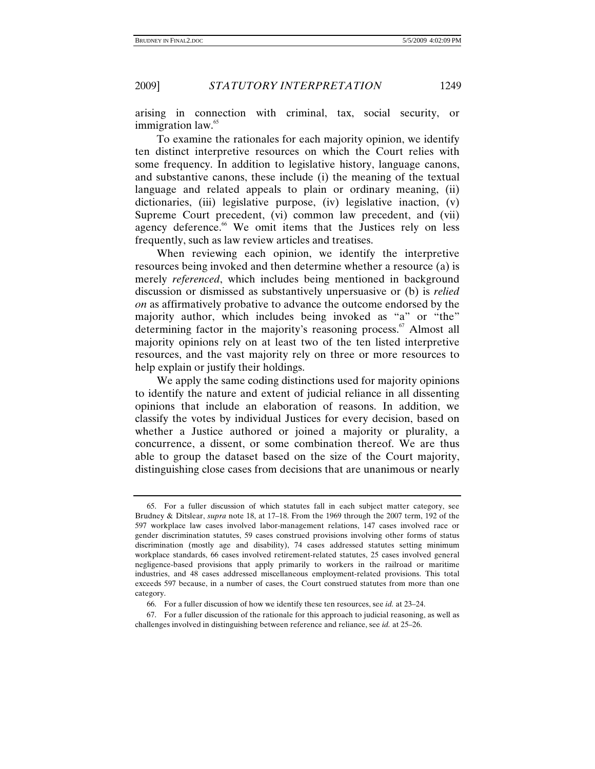arising in connection with criminal, tax, social security, or immigration law.<sup>65</sup>

To examine the rationales for each majority opinion, we identify ten distinct interpretive resources on which the Court relies with some frequency. In addition to legislative history, language canons, and substantive canons, these include (i) the meaning of the textual language and related appeals to plain or ordinary meaning, (ii) dictionaries, (iii) legislative purpose, (iv) legislative inaction, (v) Supreme Court precedent, (vi) common law precedent, and (vii) agency deference.<sup>66</sup> We omit items that the Justices rely on less frequently, such as law review articles and treatises.

When reviewing each opinion, we identify the interpretive resources being invoked and then determine whether a resource (a) is merely *referenced*, which includes being mentioned in background discussion or dismissed as substantively unpersuasive or (b) is *relied on* as affirmatively probative to advance the outcome endorsed by the majority author, which includes being invoked as "a" or "the" determining factor in the majority's reasoning process.<sup>67</sup> Almost all majority opinions rely on at least two of the ten listed interpretive resources, and the vast majority rely on three or more resources to help explain or justify their holdings.

We apply the same coding distinctions used for majority opinions to identify the nature and extent of judicial reliance in all dissenting opinions that include an elaboration of reasons. In addition, we classify the votes by individual Justices for every decision, based on whether a Justice authored or joined a majority or plurality, a concurrence, a dissent, or some combination thereof. We are thus able to group the dataset based on the size of the Court majority, distinguishing close cases from decisions that are unanimous or nearly

 <sup>65.</sup> For a fuller discussion of which statutes fall in each subject matter category, see Brudney & Ditslear, *supra* note 18, at 17–18. From the 1969 through the 2007 term, 192 of the 597 workplace law cases involved labor-management relations, 147 cases involved race or gender discrimination statutes, 59 cases construed provisions involving other forms of status discrimination (mostly age and disability), 74 cases addressed statutes setting minimum workplace standards, 66 cases involved retirement-related statutes, 25 cases involved general negligence-based provisions that apply primarily to workers in the railroad or maritime industries, and 48 cases addressed miscellaneous employment-related provisions. This total exceeds 597 because, in a number of cases, the Court construed statutes from more than one category.

 <sup>66.</sup> For a fuller discussion of how we identify these ten resources, see *id.* at 23–24.

 <sup>67.</sup> For a fuller discussion of the rationale for this approach to judicial reasoning, as well as challenges involved in distinguishing between reference and reliance, see *id.* at 25–26.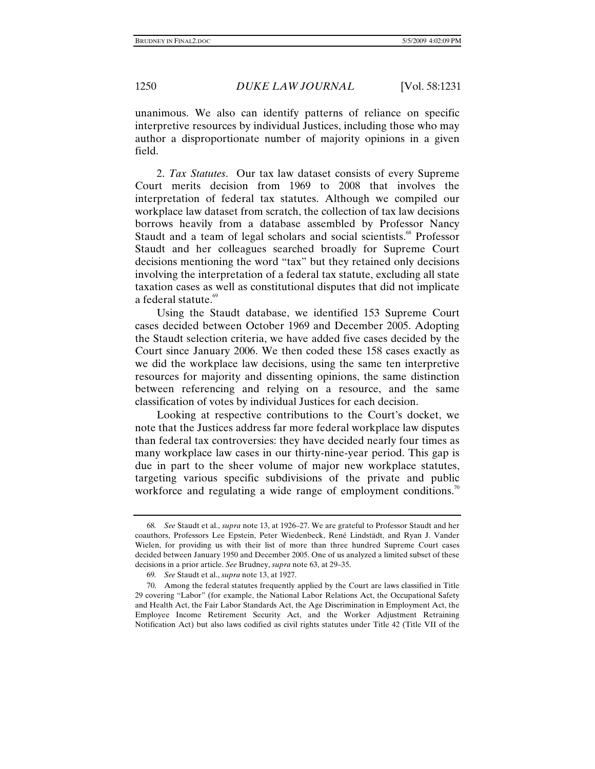unanimous. We also can identify patterns of reliance on specific interpretive resources by individual Justices, including those who may author a disproportionate number of majority opinions in a given field.

2. *Tax Statutes*. Our tax law dataset consists of every Supreme Court merits decision from 1969 to 2008 that involves the interpretation of federal tax statutes. Although we compiled our workplace law dataset from scratch, the collection of tax law decisions borrows heavily from a database assembled by Professor Nancy Staudt and a team of legal scholars and social scientists.<sup>68</sup> Professor Staudt and her colleagues searched broadly for Supreme Court decisions mentioning the word "tax" but they retained only decisions involving the interpretation of a federal tax statute, excluding all state taxation cases as well as constitutional disputes that did not implicate a federal statute.<sup>69</sup>

Using the Staudt database, we identified 153 Supreme Court cases decided between October 1969 and December 2005. Adopting the Staudt selection criteria, we have added five cases decided by the Court since January 2006. We then coded these 158 cases exactly as we did the workplace law decisions, using the same ten interpretive resources for majority and dissenting opinions, the same distinction between referencing and relying on a resource, and the same classification of votes by individual Justices for each decision.

Looking at respective contributions to the Court's docket, we note that the Justices address far more federal workplace law disputes than federal tax controversies: they have decided nearly four times as many workplace law cases in our thirty-nine-year period. This gap is due in part to the sheer volume of major new workplace statutes, targeting various specific subdivisions of the private and public workforce and regulating a wide range of employment conditions.<sup>70</sup>

<sup>68</sup>*. See* Staudt et al., *supra* note 13, at 1926–27. We are grateful to Professor Staudt and her coauthors, Professors Lee Epstein, Peter Wiedenbeck, René Lindstädt, and Ryan J. Vander Wielen, for providing us with their list of more than three hundred Supreme Court cases decided between January 1950 and December 2005. One of us analyzed a limited subset of these decisions in a prior article. *See* Brudney, *supra* note 63, at 29–35.

<sup>69</sup>*. See* Staudt et al., *supra* note 13, at 1927.

 <sup>70.</sup> Among the federal statutes frequently applied by the Court are laws classified in Title 29 covering "Labor" (for example, the National Labor Relations Act, the Occupational Safety and Health Act, the Fair Labor Standards Act, the Age Discrimination in Employment Act, the Employee Income Retirement Security Act, and the Worker Adjustment Retraining Notification Act) but also laws codified as civil rights statutes under Title 42 (Title VII of the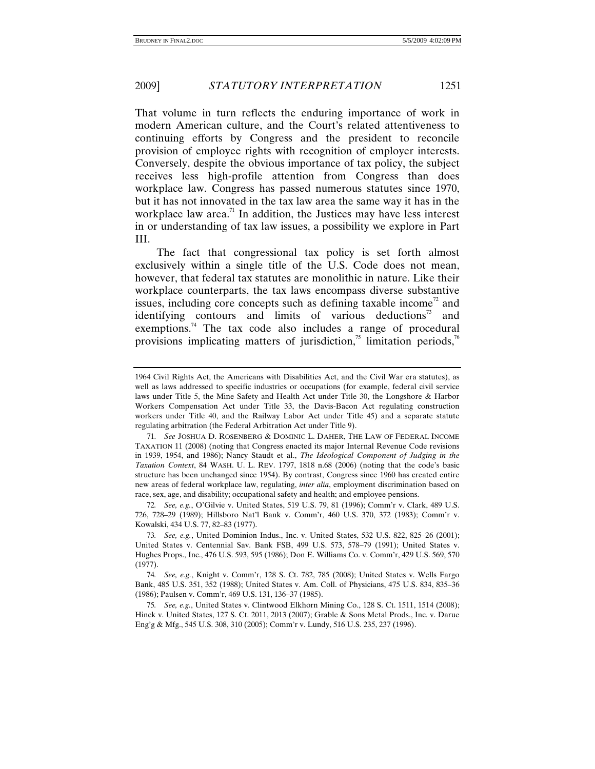That volume in turn reflects the enduring importance of work in modern American culture, and the Court's related attentiveness to continuing efforts by Congress and the president to reconcile provision of employee rights with recognition of employer interests. Conversely, despite the obvious importance of tax policy, the subject receives less high-profile attention from Congress than does workplace law. Congress has passed numerous statutes since 1970, but it has not innovated in the tax law area the same way it has in the workplace law area.<sup>71</sup> In addition, the Justices may have less interest in or understanding of tax law issues, a possibility we explore in Part III.

The fact that congressional tax policy is set forth almost exclusively within a single title of the U.S. Code does not mean, however, that federal tax statutes are monolithic in nature. Like their workplace counterparts, the tax laws encompass diverse substantive issues, including core concepts such as defining taxable income<sup>72</sup> and identifying contours and limits of various deductions<sup>73</sup> and exemptions.<sup>74</sup> The tax code also includes a range of procedural provisions implicating matters of jurisdiction,<sup>75</sup> limitation periods, $\frac{7}{6}$ 

<sup>1964</sup> Civil Rights Act, the Americans with Disabilities Act, and the Civil War era statutes), as well as laws addressed to specific industries or occupations (for example, federal civil service laws under Title 5, the Mine Safety and Health Act under Title 30, the Longshore & Harbor Workers Compensation Act under Title 33, the Davis-Bacon Act regulating construction workers under Title 40, and the Railway Labor Act under Title 45) and a separate statute regulating arbitration (the Federal Arbitration Act under Title 9).

<sup>71</sup>*. See* JOSHUA D. ROSENBERG & DOMINIC L. DAHER, THE LAW OF FEDERAL INCOME TAXATION 11 (2008) (noting that Congress enacted its major Internal Revenue Code revisions in 1939, 1954, and 1986); Nancy Staudt et al., *The Ideological Component of Judging in the Taxation Context*, 84 WASH. U. L. REV. 1797, 1818 n.68 (2006) (noting that the code's basic structure has been unchanged since 1954). By contrast, Congress since 1960 has created entire new areas of federal workplace law, regulating, *inter alia*, employment discrimination based on race, sex, age, and disability; occupational safety and health; and employee pensions.

<sup>72</sup>*. See, e.g.*, O'Gilvie v. United States, 519 U.S. 79, 81 (1996); Comm'r v. Clark, 489 U.S. 726, 728–29 (1989); Hillsboro Nat'l Bank v. Comm'r, 460 U.S. 370, 372 (1983); Comm'r v. Kowalski, 434 U.S. 77, 82–83 (1977).

<sup>73</sup>*. See, e.g.*, United Dominion Indus., Inc. v. United States, 532 U.S. 822, 825–26 (2001); United States v. Centennial Sav. Bank FSB, 499 U.S. 573, 578–79 (1991); United States v. Hughes Props., Inc., 476 U.S. 593, 595 (1986); Don E. Williams Co. v. Comm'r, 429 U.S. 569, 570 (1977).

<sup>74</sup>*. See, e.g.*, Knight v. Comm'r, 128 S. Ct. 782, 785 (2008); United States v. Wells Fargo Bank, 485 U.S. 351, 352 (1988); United States v. Am. Coll. of Physicians, 475 U.S. 834, 835–36 (1986); Paulsen v. Comm'r, 469 U.S. 131, 136–37 (1985).

<sup>75</sup>*. See, e.g.*, United States v. Clintwood Elkhorn Mining Co., 128 S. Ct. 1511, 1514 (2008); Hinck v. United States, 127 S. Ct. 2011, 2013 (2007); Grable & Sons Metal Prods., Inc. v. Darue Eng'g & Mfg., 545 U.S. 308, 310 (2005); Comm'r v. Lundy, 516 U.S. 235, 237 (1996).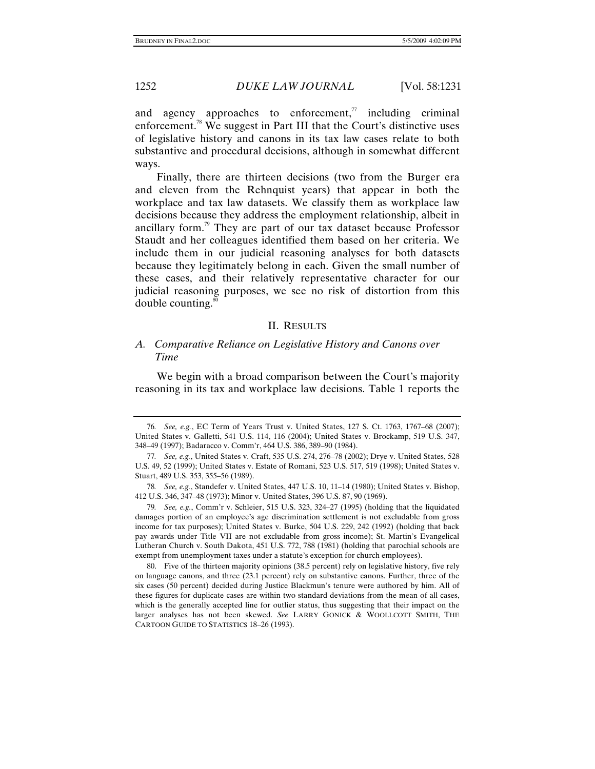and agency approaches to enforcement, $\alpha$  including criminal enforcement.<sup>78</sup> We suggest in Part III that the Court's distinctive uses of legislative history and canons in its tax law cases relate to both substantive and procedural decisions, although in somewhat different ways.

Finally, there are thirteen decisions (two from the Burger era and eleven from the Rehnquist years) that appear in both the workplace and tax law datasets. We classify them as workplace law decisions because they address the employment relationship, albeit in ancillary form.79 They are part of our tax dataset because Professor Staudt and her colleagues identified them based on her criteria. We include them in our judicial reasoning analyses for both datasets because they legitimately belong in each. Given the small number of these cases, and their relatively representative character for our judicial reasoning purposes, we see no risk of distortion from this double counting. $\frac{80}{30}$ 

#### II. RESULTS

# *A. Comparative Reliance on Legislative History and Canons over Time*

We begin with a broad comparison between the Court's majority reasoning in its tax and workplace law decisions. Table 1 reports the

<sup>76</sup>*. See, e.g.*, EC Term of Years Trust v. United States, 127 S. Ct. 1763, 1767–68 (2007); United States v. Galletti, 541 U.S. 114, 116 (2004); United States v. Brockamp, 519 U.S. 347, 348–49 (1997); Badaracco v. Comm'r, 464 U.S. 386, 389–90 (1984).

<sup>77</sup>*. See, e.g.*, United States v. Craft, 535 U.S. 274, 276–78 (2002); Drye v. United States, 528 U.S. 49, 52 (1999); United States v. Estate of Romani, 523 U.S. 517, 519 (1998); United States v. Stuart, 489 U.S. 353, 355–56 (1989).

<sup>78</sup>*. See, e.g.*, Standefer v. United States, 447 U.S. 10, 11–14 (1980); United States v. Bishop, 412 U.S. 346, 347–48 (1973); Minor v. United States, 396 U.S. 87, 90 (1969).

<sup>79</sup>*. See, e.g.*, Comm'r v. Schleier, 515 U.S. 323, 324–27 (1995) (holding that the liquidated damages portion of an employee's age discrimination settlement is not excludable from gross income for tax purposes); United States v. Burke, 504 U.S. 229, 242 (1992) (holding that back pay awards under Title VII are not excludable from gross income); St. Martin's Evangelical Lutheran Church v. South Dakota, 451 U.S. 772, 788 (1981) (holding that parochial schools are exempt from unemployment taxes under a statute's exception for church employees).

 <sup>80.</sup> Five of the thirteen majority opinions (38.5 percent) rely on legislative history, five rely on language canons, and three (23.1 percent) rely on substantive canons. Further, three of the six cases (50 percent) decided during Justice Blackmun's tenure were authored by him. All of these figures for duplicate cases are within two standard deviations from the mean of all cases, which is the generally accepted line for outlier status, thus suggesting that their impact on the larger analyses has not been skewed. *See* LARRY GONICK & WOOLLCOTT SMITH, THE CARTOON GUIDE TO STATISTICS 18–26 (1993).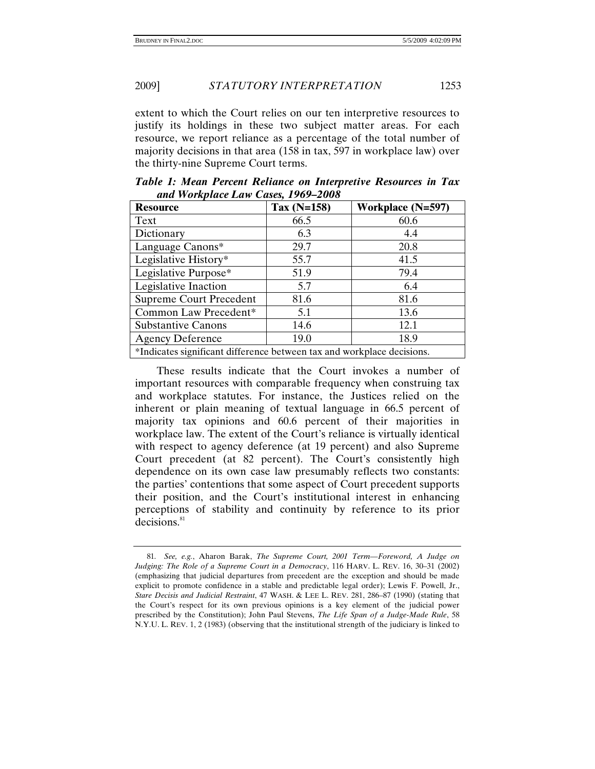extent to which the Court relies on our ten interpretive resources to justify its holdings in these two subject matter areas. For each resource, we report reliance as a percentage of the total number of majority decisions in that area (158 in tax, 597 in workplace law) over the thirty-nine Supreme Court terms.

| <b>Resource</b>                                                        | Tax (N=158) | <b>Workplace (N=597)</b> |  |
|------------------------------------------------------------------------|-------------|--------------------------|--|
| Text                                                                   | 66.5        | 60.6                     |  |
| Dictionary                                                             | 6.3         | 4.4                      |  |
| Language Canons*                                                       | 29.7        | 20.8                     |  |
| Legislative History*                                                   | 55.7        | 41.5                     |  |
| Legislative Purpose*                                                   | 51.9        | 79.4                     |  |
| Legislative Inaction                                                   | 5.7         | 6.4                      |  |
| <b>Supreme Court Precedent</b>                                         | 81.6        | 81.6                     |  |
| Common Law Precedent*                                                  | 5.1         | 13.6                     |  |
| <b>Substantive Canons</b>                                              | 14.6        | 12.1                     |  |
| <b>Agency Deference</b>                                                | 19.0        | 18.9                     |  |
| *Indicates significant difference between tax and workplace decisions. |             |                          |  |

*Table 1: Mean Percent Reliance on Interpretive Resources in Tax and Workplace Law Cases, 1969–2008*

These results indicate that the Court invokes a number of important resources with comparable frequency when construing tax and workplace statutes. For instance, the Justices relied on the inherent or plain meaning of textual language in 66.5 percent of majority tax opinions and 60.6 percent of their majorities in workplace law. The extent of the Court's reliance is virtually identical with respect to agency deference (at 19 percent) and also Supreme Court precedent (at 82 percent). The Court's consistently high dependence on its own case law presumably reflects two constants: the parties' contentions that some aspect of Court precedent supports their position, and the Court's institutional interest in enhancing perceptions of stability and continuity by reference to its prior decisions.<sup>81</sup>

<sup>81</sup>*. See, e.g.*, Aharon Barak, *The Supreme Court, 2001 Term—Foreword, A Judge on Judging: The Role of a Supreme Court in a Democracy*, 116 HARV. L. REV. 16, 30–31 (2002) (emphasizing that judicial departures from precedent are the exception and should be made explicit to promote confidence in a stable and predictable legal order); Lewis F. Powell, Jr., *Stare Decisis and Judicial Restraint*, 47 WASH. & LEE L. REV. 281, 286–87 (1990) (stating that the Court's respect for its own previous opinions is a key element of the judicial power prescribed by the Constitution); John Paul Stevens, *The Life Span of a Judge-Made Rule*, 58 N.Y.U. L. REV. 1, 2 (1983) (observing that the institutional strength of the judiciary is linked to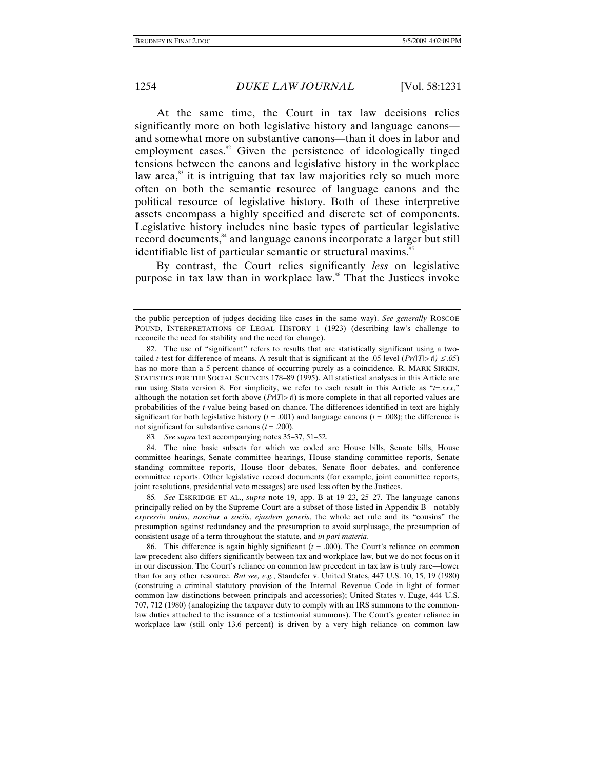At the same time, the Court in tax law decisions relies significantly more on both legislative history and language canons and somewhat more on substantive canons—than it does in labor and employment cases.<sup>82</sup> Given the persistence of ideologically tinged tensions between the canons and legislative history in the workplace law area, $^{83}$  it is intriguing that tax law majorities rely so much more often on both the semantic resource of language canons and the political resource of legislative history. Both of these interpretive assets encompass a highly specified and discrete set of components. Legislative history includes nine basic types of particular legislative record documents,<sup>84</sup> and language canons incorporate a larger but still identifiable list of particular semantic or structural maxims.<sup>85</sup>

By contrast, the Court relies significantly *less* on legislative purpose in tax law than in workplace law.86 That the Justices invoke

83*. See supra* text accompanying notes 35–37, 51–52.

 84. The nine basic subsets for which we coded are House bills, Senate bills, House committee hearings, Senate committee hearings, House standing committee reports, Senate standing committee reports, House floor debates, Senate floor debates, and conference committee reports. Other legislative record documents (for example, joint committee reports, joint resolutions, presidential veto messages) are used less often by the Justices.

85*. See* ESKRIDGE ET AL., *supra* note 19, app. B at 19–23, 25–27. The language canons principally relied on by the Supreme Court are a subset of those listed in Appendix B—notably *expressio unius*, *noscitur a sociis*, *ejusdem generis*, the whole act rule and its "cousins" the presumption against redundancy and the presumption to avoid surplusage, the presumption of consistent usage of a term throughout the statute, and *in pari materia*.

 86. This difference is again highly significant (*t* = .000). The Court's reliance on common law precedent also differs significantly between tax and workplace law, but we do not focus on it in our discussion. The Court's reliance on common law precedent in tax law is truly rare—lower than for any other resource. *But see, e.g.*, Standefer v. United States, 447 U.S. 10, 15, 19 (1980) (construing a criminal statutory provision of the Internal Revenue Code in light of former common law distinctions between principals and accessories); United States v. Euge, 444 U.S. 707, 712 (1980) (analogizing the taxpayer duty to comply with an IRS summons to the commonlaw duties attached to the issuance of a testimonial summons). The Court's greater reliance in workplace law (still only 13.6 percent) is driven by a very high reliance on common law

the public perception of judges deciding like cases in the same way). *See generally* ROSCOE POUND, INTERPRETATIONS OF LEGAL HISTORY 1 (1923) (describing law's challenge to reconcile the need for stability and the need for change).

 <sup>82.</sup> The use of "significant" refers to results that are statistically significant using a twotailed *t*-test for difference of means. A result that is significant at the .05 level  $\left(\frac{Pr(|T|>|t|)}{\leq}$ .05) has no more than a 5 percent chance of occurring purely as a coincidence. R. MARK SIRKIN, STATISTICS FOR THE SOCIAL SCIENCES 178–89 (1995). All statistical analyses in this Article are run using Stata version 8. For simplicity, we refer to each result in this Article as "*t=*.*xxx*," although the notation set forth above  $(Pr|T|>|t|)$  is more complete in that all reported values are probabilities of the *t*-value being based on chance. The differences identified in text are highly significant for both legislative history  $(t = .001)$  and language canons  $(t = .008)$ ; the difference is not significant for substantive canons  $(t = .200)$ .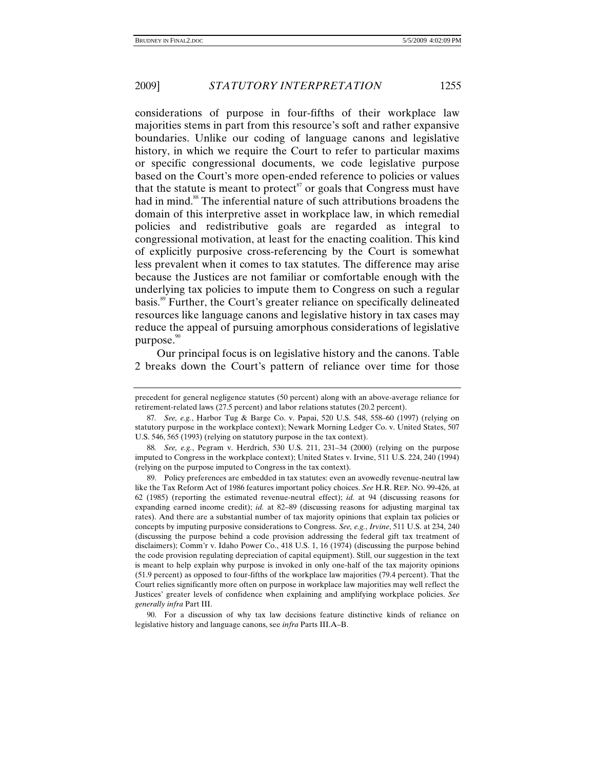considerations of purpose in four-fifths of their workplace law majorities stems in part from this resource's soft and rather expansive boundaries. Unlike our coding of language canons and legislative history, in which we require the Court to refer to particular maxims or specific congressional documents, we code legislative purpose based on the Court's more open-ended reference to policies or values that the statute is meant to protect<sup>87</sup> or goals that Congress must have had in mind.<sup>88</sup> The inferential nature of such attributions broadens the domain of this interpretive asset in workplace law, in which remedial policies and redistributive goals are regarded as integral to congressional motivation, at least for the enacting coalition. This kind of explicitly purposive cross-referencing by the Court is somewhat less prevalent when it comes to tax statutes. The difference may arise because the Justices are not familiar or comfortable enough with the underlying tax policies to impute them to Congress on such a regular basis.89 Further, the Court's greater reliance on specifically delineated resources like language canons and legislative history in tax cases may reduce the appeal of pursuing amorphous considerations of legislative purpose. $\degree$ 

Our principal focus is on legislative history and the canons. Table 2 breaks down the Court's pattern of reliance over time for those

88*. See, e.g.*, Pegram v. Herdrich, 530 U.S. 211, 231–34 (2000) (relying on the purpose imputed to Congress in the workplace context); United States v. Irvine, 511 U.S. 224, 240 (1994) (relying on the purpose imputed to Congress in the tax context).

 89. Policy preferences are embedded in tax statutes: even an avowedly revenue-neutral law like the Tax Reform Act of 1986 features important policy choices. *See* H.R. REP. NO. 99-426, at 62 (1985) (reporting the estimated revenue-neutral effect); *id.* at 94 (discussing reasons for expanding earned income credit); *id.* at 82–89 (discussing reasons for adjusting marginal tax rates). And there are a substantial number of tax majority opinions that explain tax policies or concepts by imputing purposive considerations to Congress. *See, e.g.*, *Irvine*, 511 U.S. at 234, 240 (discussing the purpose behind a code provision addressing the federal gift tax treatment of disclaimers); Comm'r v. Idaho Power Co., 418 U.S. 1, 16 (1974) (discussing the purpose behind the code provision regulating depreciation of capital equipment). Still, our suggestion in the text is meant to help explain why purpose is invoked in only one-half of the tax majority opinions (51.9 percent) as opposed to four-fifths of the workplace law majorities (79.4 percent). That the Court relies significantly more often on purpose in workplace law majorities may well reflect the Justices' greater levels of confidence when explaining and amplifying workplace policies. *See generally infra* Part III.

 90. For a discussion of why tax law decisions feature distinctive kinds of reliance on legislative history and language canons, see *infra* Parts III.A–B.

precedent for general negligence statutes (50 percent) along with an above-average reliance for retirement-related laws (27.5 percent) and labor relations statutes (20.2 percent).

<sup>87</sup>*. See, e.g.*, Harbor Tug & Barge Co. v. Papai, 520 U.S. 548, 558–60 (1997) (relying on statutory purpose in the workplace context); Newark Morning Ledger Co. v. United States, 507 U.S. 546, 565 (1993) (relying on statutory purpose in the tax context).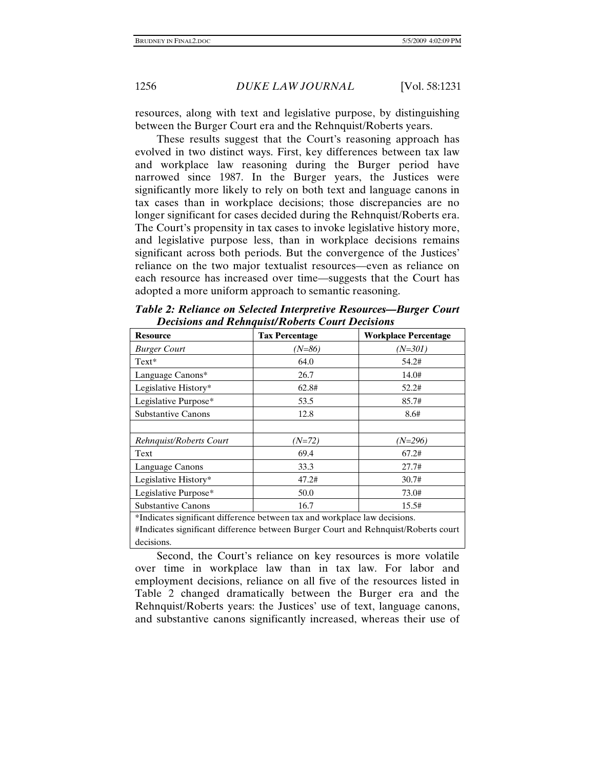resources, along with text and legislative purpose, by distinguishing between the Burger Court era and the Rehnquist/Roberts years.

These results suggest that the Court's reasoning approach has evolved in two distinct ways. First, key differences between tax law and workplace law reasoning during the Burger period have narrowed since 1987. In the Burger years, the Justices were significantly more likely to rely on both text and language canons in tax cases than in workplace decisions; those discrepancies are no longer significant for cases decided during the Rehnquist/Roberts era. The Court's propensity in tax cases to invoke legislative history more, and legislative purpose less, than in workplace decisions remains significant across both periods. But the convergence of the Justices' reliance on the two major textualist resources—even as reliance on each resource has increased over time—suggests that the Court has adopted a more uniform approach to semantic reasoning.

| <b>Workplace Percentage</b><br><b>Tax Percentage</b><br><b>Resource</b>    |          |                                                                                    |  |  |
|----------------------------------------------------------------------------|----------|------------------------------------------------------------------------------------|--|--|
|                                                                            |          |                                                                                    |  |  |
| <b>Burger Court</b>                                                        | $(N=86)$ | (N=301)                                                                            |  |  |
| $Text*$                                                                    | 64.0     | 54.2#                                                                              |  |  |
| Language Canons*                                                           | 26.7     | 14.0#                                                                              |  |  |
| Legislative History*                                                       | 62.8#    | 52.2#                                                                              |  |  |
| Legislative Purpose*                                                       | 53.5     | 85.7#                                                                              |  |  |
| <b>Substantive Canons</b>                                                  | 12.8     | 8.6#                                                                               |  |  |
|                                                                            |          |                                                                                    |  |  |
| Rehnquist/Roberts Court                                                    | (N=72)   | (N=296)                                                                            |  |  |
| Text                                                                       | 69.4     | 67.2#                                                                              |  |  |
| Language Canons                                                            | 33.3     | 27.7#                                                                              |  |  |
| Legislative History*                                                       | 47.2#    | 30.7#                                                                              |  |  |
| Legislative Purpose*                                                       | 50.0     | 73.0#                                                                              |  |  |
| <b>Substantive Canons</b>                                                  | 16.7     | 15.5#                                                                              |  |  |
| *Indicates significant difference between tax and workplace law decisions. |          |                                                                                    |  |  |
|                                                                            |          | #Indicates significant difference between Burger Court and Rehnquist/Roberts court |  |  |

*Table 2: Reliance on Selected Interpretive Resources—Burger Court Decisions and Rehnquist/Roberts Court Decisions* 

#Indicates significant difference between Burger Court and Rehnquist/Roberts court decisions.

Second, the Court's reliance on key resources is more volatile over time in workplace law than in tax law. For labor and employment decisions, reliance on all five of the resources listed in Table 2 changed dramatically between the Burger era and the Rehnquist/Roberts years: the Justices' use of text, language canons, and substantive canons significantly increased, whereas their use of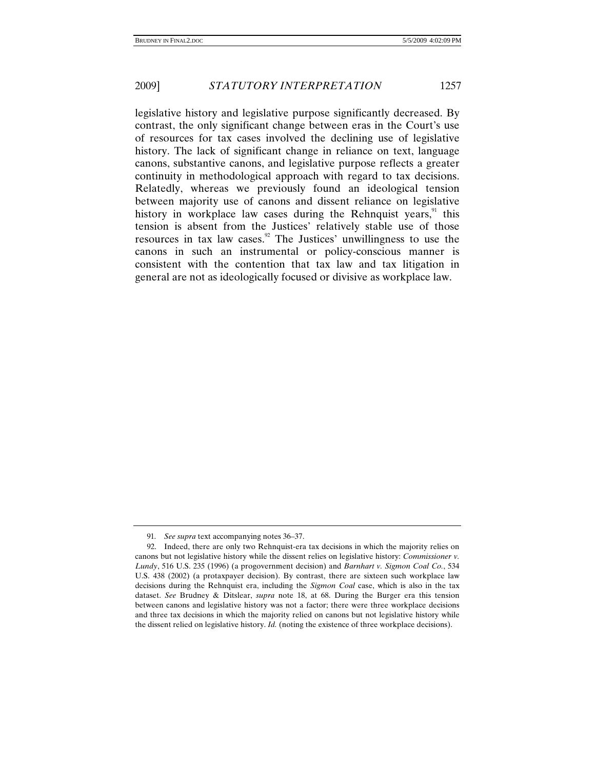legislative history and legislative purpose significantly decreased. By contrast, the only significant change between eras in the Court's use of resources for tax cases involved the declining use of legislative history. The lack of significant change in reliance on text, language canons, substantive canons, and legislative purpose reflects a greater continuity in methodological approach with regard to tax decisions. Relatedly, whereas we previously found an ideological tension between majority use of canons and dissent reliance on legislative history in workplace law cases during the Rehnquist years, $91$  this tension is absent from the Justices' relatively stable use of those resources in tax law cases.<sup>92</sup> The Justices' unwillingness to use the canons in such an instrumental or policy-conscious manner is consistent with the contention that tax law and tax litigation in general are not as ideologically focused or divisive as workplace law.

<sup>91</sup>*. See supra* text accompanying notes 36–37.

 <sup>92.</sup> Indeed, there are only two Rehnquist-era tax decisions in which the majority relies on canons but not legislative history while the dissent relies on legislative history: *Commissioner v. Lundy*, 516 U.S. 235 (1996) (a progovernment decision) and *Barnhart v. Sigmon Coal Co.*, 534 U.S. 438 (2002) (a protaxpayer decision). By contrast, there are sixteen such workplace law decisions during the Rehnquist era, including the *Sigmon Coal* case, which is also in the tax dataset. *See* Brudney & Ditslear, *supra* note 18, at 68. During the Burger era this tension between canons and legislative history was not a factor; there were three workplace decisions and three tax decisions in which the majority relied on canons but not legislative history while the dissent relied on legislative history. *Id.* (noting the existence of three workplace decisions).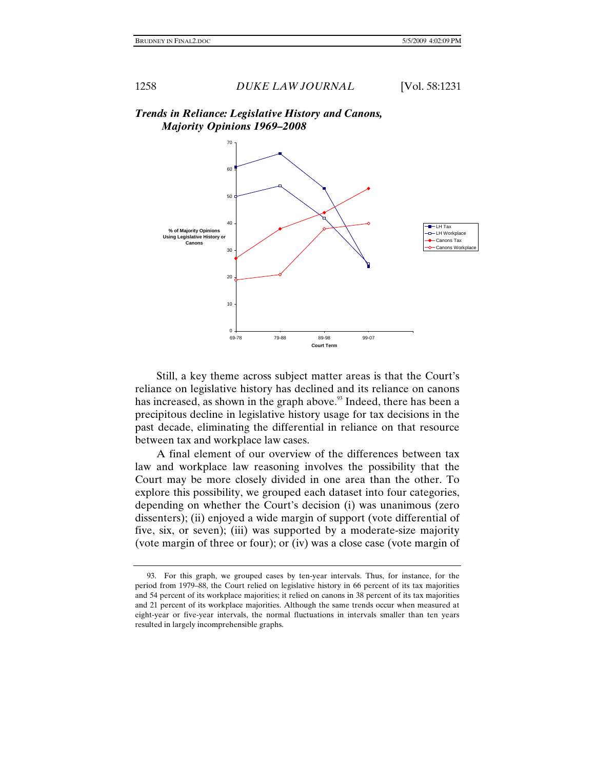

# *Trends in Reliance: Legislative History and Canons, Majority Opinions 1969–2008*

Still, a key theme across subject matter areas is that the Court's reliance on legislative history has declined and its reliance on canons has increased, as shown in the graph above.<sup>93</sup> Indeed, there has been a precipitous decline in legislative history usage for tax decisions in the past decade, eliminating the differential in reliance on that resource between tax and workplace law cases.

 A final element of our overview of the differences between tax law and workplace law reasoning involves the possibility that the Court may be more closely divided in one area than the other. To explore this possibility, we grouped each dataset into four categories, depending on whether the Court's decision (i) was unanimous (zero dissenters); (ii) enjoyed a wide margin of support (vote differential of five, six, or seven); (iii) was supported by a moderate-size majority (vote margin of three or four); or (iv) was a close case (vote margin of

 <sup>93.</sup> For this graph, we grouped cases by ten-year intervals. Thus, for instance, for the period from 1979–88, the Court relied on legislative history in 66 percent of its tax majorities and 54 percent of its workplace majorities; it relied on canons in 38 percent of its tax majorities and 21 percent of its workplace majorities. Although the same trends occur when measured at eight-year or five-year intervals, the normal fluctuations in intervals smaller than ten years resulted in largely incomprehensible graphs.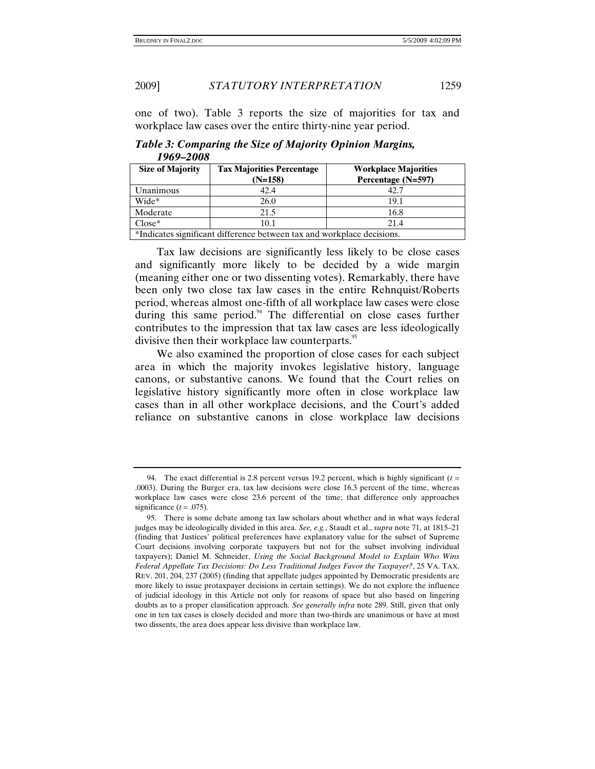one of two). Table 3 reports the size of majorities for tax and workplace law cases over the entire thirty-nine year period.

| 1707 2000                                                              |                                               |                                                   |
|------------------------------------------------------------------------|-----------------------------------------------|---------------------------------------------------|
| <b>Size of Majority</b>                                                | <b>Tax Majorities Percentage</b><br>$(N=158)$ | <b>Workplace Majorities</b><br>Percentage (N=597) |
| Unanimous                                                              | 42.4                                          | 42.7                                              |
| Wide*                                                                  | 26.0                                          | 19.1                                              |
| Moderate                                                               | 21.5                                          | 16.8                                              |
| $Close*$                                                               | 10.1                                          | 21.4                                              |
| *Indicates significant difference between tax and workplace decisions. |                                               |                                                   |

*Table 3: Comparing the Size of Majority Opinion Margins, 1969–2008* 

Tax law decisions are significantly less likely to be close cases and significantly more likely to be decided by a wide margin (meaning either one or two dissenting votes). Remarkably, there have been only two close tax law cases in the entire Rehnquist/Roberts period, whereas almost one-fifth of all workplace law cases were close during this same period. $94$  The differential on close cases further contributes to the impression that tax law cases are less ideologically divisive then their workplace law counterparts.<sup>95</sup>

We also examined the proportion of close cases for each subject area in which the majority invokes legislative history, language canons, or substantive canons. We found that the Court relies on legislative history significantly more often in close workplace law cases than in all other workplace decisions, and the Court's added reliance on substantive canons in close workplace law decisions

<sup>94.</sup> The exact differential is 2.8 percent versus 19.2 percent, which is highly significant  $(t =$ .0003). During the Burger era, tax law decisions were close 16.3 percent of the time, whereas workplace law cases were close 23.6 percent of the time; that difference only approaches significance  $(t = .075)$ .

 <sup>95.</sup> There is some debate among tax law scholars about whether and in what ways federal judges may be ideologically divided in this area. *See, e.g.*, Staudt et al., *supra* note 71, at 1815–21 (finding that Justices' political preferences have explanatory value for the subset of Supreme Court decisions involving corporate taxpayers but not for the subset involving individual taxpayers); Daniel M. Schneider, *Using the Social Background Model to Explain Who Wins Federal Appellate Tax Decisions: Do Less Traditional Judges Favor the Taxpayer?*, 25 VA. TAX. REV. 201, 204, 237 (2005) (finding that appellate judges appointed by Democratic presidents are more likely to issue protaxpayer decisions in certain settings). We do not explore the influence of judicial ideology in this Article not only for reasons of space but also based on lingering doubts as to a proper classification approach. *See generally infra* note 289. Still, given that only one in ten tax cases is closely decided and more than two-thirds are unanimous or have at most two dissents, the area does appear less divisive than workplace law.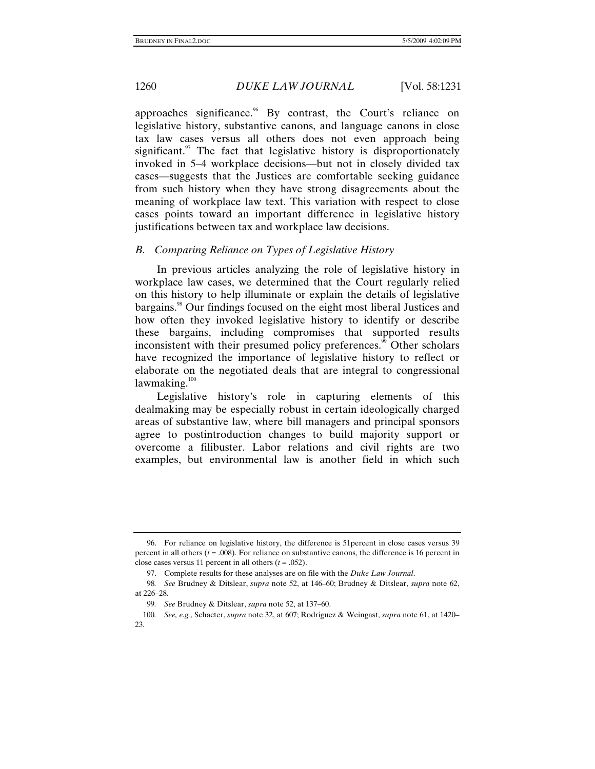approaches significance.<sup>96</sup> By contrast, the Court's reliance on legislative history, substantive canons, and language canons in close tax law cases versus all others does not even approach being significant. $\degree$  The fact that legislative history is disproportionately invoked in 5–4 workplace decisions—but not in closely divided tax cases—suggests that the Justices are comfortable seeking guidance from such history when they have strong disagreements about the meaning of workplace law text. This variation with respect to close cases points toward an important difference in legislative history justifications between tax and workplace law decisions.

#### *B. Comparing Reliance on Types of Legislative History*

In previous articles analyzing the role of legislative history in workplace law cases, we determined that the Court regularly relied on this history to help illuminate or explain the details of legislative bargains.<sup>98</sup> Our findings focused on the eight most liberal Justices and how often they invoked legislative history to identify or describe these bargains, including compromises that supported results inconsistent with their presumed policy preferences.<sup>99</sup> Other scholars have recognized the importance of legislative history to reflect or elaborate on the negotiated deals that are integral to congressional lawmaking. $100$ 

Legislative history's role in capturing elements of this dealmaking may be especially robust in certain ideologically charged areas of substantive law, where bill managers and principal sponsors agree to postintroduction changes to build majority support or overcome a filibuster. Labor relations and civil rights are two examples, but environmental law is another field in which such

 <sup>96.</sup> For reliance on legislative history, the difference is 51percent in close cases versus 39 percent in all others  $(t = .008)$ . For reliance on substantive canons, the difference is 16 percent in close cases versus 11 percent in all others  $(t = .052)$ .

 <sup>97.</sup> Complete results for these analyses are on file with the *Duke Law Journal*.

<sup>98</sup>*. See* Brudney & Ditslear, *supra* note 52, at 146–60; Brudney & Ditslear, *supra* note 62, at 226–28.

<sup>99</sup>*. See* Brudney & Ditslear, *supra* note 52, at 137–60.

<sup>100</sup>*. See, e.g.*, Schacter, *supra* note 32, at 607; Rodriguez & Weingast, *supra* note 61, at 1420– 23.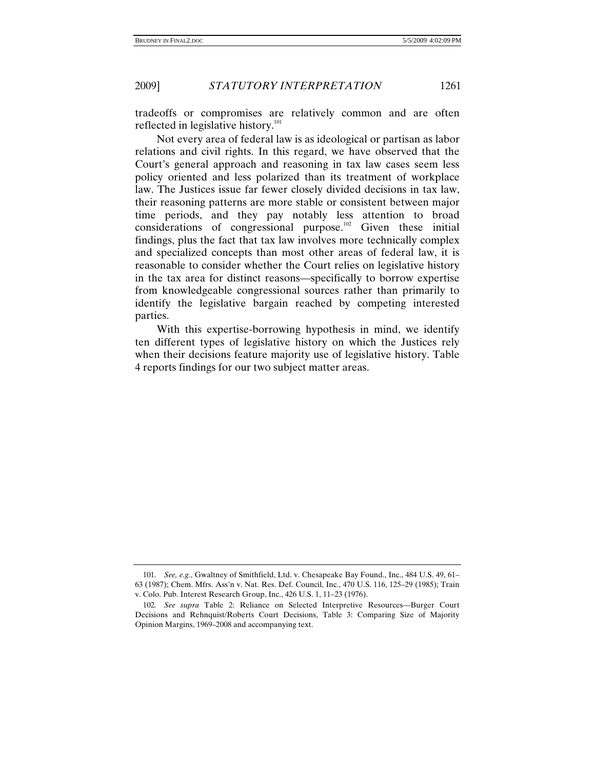tradeoffs or compromises are relatively common and are often reflected in legislative history.<sup>101</sup>

Not every area of federal law is as ideological or partisan as labor relations and civil rights. In this regard, we have observed that the Court's general approach and reasoning in tax law cases seem less policy oriented and less polarized than its treatment of workplace law. The Justices issue far fewer closely divided decisions in tax law, their reasoning patterns are more stable or consistent between major time periods, and they pay notably less attention to broad considerations of congressional purpose.102 Given these initial findings, plus the fact that tax law involves more technically complex and specialized concepts than most other areas of federal law, it is reasonable to consider whether the Court relies on legislative history in the tax area for distinct reasons—specifically to borrow expertise from knowledgeable congressional sources rather than primarily to identify the legislative bargain reached by competing interested parties.

With this expertise-borrowing hypothesis in mind, we identify ten different types of legislative history on which the Justices rely when their decisions feature majority use of legislative history. Table 4 reports findings for our two subject matter areas.

<sup>101</sup>*. See, e.g.*, Gwaltney of Smithfield, Ltd. v. Chesapeake Bay Found., Inc., 484 U.S. 49, 61– 63 (1987); Chem. Mfrs. Ass'n v. Nat. Res. Def. Council, Inc., 470 U.S. 116, 125–29 (1985); Train v. Colo. Pub. Interest Research Group, Inc., 426 U.S. 1, 11–23 (1976).

<sup>102</sup>*. See supra* Table 2: Reliance on Selected Interpretive Resources—Burger Court Decisions and Rehnquist/Roberts Court Decisions, Table 3: Comparing Size of Majority Opinion Margins, 1969–2008 and accompanying text.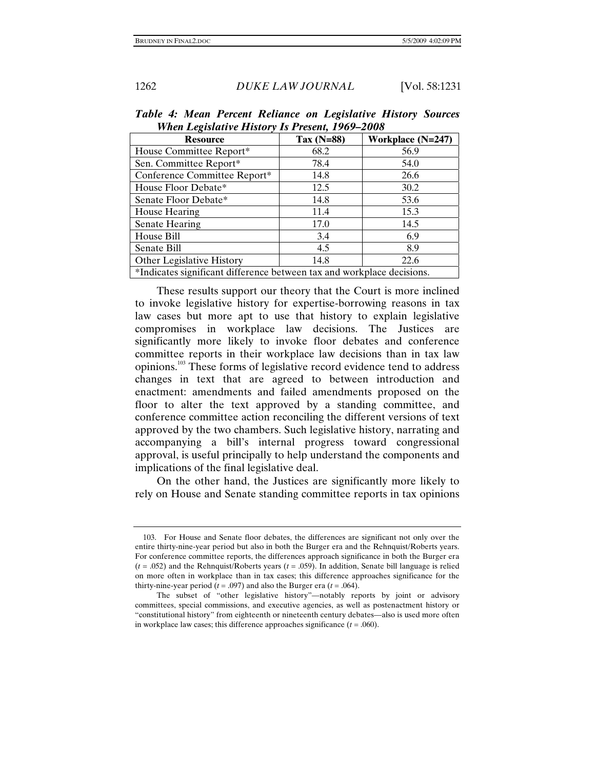| $\cdots$ $\cdots$ $\cdots$ $\cdots$ $\cdots$ $\cdots$ $\cdots$ $\cdots$ $\cdots$ $\cdots$ $\cdots$ $\cdots$ $\cdots$ $\cdots$ $\cdots$ |              |                   |  |
|----------------------------------------------------------------------------------------------------------------------------------------|--------------|-------------------|--|
| <b>Resource</b>                                                                                                                        | Tax $(N=88)$ | Workplace (N=247) |  |
| House Committee Report*                                                                                                                | 68.2         | 56.9              |  |
| Sen. Committee Report*                                                                                                                 | 78.4         | 54.0              |  |
| Conference Committee Report*                                                                                                           | 14.8         | 26.6              |  |
| House Floor Debate*                                                                                                                    | 12.5         | 30.2              |  |
| Senate Floor Debate*                                                                                                                   | 14.8         | 53.6              |  |
| House Hearing                                                                                                                          | 11.4         | 15.3              |  |
| Senate Hearing                                                                                                                         | 17.0         | 14.5              |  |
| House Bill                                                                                                                             | 3.4          | 6.9               |  |
| Senate Bill                                                                                                                            | 4.5          | 8.9               |  |
| Other Legislative History                                                                                                              | 14.8         | 22.6              |  |
| *Indicates significant difference between tax and workplace decisions.                                                                 |              |                   |  |

*Table 4: Mean Percent Reliance on Legislative History Sources When Legislative History Is Present, 1969–2008* 

These results support our theory that the Court is more inclined to invoke legislative history for expertise-borrowing reasons in tax law cases but more apt to use that history to explain legislative compromises in workplace law decisions. The Justices are significantly more likely to invoke floor debates and conference committee reports in their workplace law decisions than in tax law opinions.103 These forms of legislative record evidence tend to address changes in text that are agreed to between introduction and enactment: amendments and failed amendments proposed on the floor to alter the text approved by a standing committee, and conference committee action reconciling the different versions of text approved by the two chambers. Such legislative history, narrating and accompanying a bill's internal progress toward congressional approval, is useful principally to help understand the components and implications of the final legislative deal.

On the other hand, the Justices are significantly more likely to rely on House and Senate standing committee reports in tax opinions

 <sup>103.</sup> For House and Senate floor debates, the differences are significant not only over the entire thirty-nine-year period but also in both the Burger era and the Rehnquist/Roberts years. For conference committee reports, the differences approach significance in both the Burger era  $(t = .052)$  and the Rehnquist/Roberts years  $(t = .059)$ . In addition, Senate bill language is relied on more often in workplace than in tax cases; this difference approaches significance for the thirty-nine-year period ( $t = .097$ ) and also the Burger era ( $t = .064$ ).

The subset of "other legislative history"—notably reports by joint or advisory committees, special commissions, and executive agencies, as well as postenactment history or "constitutional history" from eighteenth or nineteenth century debates—also is used more often in workplace law cases; this difference approaches significance  $(t = .060)$ .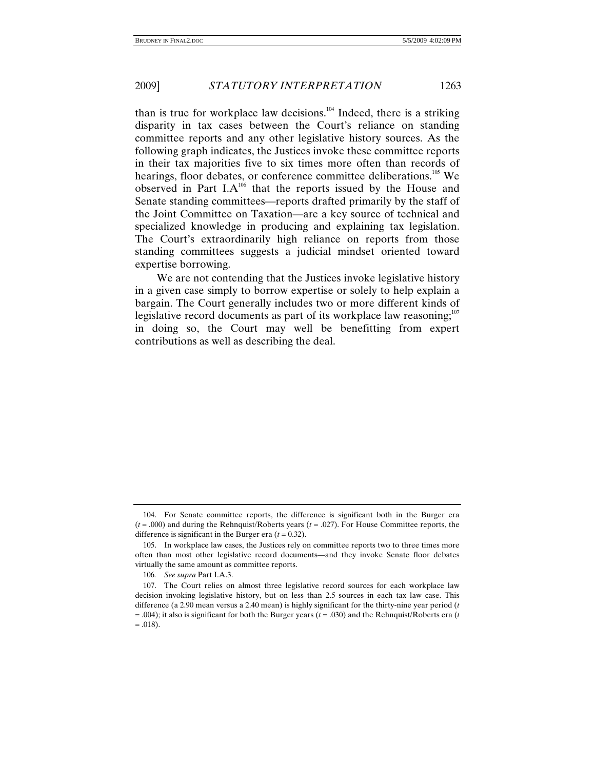than is true for workplace law decisions.<sup>104</sup> Indeed, there is a striking disparity in tax cases between the Court's reliance on standing committee reports and any other legislative history sources. As the following graph indicates, the Justices invoke these committee reports in their tax majorities five to six times more often than records of hearings, floor debates, or conference committee deliberations.<sup>105</sup> We observed in Part  $I.A^{106}$  that the reports issued by the House and Senate standing committees—reports drafted primarily by the staff of the Joint Committee on Taxation—are a key source of technical and specialized knowledge in producing and explaining tax legislation. The Court's extraordinarily high reliance on reports from those standing committees suggests a judicial mindset oriented toward expertise borrowing.

We are not contending that the Justices invoke legislative history in a given case simply to borrow expertise or solely to help explain a bargain. The Court generally includes two or more different kinds of legislative record documents as part of its workplace law reasoning;<sup>107</sup> in doing so, the Court may well be benefitting from expert contributions as well as describing the deal.

 <sup>104.</sup> For Senate committee reports, the difference is significant both in the Burger era (*t* = .000) and during the Rehnquist/Roberts years (*t* = .027). For House Committee reports, the difference is significant in the Burger era  $(t = 0.32)$ .

 <sup>105.</sup> In workplace law cases, the Justices rely on committee reports two to three times more often than most other legislative record documents—and they invoke Senate floor debates virtually the same amount as committee reports.

<sup>106</sup>*. See supra* Part I.A.3.

 <sup>107.</sup> The Court relies on almost three legislative record sources for each workplace law decision invoking legislative history, but on less than 2.5 sources in each tax law case. This difference (a 2.90 mean versus a 2.40 mean) is highly significant for the thirty-nine year period (*t* = .004); it also is significant for both the Burger years (*t* = .030) and the Rehnquist/Roberts era (*t*  $= .018$ ).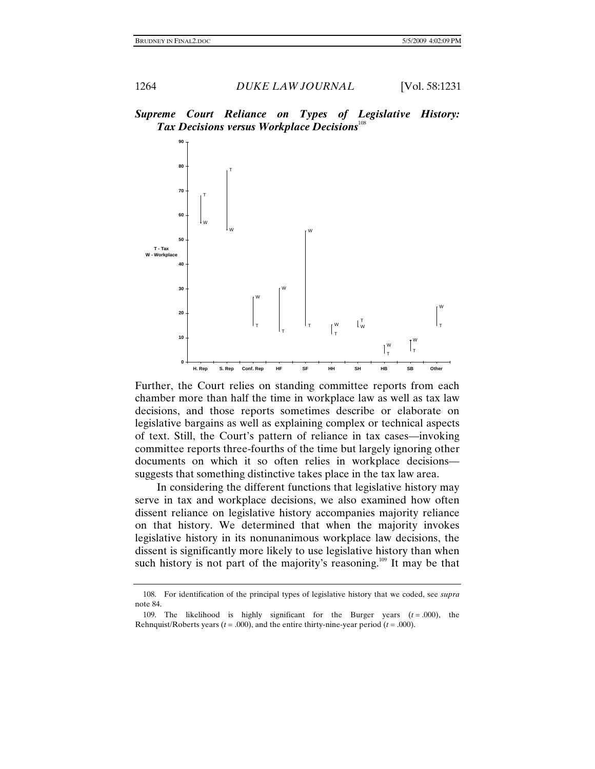



Further, the Court relies on standing committee reports from each chamber more than half the time in workplace law as well as tax law decisions, and those reports sometimes describe or elaborate on legislative bargains as well as explaining complex or technical aspects of text. Still, the Court's pattern of reliance in tax cases—invoking committee reports three-fourths of the time but largely ignoring other documents on which it so often relies in workplace decisions suggests that something distinctive takes place in the tax law area.

In considering the different functions that legislative history may serve in tax and workplace decisions, we also examined how often dissent reliance on legislative history accompanies majority reliance on that history. We determined that when the majority invokes legislative history in its nonunanimous workplace law decisions, the dissent is significantly more likely to use legislative history than when such history is not part of the majority's reasoning.<sup>109</sup> It may be that

 <sup>108.</sup> For identification of the principal types of legislative history that we coded, see *supra*  note 84.

<sup>109.</sup> The likelihood is highly significant for the Burger years  $(t = .000)$ , the Rehnquist/Roberts years ( $t = .000$ ), and the entire thirty-nine-year period ( $t = .000$ ).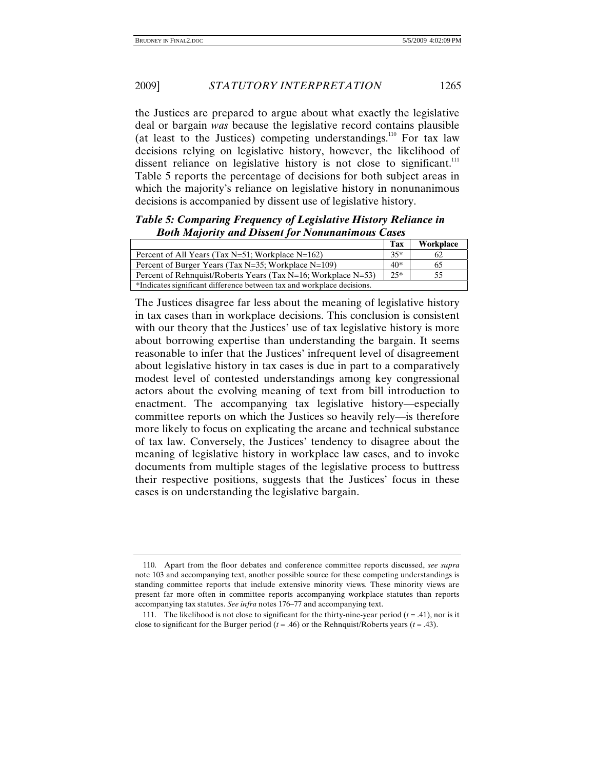#### 2009] *STATUTORY INTERPRETATION* 1265

the Justices are prepared to argue about what exactly the legislative deal or bargain *was* because the legislative record contains plausible (at least to the Justices) competing understandings.<sup>110</sup> For tax law decisions relying on legislative history, however, the likelihood of dissent reliance on legislative history is not close to significant.<sup>111</sup> Table 5 reports the percentage of decisions for both subject areas in which the majority's reliance on legislative history in nonunanimous decisions is accompanied by dissent use of legislative history.

# *Table 5: Comparing Frequency of Legislative History Reliance in Both Majority and Dissent for Nonunanimous Cases*

|                                                                        | <b>Tax</b> | Workplace |
|------------------------------------------------------------------------|------------|-----------|
| Percent of All Years (Tax $N=51$ ; Workplace $N=162$ )                 | $35*$      | 62        |
| Percent of Burger Years (Tax N=35; Workplace N=109)                    | $40*$      | 65        |
| Percent of Rehnquist/Roberts Years (Tax $N=16$ ; Workplace $N=53$ )    | $25*$      | 55        |
| *Indicates significant difference between tax and workplace decisions. |            |           |

The Justices disagree far less about the meaning of legislative history in tax cases than in workplace decisions. This conclusion is consistent with our theory that the Justices' use of tax legislative history is more about borrowing expertise than understanding the bargain. It seems reasonable to infer that the Justices' infrequent level of disagreement about legislative history in tax cases is due in part to a comparatively modest level of contested understandings among key congressional actors about the evolving meaning of text from bill introduction to enactment. The accompanying tax legislative history—especially committee reports on which the Justices so heavily rely—is therefore more likely to focus on explicating the arcane and technical substance of tax law. Conversely, the Justices' tendency to disagree about the meaning of legislative history in workplace law cases, and to invoke documents from multiple stages of the legislative process to buttress their respective positions, suggests that the Justices' focus in these cases is on understanding the legislative bargain.

 <sup>110.</sup> Apart from the floor debates and conference committee reports discussed, *see supra* note 103 and accompanying text, another possible source for these competing understandings is standing committee reports that include extensive minority views. These minority views are present far more often in committee reports accompanying workplace statutes than reports accompanying tax statutes. *See infra* notes 176–77 and accompanying text.

<sup>111.</sup> The likelihood is not close to significant for the thirty-nine-year period  $(t = .41)$ , nor is it close to significant for the Burger period ( $t = .46$ ) or the Rehnquist/Roberts years ( $t = .43$ ).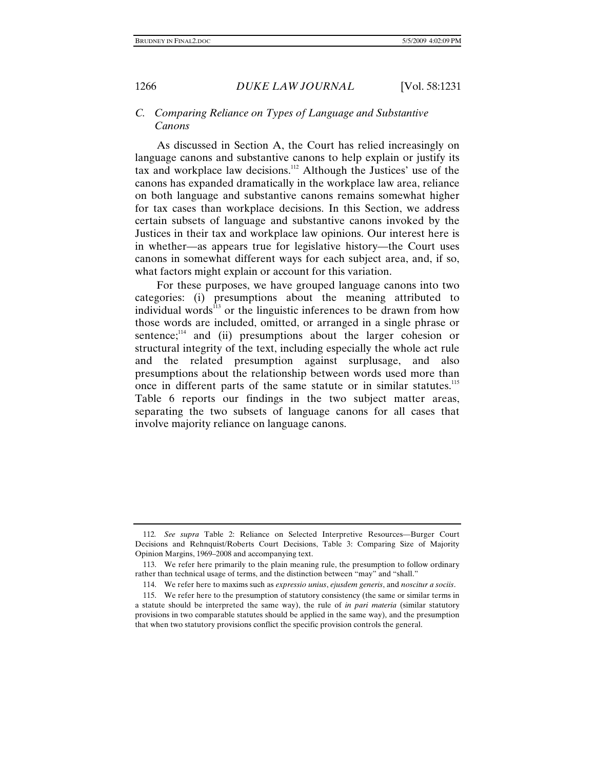# *C. Comparing Reliance on Types of Language and Substantive Canons*

As discussed in Section A, the Court has relied increasingly on language canons and substantive canons to help explain or justify its tax and workplace law decisions.112 Although the Justices' use of the canons has expanded dramatically in the workplace law area, reliance on both language and substantive canons remains somewhat higher for tax cases than workplace decisions. In this Section, we address certain subsets of language and substantive canons invoked by the Justices in their tax and workplace law opinions. Our interest here is in whether—as appears true for legislative history—the Court uses canons in somewhat different ways for each subject area, and, if so, what factors might explain or account for this variation.

For these purposes, we have grouped language canons into two categories: (i) presumptions about the meaning attributed to individual words $^{13}$  or the linguistic inferences to be drawn from how those words are included, omitted, or arranged in a single phrase or sentence; $114$  and (ii) presumptions about the larger cohesion or structural integrity of the text, including especially the whole act rule and the related presumption against surplusage, and also presumptions about the relationship between words used more than once in different parts of the same statute or in similar statutes.<sup>115</sup> Table 6 reports our findings in the two subject matter areas, separating the two subsets of language canons for all cases that involve majority reliance on language canons.

<sup>112</sup>*. See supra* Table 2: Reliance on Selected Interpretive Resources—Burger Court Decisions and Rehnquist/Roberts Court Decisions, Table 3: Comparing Size of Majority Opinion Margins, 1969–2008 and accompanying text.

 <sup>113.</sup> We refer here primarily to the plain meaning rule, the presumption to follow ordinary rather than technical usage of terms, and the distinction between "may" and "shall."

 <sup>114.</sup> We refer here to maxims such as *expressio unius*, *ejusdem generis*, and *noscitur a sociis*.

 <sup>115.</sup> We refer here to the presumption of statutory consistency (the same or similar terms in a statute should be interpreted the same way), the rule of *in pari materia* (similar statutory provisions in two comparable statutes should be applied in the same way), and the presumption that when two statutory provisions conflict the specific provision controls the general.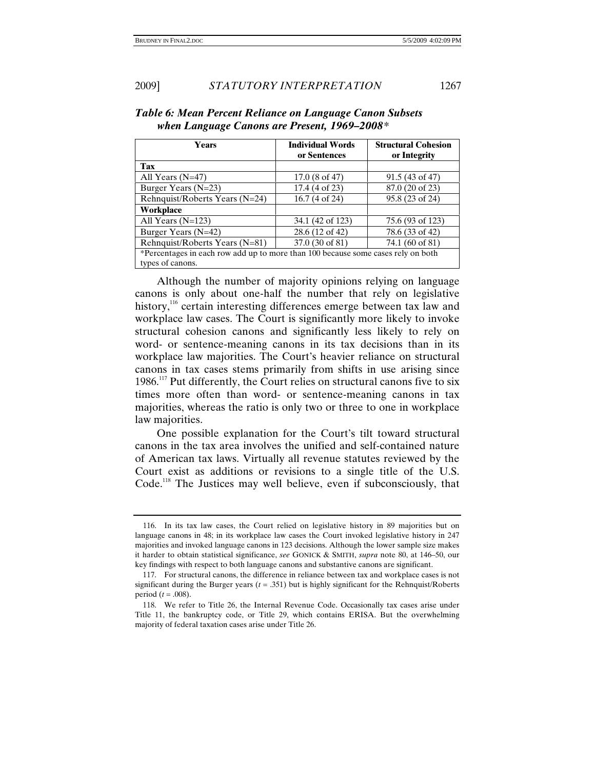| <b>Years</b>                                                                     | <b>Individual Words</b>  | <b>Structural Cohesion</b> |
|----------------------------------------------------------------------------------|--------------------------|----------------------------|
|                                                                                  | or Sentences             | or Integrity               |
| Tax                                                                              |                          |                            |
| All Years $(N=47)$                                                               | $17.0(8 \text{ of } 47)$ | $91.5(43 \text{ of } 47)$  |
| Burger Years (N=23)                                                              | 17.4 (4 of 23)           | 87.0 (20 of 23)            |
| Rehnquist/Roberts Years (N=24)                                                   | $16.7(4 \text{ of } 24)$ | 95.8 (23 of 24)            |
| Workplace                                                                        |                          |                            |
| All Years $(N=123)$                                                              | 34.1 (42 of 123)         | 75.6 (93 of 123)           |
| Burger Years (N=42)                                                              | 28.6 (12 of 42)          | 78.6 (33 of 42)            |
| Rehnquist/Roberts Years (N=81)                                                   | 37.0 (30 of 81)          | 74.1 (60 of 81)            |
| *Percentages in each row add up to more than 100 because some cases rely on both |                          |                            |
| types of canons.                                                                 |                          |                            |

*Table 6: Mean Percent Reliance on Language Canon Subsets when Language Canons are Present, 1969–2008\** 

Although the number of majority opinions relying on language canons is only about one-half the number that rely on legislative history,<sup>116</sup> certain interesting differences emerge between tax law and workplace law cases. The Court is significantly more likely to invoke structural cohesion canons and significantly less likely to rely on word- or sentence-meaning canons in its tax decisions than in its workplace law majorities. The Court's heavier reliance on structural canons in tax cases stems primarily from shifts in use arising since  $1986$ <sup>117</sup> Put differently, the Court relies on structural canons five to six times more often than word- or sentence-meaning canons in tax majorities, whereas the ratio is only two or three to one in workplace law majorities.

One possible explanation for the Court's tilt toward structural canons in the tax area involves the unified and self-contained nature of American tax laws. Virtually all revenue statutes reviewed by the Court exist as additions or revisions to a single title of the U.S. Code.<sup>118</sup> The Justices may well believe, even if subconsciously, that

 <sup>116.</sup> In its tax law cases, the Court relied on legislative history in 89 majorities but on language canons in 48; in its workplace law cases the Court invoked legislative history in 247 majorities and invoked language canons in 123 decisions. Although the lower sample size makes it harder to obtain statistical significance, *see* GONICK & SMITH, *supra* note 80, at 146–50, our key findings with respect to both language canons and substantive canons are significant.

 <sup>117.</sup> For structural canons, the difference in reliance between tax and workplace cases is not significant during the Burger years (*t* = .351) but is highly significant for the Rehnquist/Roberts period (*t* = .008).

 <sup>118.</sup> We refer to Title 26, the Internal Revenue Code. Occasionally tax cases arise under Title 11, the bankruptcy code, or Title 29, which contains ERISA. But the overwhelming majority of federal taxation cases arise under Title 26.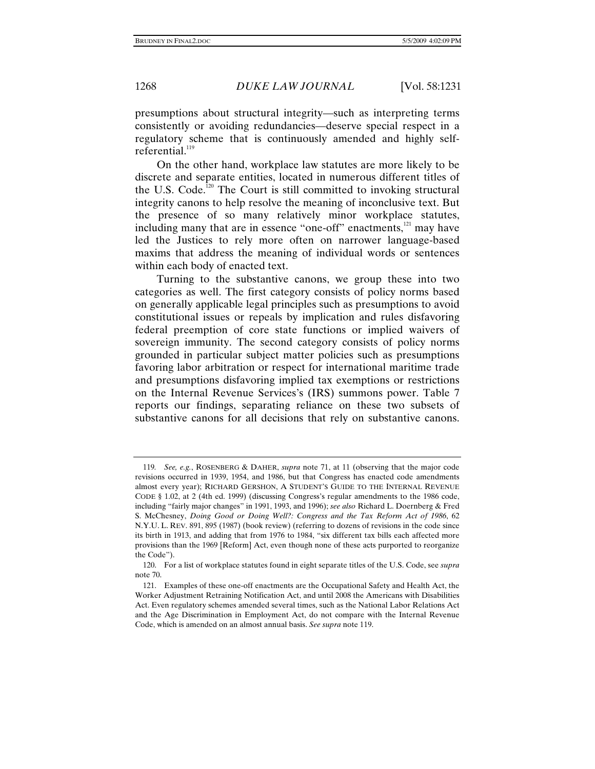presumptions about structural integrity—such as interpreting terms consistently or avoiding redundancies—deserve special respect in a regulatory scheme that is continuously amended and highly selfreferential. $119$ 

On the other hand, workplace law statutes are more likely to be discrete and separate entities, located in numerous different titles of the U.S. Code.<sup>120</sup> The Court is still committed to invoking structural integrity canons to help resolve the meaning of inconclusive text. But the presence of so many relatively minor workplace statutes, including many that are in essence "one-off" enactments,<sup>121</sup> may have led the Justices to rely more often on narrower language-based maxims that address the meaning of individual words or sentences within each body of enacted text.

Turning to the substantive canons, we group these into two categories as well. The first category consists of policy norms based on generally applicable legal principles such as presumptions to avoid constitutional issues or repeals by implication and rules disfavoring federal preemption of core state functions or implied waivers of sovereign immunity. The second category consists of policy norms grounded in particular subject matter policies such as presumptions favoring labor arbitration or respect for international maritime trade and presumptions disfavoring implied tax exemptions or restrictions on the Internal Revenue Services's (IRS) summons power. Table 7 reports our findings, separating reliance on these two subsets of substantive canons for all decisions that rely on substantive canons.

<sup>119</sup>*. See, e.g.*, ROSENBERG & DAHER, *supra* note 71, at 11 (observing that the major code revisions occurred in 1939, 1954, and 1986, but that Congress has enacted code amendments almost every year); RICHARD GERSHON, A STUDENT'S GUIDE TO THE INTERNAL REVENUE CODE § 1.02, at 2 (4th ed. 1999) (discussing Congress's regular amendments to the 1986 code, including "fairly major changes" in 1991, 1993, and 1996); *see also* Richard L. Doernberg & Fred S. McChesney, *Doing Good or Doing Well?: Congress and the Tax Reform Act of 1986*, 62 N.Y.U. L. REV. 891, 895 (1987) (book review) (referring to dozens of revisions in the code since its birth in 1913, and adding that from 1976 to 1984, "six different tax bills each affected more provisions than the 1969 [Reform] Act, even though none of these acts purported to reorganize the Code").

 <sup>120.</sup> For a list of workplace statutes found in eight separate titles of the U.S. Code, see *supra*  note 70.

 <sup>121.</sup> Examples of these one-off enactments are the Occupational Safety and Health Act, the Worker Adjustment Retraining Notification Act, and until 2008 the Americans with Disabilities Act. Even regulatory schemes amended several times, such as the National Labor Relations Act and the Age Discrimination in Employment Act, do not compare with the Internal Revenue Code, which is amended on an almost annual basis. *See supra* note 119.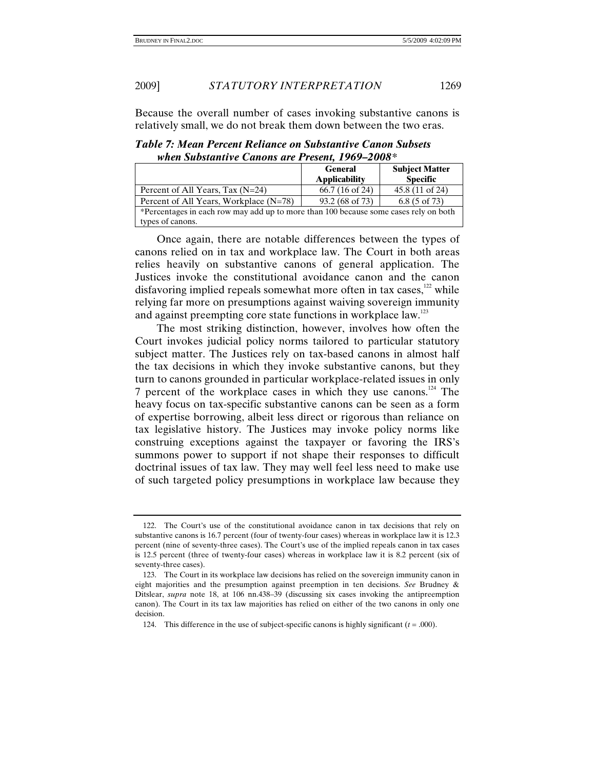Because the overall number of cases invoking substantive canons is relatively small, we do not break them down between the two eras.

|                                                                                      | <b>General</b><br><b>Applicability</b> | <b>Subject Matter</b><br><b>Specific</b> |
|--------------------------------------------------------------------------------------|----------------------------------------|------------------------------------------|
| Percent of All Years, Tax $(N=24)$                                                   | $66.7(16 \text{ of } 24)$              | 45.8 (11 of 24)                          |
| Percent of All Years, Workplace (N=78)                                               | 93.2 (68 of 73)                        | $6.8(5 \text{ of } 73)$                  |
| *Percentages in each row may add up to more than 100 because some cases rely on both |                                        |                                          |
| types of canons.                                                                     |                                        |                                          |

*Table 7: Mean Percent Reliance on Substantive Canon Subsets when Substantive Canons are Present, 1969–2008\** 

Once again, there are notable differences between the types of canons relied on in tax and workplace law. The Court in both areas relies heavily on substantive canons of general application. The Justices invoke the constitutional avoidance canon and the canon disfavoring implied repeals somewhat more often in tax cases, $122$  while relying far more on presumptions against waiving sovereign immunity and against preempting core state functions in workplace law.<sup>123</sup>

The most striking distinction, however, involves how often the Court invokes judicial policy norms tailored to particular statutory subject matter. The Justices rely on tax-based canons in almost half the tax decisions in which they invoke substantive canons, but they turn to canons grounded in particular workplace-related issues in only 7 percent of the workplace cases in which they use canons.<sup>124</sup> The heavy focus on tax-specific substantive canons can be seen as a form of expertise borrowing, albeit less direct or rigorous than reliance on tax legislative history. The Justices may invoke policy norms like construing exceptions against the taxpayer or favoring the IRS's summons power to support if not shape their responses to difficult doctrinal issues of tax law. They may well feel less need to make use of such targeted policy presumptions in workplace law because they

 <sup>122.</sup> The Court's use of the constitutional avoidance canon in tax decisions that rely on substantive canons is 16.7 percent (four of twenty-four cases) whereas in workplace law it is 12.3 percent (nine of seventy-three cases). The Court's use of the implied repeals canon in tax cases is 12.5 percent (three of twenty-four cases) whereas in workplace law it is 8.2 percent (six of seventy-three cases).

 <sup>123.</sup> The Court in its workplace law decisions has relied on the sovereign immunity canon in eight majorities and the presumption against preemption in ten decisions. *See* Brudney & Ditslear, *supra* note 18, at 106 nn.438–39 (discussing six cases invoking the antipreemption canon). The Court in its tax law majorities has relied on either of the two canons in only one decision.

<sup>124.</sup> This difference in the use of subject-specific canons is highly significant  $(t = .000)$ .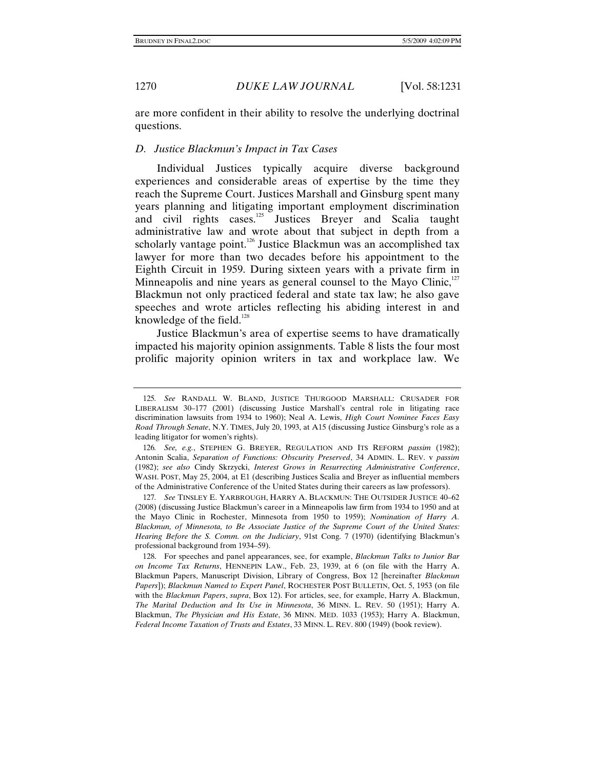are more confident in their ability to resolve the underlying doctrinal questions.

### *D. Justice Blackmun's Impact in Tax Cases*

Individual Justices typically acquire diverse background experiences and considerable areas of expertise by the time they reach the Supreme Court. Justices Marshall and Ginsburg spent many years planning and litigating important employment discrimination and civil rights cases.<sup>125</sup> Justices Breyer and Scalia taught administrative law and wrote about that subject in depth from a scholarly vantage point.<sup>126</sup> Justice Blackmun was an accomplished tax lawyer for more than two decades before his appointment to the Eighth Circuit in 1959. During sixteen years with a private firm in Minneapolis and nine years as general counsel to the Mayo Clinic, $127$ Blackmun not only practiced federal and state tax law; he also gave speeches and wrote articles reflecting his abiding interest in and knowledge of the field.<sup>128</sup>

Justice Blackmun's area of expertise seems to have dramatically impacted his majority opinion assignments. Table 8 lists the four most prolific majority opinion writers in tax and workplace law. We

<sup>125</sup>*. See* RANDALL W. BLAND, JUSTICE THURGOOD MARSHALL: CRUSADER FOR LIBERALISM 30–177 (2001) (discussing Justice Marshall's central role in litigating race discrimination lawsuits from 1934 to 1960); Neal A. Lewis, *High Court Nominee Faces Easy Road Through Senate*, N.Y. TIMES, July 20, 1993, at A15 (discussing Justice Ginsburg's role as a leading litigator for women's rights).

<sup>126</sup>*. See, e.g.*, STEPHEN G. BREYER, REGULATION AND ITS REFORM *passim* (1982); Antonin Scalia, *Separation of Functions: Obscurity Preserved*, 34 ADMIN. L. REV. v *passim* (1982); *see also* Cindy Skrzycki, *Interest Grows in Resurrecting Administrative Conference*, WASH. POST, May 25, 2004, at E1 (describing Justices Scalia and Breyer as influential members of the Administrative Conference of the United States during their careers as law professors).

<sup>127</sup>*. See* TINSLEY E. YARBROUGH, HARRY A. BLACKMUN: THE OUTSIDER JUSTICE 40–62 (2008) (discussing Justice Blackmun's career in a Minneapolis law firm from 1934 to 1950 and at the Mayo Clinic in Rochester, Minnesota from 1950 to 1959); *Nomination of Harry A. Blackmun, of Minnesota, to Be Associate Justice of the Supreme Court of the United States: Hearing Before the S. Comm. on the Judiciary*, 91st Cong. 7 (1970) (identifying Blackmun's professional background from 1934–59).

 <sup>128.</sup> For speeches and panel appearances, see, for example, *Blackmun Talks to Junior Bar on Income Tax Returns*, HENNEPIN LAW., Feb. 23, 1939, at 6 (on file with the Harry A. Blackmun Papers, Manuscript Division, Library of Congress, Box 12 [hereinafter *Blackmun Papers*]); *Blackmun Named to Expert Panel*, ROCHESTER POST BULLETIN, Oct. 5, 1953 (on file with the *Blackmun Papers*, *supra*, Box 12). For articles, see, for example, Harry A. Blackmun, *The Marital Deduction and Its Use in Minnesota*, 36 MINN. L. REV. 50 (1951); Harry A. Blackmun, *The Physician and His Estate*, 36 MINN. MED. 1033 (1953); Harry A. Blackmun, *Federal Income Taxation of Trusts and Estates*, 33 MINN. L. REV. 800 (1949) (book review).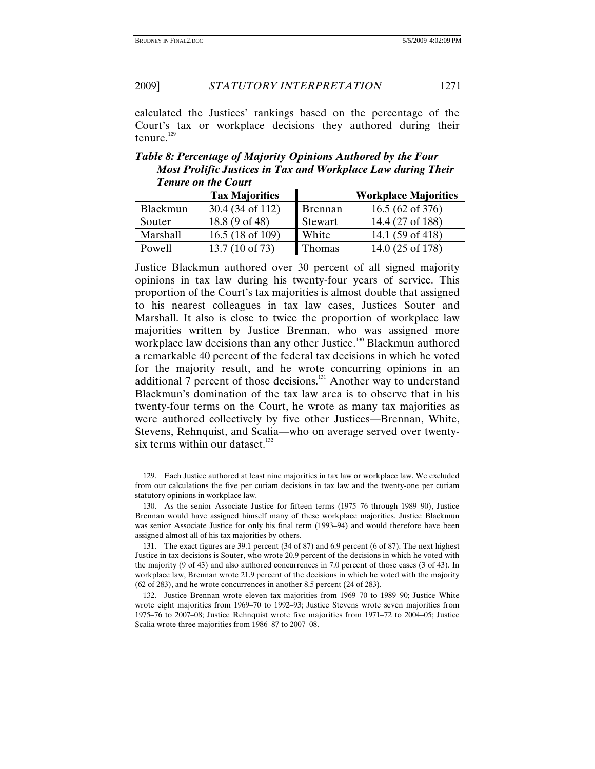2009] *STATUTORY INTERPRETATION* 1271

calculated the Justices' rankings based on the percentage of the Court's tax or workplace decisions they authored during their tenure.<sup>129</sup>

*Table 8: Percentage of Majority Opinions Authored by the Four Most Prolific Justices in Tax and Workplace Law during Their Tenure on the Court*

|          | <b>Tax Majorities</b>                      |         | <b>Workplace Majorities</b> |
|----------|--------------------------------------------|---------|-----------------------------|
| Blackmun | 30.4 (34 of 112)                           | Brennan | $16.5(62 \text{ of } 376)$  |
| Souter   | 18.8 (9 of 48)                             | Stewart | 14.4 (27 of 188)            |
| Marshall | 16.5 (18 of 109)                           | White   | 14.1 (59 of 418)            |
| Powell   | $(10 \text{ of } 73)$<br>13.7 <sub>1</sub> | Thomas  | 14.0 (25 of 178)            |

Justice Blackmun authored over 30 percent of all signed majority opinions in tax law during his twenty-four years of service. This proportion of the Court's tax majorities is almost double that assigned to his nearest colleagues in tax law cases, Justices Souter and Marshall. It also is close to twice the proportion of workplace law majorities written by Justice Brennan, who was assigned more workplace law decisions than any other Justice.<sup>130</sup> Blackmun authored a remarkable 40 percent of the federal tax decisions in which he voted for the majority result, and he wrote concurring opinions in an additional 7 percent of those decisions.<sup>131</sup> Another way to understand Blackmun's domination of the tax law area is to observe that in his twenty-four terms on the Court, he wrote as many tax majorities as were authored collectively by five other Justices—Brennan, White, Stevens, Rehnquist, and Scalia—who on average served over twentysix terms within our dataset. $132$ 

 <sup>129.</sup> Each Justice authored at least nine majorities in tax law or workplace law. We excluded from our calculations the five per curiam decisions in tax law and the twenty-one per curiam statutory opinions in workplace law.

 <sup>130.</sup> As the senior Associate Justice for fifteen terms (1975–76 through 1989–90), Justice Brennan would have assigned himself many of these workplace majorities. Justice Blackmun was senior Associate Justice for only his final term (1993–94) and would therefore have been assigned almost all of his tax majorities by others.

 <sup>131.</sup> The exact figures are 39.1 percent (34 of 87) and 6.9 percent (6 of 87). The next highest Justice in tax decisions is Souter, who wrote 20.9 percent of the decisions in which he voted with the majority (9 of 43) and also authored concurrences in 7.0 percent of those cases (3 of 43). In workplace law, Brennan wrote 21.9 percent of the decisions in which he voted with the majority (62 of 283), and he wrote concurrences in another 8.5 percent (24 of 283).

 <sup>132.</sup> Justice Brennan wrote eleven tax majorities from 1969–70 to 1989–90; Justice White wrote eight majorities from 1969–70 to 1992–93; Justice Stevens wrote seven majorities from 1975–76 to 2007–08; Justice Rehnquist wrote five majorities from 1971–72 to 2004–05; Justice Scalia wrote three majorities from 1986–87 to 2007–08.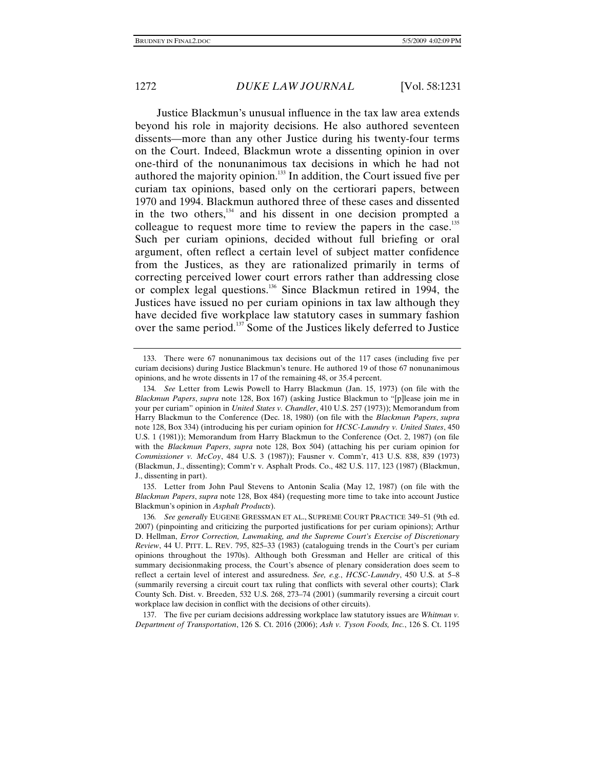Justice Blackmun's unusual influence in the tax law area extends beyond his role in majority decisions. He also authored seventeen dissents—more than any other Justice during his twenty-four terms on the Court. Indeed, Blackmun wrote a dissenting opinion in over one-third of the nonunanimous tax decisions in which he had not authored the majority opinion.133 In addition, the Court issued five per curiam tax opinions, based only on the certiorari papers, between 1970 and 1994. Blackmun authored three of these cases and dissented in the two others, $134$  and his dissent in one decision prompted a colleague to request more time to review the papers in the case.<sup>135</sup> Such per curiam opinions, decided without full briefing or oral argument, often reflect a certain level of subject matter confidence from the Justices, as they are rationalized primarily in terms of correcting perceived lower court errors rather than addressing close or complex legal questions.136 Since Blackmun retired in 1994, the Justices have issued no per curiam opinions in tax law although they have decided five workplace law statutory cases in summary fashion over the same period.<sup>137</sup> Some of the Justices likely deferred to Justice

 135. Letter from John Paul Stevens to Antonin Scalia (May 12, 1987) (on file with the *Blackmun Papers*, *supra* note 128, Box 484) (requesting more time to take into account Justice Blackmun's opinion in *Asphalt Products*).

 137. The five per curiam decisions addressing workplace law statutory issues are *Whitman v. Department of Transportation*, 126 S. Ct. 2016 (2006); *Ash v. Tyson Foods, Inc.*, 126 S. Ct. 1195

 <sup>133.</sup> There were 67 nonunanimous tax decisions out of the 117 cases (including five per curiam decisions) during Justice Blackmun's tenure. He authored 19 of those 67 nonunanimous opinions, and he wrote dissents in 17 of the remaining 48, or 35.4 percent.

<sup>134</sup>*. See* Letter from Lewis Powell to Harry Blackmun (Jan. 15, 1973) (on file with the *Blackmun Papers*, *supra* note 128, Box 167) (asking Justice Blackmun to "[p]lease join me in your per curiam" opinion in *United States v. Chandler*, 410 U.S. 257 (1973)); Memorandum from Harry Blackmun to the Conference (Dec. 18, 1980) (on file with the *Blackmun Papers*, *supra*  note 128, Box 334) (introducing his per curiam opinion for *HCSC-Laundry v. United States*, 450 U.S. 1 (1981)); Memorandum from Harry Blackmun to the Conference (Oct. 2, 1987) (on file with the *Blackmun Papers*, *supra* note 128, Box 504) (attaching his per curiam opinion for *Commissioner v. McCoy*, 484 U.S. 3 (1987)); Fausner v. Comm'r, 413 U.S. 838, 839 (1973) (Blackmun, J., dissenting); Comm'r v. Asphalt Prods. Co., 482 U.S. 117, 123 (1987) (Blackmun, J., dissenting in part).

<sup>136</sup>*. See generally* EUGENE GRESSMAN ET AL., SUPREME COURT PRACTICE 349–51 (9th ed. 2007) (pinpointing and criticizing the purported justifications for per curiam opinions); Arthur D. Hellman, *Error Correction, Lawmaking, and the Supreme Court's Exercise of Discretionary Review*, 44 U. PITT. L. REV. 795, 825–33 (1983) (cataloguing trends in the Court's per curiam opinions throughout the 1970s). Although both Gressman and Heller are critical of this summary decisionmaking process, the Court's absence of plenary consideration does seem to reflect a certain level of interest and assuredness. *See, e.g.*, *HCSC-Laundry*, 450 U.S. at 5–8 (summarily reversing a circuit court tax ruling that conflicts with several other courts); Clark County Sch. Dist. v. Breeden, 532 U.S. 268, 273–74 (2001) (summarily reversing a circuit court workplace law decision in conflict with the decisions of other circuits).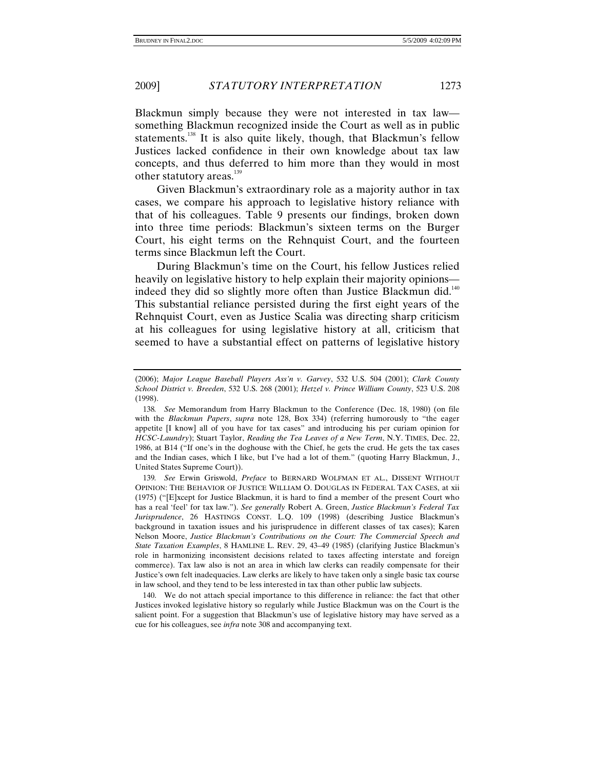Blackmun simply because they were not interested in tax law something Blackmun recognized inside the Court as well as in public statements.<sup>138</sup> It is also quite likely, though, that Blackmun's fellow Justices lacked confidence in their own knowledge about tax law concepts, and thus deferred to him more than they would in most other statutory areas.<sup>139</sup>

Given Blackmun's extraordinary role as a majority author in tax cases, we compare his approach to legislative history reliance with that of his colleagues. Table 9 presents our findings, broken down into three time periods: Blackmun's sixteen terms on the Burger Court, his eight terms on the Rehnquist Court, and the fourteen terms since Blackmun left the Court.

During Blackmun's time on the Court, his fellow Justices relied heavily on legislative history to help explain their majority opinions indeed they did so slightly more often than Justice Blackmun did.<sup>140</sup> This substantial reliance persisted during the first eight years of the Rehnquist Court, even as Justice Scalia was directing sharp criticism at his colleagues for using legislative history at all, criticism that seemed to have a substantial effect on patterns of legislative history

<sup>(2006);</sup> *Major League Baseball Players Ass'n v. Garvey*, 532 U.S. 504 (2001); *Clark County School District v. Breeden*, 532 U.S. 268 (2001); *Hetzel v. Prince William County*, 523 U.S. 208 (1998).

<sup>138</sup>*. See* Memorandum from Harry Blackmun to the Conference (Dec. 18, 1980) (on file with the *Blackmun Papers*, *supra* note 128, Box 334) (referring humorously to "the eager appetite [I know] all of you have for tax cases" and introducing his per curiam opinion for *HCSC-Laundry*); Stuart Taylor, *Reading the Tea Leaves of a New Term*, N.Y. TIMES, Dec. 22, 1986, at B14 ("If one's in the doghouse with the Chief, he gets the crud. He gets the tax cases and the Indian cases, which I like, but I've had a lot of them." (quoting Harry Blackmun, J., United States Supreme Court)).

<sup>139</sup>*. See* Erwin Griswold, *Preface* to BERNARD WOLFMAN ET AL., DISSENT WITHOUT OPINION: THE BEHAVIOR OF JUSTICE WILLIAM O. DOUGLAS IN FEDERAL TAX CASES, at xii (1975) ("[E]xcept for Justice Blackmun, it is hard to find a member of the present Court who has a real 'feel' for tax law."). *See generally* Robert A. Green, *Justice Blackmun's Federal Tax Jurisprudence*, 26 HASTINGS CONST. L.Q. 109 (1998) (describing Justice Blackmun's background in taxation issues and his jurisprudence in different classes of tax cases); Karen Nelson Moore, *Justice Blackmun's Contributions on the Court: The Commercial Speech and State Taxation Examples*, 8 HAMLINE L. REV. 29, 43–49 (1985) (clarifying Justice Blackmun's role in harmonizing inconsistent decisions related to taxes affecting interstate and foreign commerce). Tax law also is not an area in which law clerks can readily compensate for their Justice's own felt inadequacies. Law clerks are likely to have taken only a single basic tax course in law school, and they tend to be less interested in tax than other public law subjects.

 <sup>140.</sup> We do not attach special importance to this difference in reliance: the fact that other Justices invoked legislative history so regularly while Justice Blackmun was on the Court is the salient point. For a suggestion that Blackmun's use of legislative history may have served as a cue for his colleagues, see *infra* note 308 and accompanying text.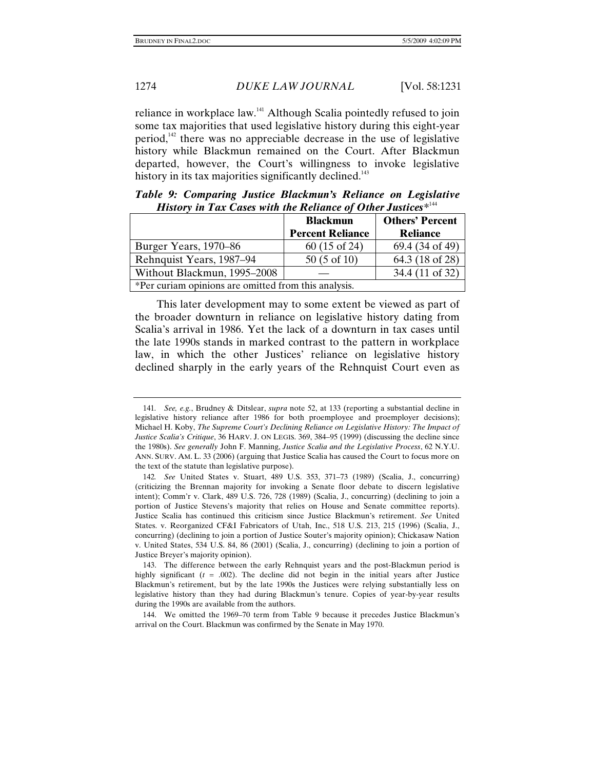reliance in workplace law.<sup>141</sup> Although Scalia pointedly refused to join some tax majorities that used legislative history during this eight-year period,<sup> $142$ </sup> there was no appreciable decrease in the use of legislative history while Blackmun remained on the Court. After Blackmun departed, however, the Court's willingness to invoke legislative history in its tax majorities significantly declined.<sup>143</sup>

*Table 9: Comparing Justice Blackmun's Reliance on Legislative History in Tax Cases with the Reliance of Other Justices\**<sup>144</sup>

|                                                      | <b>Blackmun</b>         | <b>Others' Percent</b> |
|------------------------------------------------------|-------------------------|------------------------|
|                                                      | <b>Percent Reliance</b> | <b>Reliance</b>        |
| Burger Years, 1970–86                                | $60(15 \text{ of } 24)$ | 69.4 (34 of 49)        |
| Rehnquist Years, 1987–94                             | $50(5 \text{ of } 10)$  | 64.3 (18 of 28)        |
| Without Blackmun, 1995–2008                          |                         | 34.4 (11 of 32)        |
| *Per curiam opinions are omitted from this analysis. |                         |                        |

This later development may to some extent be viewed as part of the broader downturn in reliance on legislative history dating from Scalia's arrival in 1986. Yet the lack of a downturn in tax cases until the late 1990s stands in marked contrast to the pattern in workplace law, in which the other Justices' reliance on legislative history declined sharply in the early years of the Rehnquist Court even as

<sup>141</sup>*. See, e.g.*, Brudney & Ditslear, *supra* note 52, at 133 (reporting a substantial decline in legislative history reliance after 1986 for both proemployee and proemployer decisions); Michael H. Koby, *The Supreme Court's Declining Reliance on Legislative History: The Impact of Justice Scalia's Critique*, 36 HARV. J. ON LEGIS. 369, 384–95 (1999) (discussing the decline since the 1980s). *See generally* John F. Manning, *Justice Scalia and the Legislative Process*, 62 N.Y.U. ANN. SURV. AM. L. 33 (2006) (arguing that Justice Scalia has caused the Court to focus more on the text of the statute than legislative purpose).

<sup>142</sup>*. See* United States v. Stuart, 489 U.S. 353, 371–73 (1989) (Scalia, J., concurring) (criticizing the Brennan majority for invoking a Senate floor debate to discern legislative intent); Comm'r v. Clark, 489 U.S. 726, 728 (1989) (Scalia, J., concurring) (declining to join a portion of Justice Stevens's majority that relies on House and Senate committee reports). Justice Scalia has continued this criticism since Justice Blackmun's retirement. *See* United States. v. Reorganized CF&I Fabricators of Utah, Inc., 518 U.S. 213, 215 (1996) (Scalia, J., concurring) (declining to join a portion of Justice Souter's majority opinion); Chickasaw Nation v. United States, 534 U.S. 84, 86 (2001) (Scalia, J., concurring) (declining to join a portion of Justice Breyer's majority opinion).

 <sup>143.</sup> The difference between the early Rehnquist years and the post-Blackmun period is highly significant  $(t = .002)$ . The decline did not begin in the initial years after Justice Blackmun's retirement, but by the late 1990s the Justices were relying substantially less on legislative history than they had during Blackmun's tenure. Copies of year-by-year results during the 1990s are available from the authors.

 <sup>144.</sup> We omitted the 1969–70 term from Table 9 because it precedes Justice Blackmun's arrival on the Court. Blackmun was confirmed by the Senate in May 1970.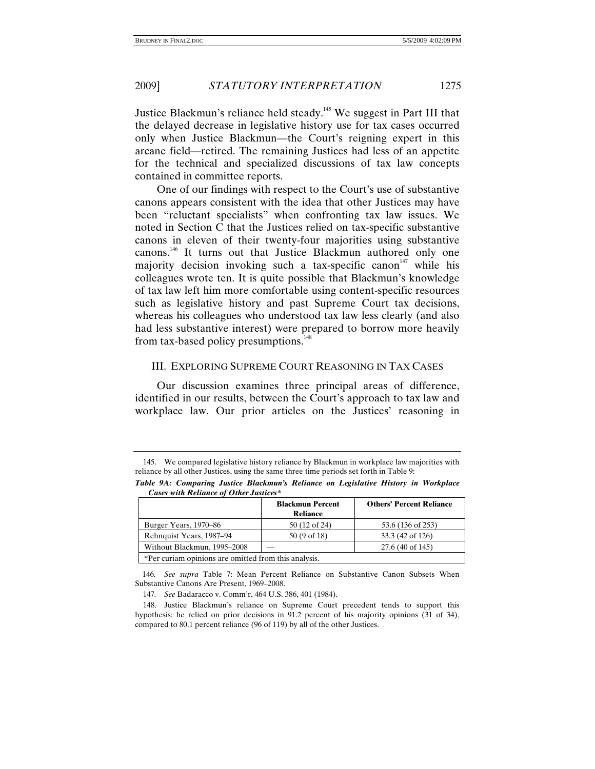Justice Blackmun's reliance held steady.145 We suggest in Part III that the delayed decrease in legislative history use for tax cases occurred only when Justice Blackmun—the Court's reigning expert in this arcane field—retired. The remaining Justices had less of an appetite for the technical and specialized discussions of tax law concepts contained in committee reports.

One of our findings with respect to the Court's use of substantive canons appears consistent with the idea that other Justices may have been "reluctant specialists" when confronting tax law issues. We noted in Section C that the Justices relied on tax-specific substantive canons in eleven of their twenty-four majorities using substantive canons.146 It turns out that Justice Blackmun authored only one majority decision invoking such a tax-specific canon<sup> $147$ </sup> while his colleagues wrote ten. It is quite possible that Blackmun's knowledge of tax law left him more comfortable using content-specific resources such as legislative history and past Supreme Court tax decisions, whereas his colleagues who understood tax law less clearly (and also had less substantive interest) were prepared to borrow more heavily from tax-based policy presumptions.<sup>148</sup>

# III. EXPLORING SUPREME COURT REASONING IN TAX CASES

Our discussion examines three principal areas of difference, identified in our results, between the Court's approach to tax law and workplace law. Our prior articles on the Justices' reasoning in

*Table 9A: Comparing Justice Blackmun's Reliance on Legislative History in Workplace Cases with Reliance of Other Justices\** 

|                                                      | <b>Blackmun Percent</b><br><b>Reliance</b> | <b>Others' Percent Reliance</b> |
|------------------------------------------------------|--------------------------------------------|---------------------------------|
| Burger Years, 1970–86                                | 50 (12 of 24)                              | 53.6 (136 of 253)               |
| Rehnquist Years, 1987–94                             | $50(9 \text{ of } 18)$                     | 33.3 (42 of 126)                |
| Without Blackmun, 1995–2008                          |                                            | 27.6 (40 of 145)                |
| *Per curiam opinions are omitted from this analysis. |                                            |                                 |

146*. See supra* Table 7: Mean Percent Reliance on Substantive Canon Subsets When Substantive Canons Are Present, 1969–2008.

147*. See* Badaracco v. Comm'r, 464 U.S. 386, 401 (1984).

 <sup>145.</sup> We compared legislative history reliance by Blackmun in workplace law majorities with reliance by all other Justices, using the same three time periods set forth in Table 9:

 <sup>148.</sup> Justice Blackmun's reliance on Supreme Court precedent tends to support this hypothesis: he relied on prior decisions in 91.2 percent of his majority opinions (31 of 34), compared to 80.1 percent reliance (96 of 119) by all of the other Justices.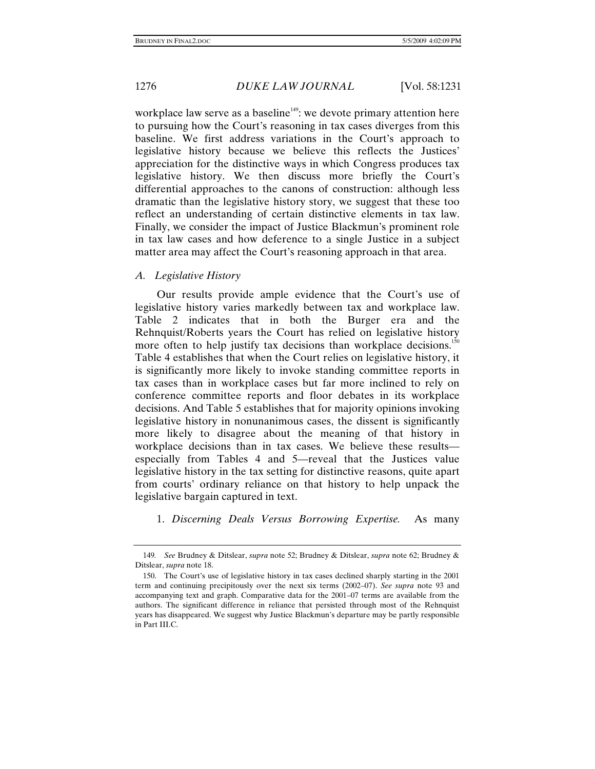workplace law serve as a baseline<sup> $149$ </sup>: we devote primary attention here to pursuing how the Court's reasoning in tax cases diverges from this baseline. We first address variations in the Court's approach to legislative history because we believe this reflects the Justices' appreciation for the distinctive ways in which Congress produces tax legislative history. We then discuss more briefly the Court's differential approaches to the canons of construction: although less dramatic than the legislative history story, we suggest that these too reflect an understanding of certain distinctive elements in tax law. Finally, we consider the impact of Justice Blackmun's prominent role in tax law cases and how deference to a single Justice in a subject matter area may affect the Court's reasoning approach in that area.

# *A. Legislative History*

Our results provide ample evidence that the Court's use of legislative history varies markedly between tax and workplace law. Table 2 indicates that in both the Burger era and the Rehnquist/Roberts years the Court has relied on legislative history more often to help justify tax decisions than workplace decisions.<sup>150</sup> Table 4 establishes that when the Court relies on legislative history, it is significantly more likely to invoke standing committee reports in tax cases than in workplace cases but far more inclined to rely on conference committee reports and floor debates in its workplace decisions. And Table 5 establishes that for majority opinions invoking legislative history in nonunanimous cases, the dissent is significantly more likely to disagree about the meaning of that history in workplace decisions than in tax cases. We believe these results especially from Tables 4 and 5—reveal that the Justices value legislative history in the tax setting for distinctive reasons, quite apart from courts' ordinary reliance on that history to help unpack the legislative bargain captured in text.

1. *Discerning Deals Versus Borrowing Expertise.* As many

<sup>149</sup>*. See* Brudney & Ditslear, *supra* note 52; Brudney & Ditslear, *supra* note 62; Brudney & Ditslear, *supra* note 18.

 <sup>150.</sup> The Court's use of legislative history in tax cases declined sharply starting in the 2001 term and continuing precipitously over the next six terms (2002–07). *See supra* note 93 and accompanying text and graph. Comparative data for the 2001–07 terms are available from the authors. The significant difference in reliance that persisted through most of the Rehnquist years has disappeared. We suggest why Justice Blackmun's departure may be partly responsible in Part III.C.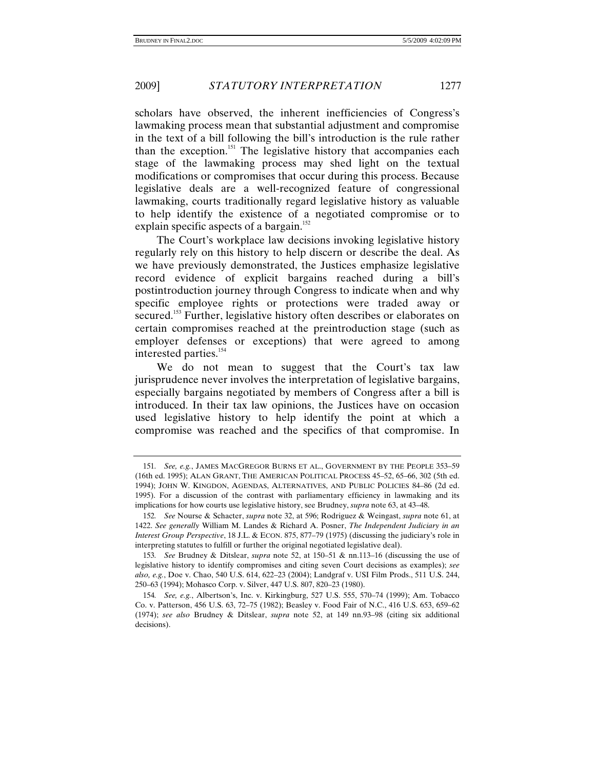scholars have observed, the inherent inefficiencies of Congress's lawmaking process mean that substantial adjustment and compromise in the text of a bill following the bill's introduction is the rule rather than the exception.<sup>151</sup> The legislative history that accompanies each stage of the lawmaking process may shed light on the textual modifications or compromises that occur during this process. Because legislative deals are a well-recognized feature of congressional lawmaking, courts traditionally regard legislative history as valuable to help identify the existence of a negotiated compromise or to explain specific aspects of a bargain.<sup>152</sup>

The Court's workplace law decisions invoking legislative history regularly rely on this history to help discern or describe the deal. As we have previously demonstrated, the Justices emphasize legislative record evidence of explicit bargains reached during a bill's postintroduction journey through Congress to indicate when and why specific employee rights or protections were traded away or secured.<sup>153</sup> Further, legislative history often describes or elaborates on certain compromises reached at the preintroduction stage (such as employer defenses or exceptions) that were agreed to among interested parties.<sup>154</sup>

We do not mean to suggest that the Court's tax law jurisprudence never involves the interpretation of legislative bargains, especially bargains negotiated by members of Congress after a bill is introduced. In their tax law opinions, the Justices have on occasion used legislative history to help identify the point at which a compromise was reached and the specifics of that compromise. In

<sup>151</sup>*. See, e.g.*, JAMES MACGREGOR BURNS ET AL., GOVERNMENT BY THE PEOPLE 353–59 (16th ed. 1995); ALAN GRANT, THE AMERICAN POLITICAL PROCESS 45–52, 65–66, 302 (5th ed. 1994); JOHN W. KINGDON, AGENDAS, ALTERNATIVES, AND PUBLIC POLICIES 84–86 (2d ed. 1995). For a discussion of the contrast with parliamentary efficiency in lawmaking and its implications for how courts use legislative history, see Brudney, *supra* note 63, at 43–48.

<sup>152</sup>*. See* Nourse & Schacter, *supra* note 32, at 596; Rodriguez & Weingast, *supra* note 61, at 1422. *See generally* William M. Landes & Richard A. Posner, *The Independent Judiciary in an Interest Group Perspective*, 18 J.L. & ECON. 875, 877–79 (1975) (discussing the judiciary's role in interpreting statutes to fulfill or further the original negotiated legislative deal).

<sup>153</sup>*. See* Brudney & Ditslear, *supra* note 52, at 150–51 & nn.113–16 (discussing the use of legislative history to identify compromises and citing seven Court decisions as examples); *see also, e.g.*, Doe v. Chao, 540 U.S. 614, 622–23 (2004); Landgraf v. USI Film Prods., 511 U.S. 244, 250–63 (1994); Mohasco Corp. v. Silver, 447 U.S. 807, 820–23 (1980).

<sup>154</sup>*. See, e.g.*, Albertson's, Inc. v. Kirkingburg, 527 U.S. 555, 570–74 (1999); Am. Tobacco Co. v. Patterson, 456 U.S. 63, 72–75 (1982); Beasley v. Food Fair of N.C., 416 U.S. 653, 659–62 (1974); *see also* Brudney & Ditslear, *supra* note 52, at 149 nn.93–98 (citing six additional decisions).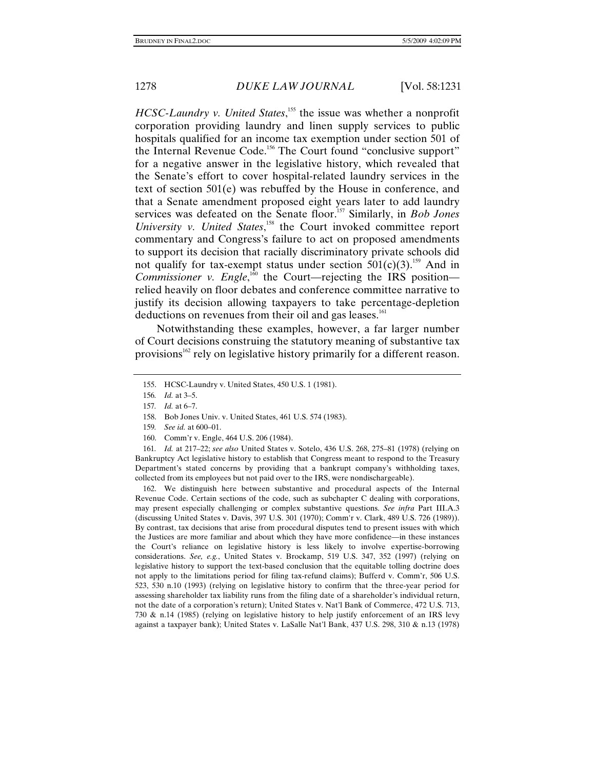*HCSC-Laundry v. United States*,<sup>155</sup> the issue was whether a nonprofit corporation providing laundry and linen supply services to public hospitals qualified for an income tax exemption under section 501 of the Internal Revenue Code.<sup>156</sup> The Court found "conclusive support" for a negative answer in the legislative history, which revealed that the Senate's effort to cover hospital-related laundry services in the text of section 501(e) was rebuffed by the House in conference, and that a Senate amendment proposed eight years later to add laundry services was defeated on the Senate floor.<sup>157</sup> Similarly, in *Bob Jones* University v. United States,<sup>158</sup> the Court invoked committee report commentary and Congress's failure to act on proposed amendments to support its decision that racially discriminatory private schools did not qualify for tax-exempt status under section  $501(c)(3)$ .<sup>159</sup> And in *Commissioner v. Engle*,<sup>160</sup> the Court—rejecting the IRS position relied heavily on floor debates and conference committee narrative to justify its decision allowing taxpayers to take percentage-depletion deductions on revenues from their oil and gas leases.<sup>161</sup>

Notwithstanding these examples, however, a far larger number of Court decisions construing the statutory meaning of substantive tax provisions<sup>162</sup> rely on legislative history primarily for a different reason.

- 158. Bob Jones Univ. v. United States, 461 U.S. 574 (1983).
- 159*. See id.* at 600–01.
- 160. Comm'r v. Engle, 464 U.S. 206 (1984).

161*. Id.* at 217–22; *see also* United States v. Sotelo, 436 U.S. 268, 275–81 (1978) (relying on Bankruptcy Act legislative history to establish that Congress meant to respond to the Treasury Department's stated concerns by providing that a bankrupt company's withholding taxes, collected from its employees but not paid over to the IRS, were nondischargeable).

 162. We distinguish here between substantive and procedural aspects of the Internal Revenue Code. Certain sections of the code, such as subchapter C dealing with corporations, may present especially challenging or complex substantive questions. *See infra* Part III.A.3 (discussing United States v. Davis, 397 U.S. 301 (1970); Comm'r v. Clark, 489 U.S. 726 (1989)). By contrast, tax decisions that arise from procedural disputes tend to present issues with which the Justices are more familiar and about which they have more confidence—in these instances the Court's reliance on legislative history is less likely to involve expertise-borrowing considerations. *See, e.g.*, United States v. Brockamp, 519 U.S. 347, 352 (1997) (relying on legislative history to support the text-based conclusion that the equitable tolling doctrine does not apply to the limitations period for filing tax-refund claims); Bufferd v. Comm'r, 506 U.S. 523, 530 n.10 (1993) (relying on legislative history to confirm that the three-year period for assessing shareholder tax liability runs from the filing date of a shareholder's individual return, not the date of a corporation's return); United States v. Nat'l Bank of Commerce, 472 U.S. 713, 730 & n.14 (1985) (relying on legislative history to help justify enforcement of an IRS levy against a taxpayer bank); United States v. LaSalle Nat'l Bank, 437 U.S. 298, 310 & n.13 (1978)

 <sup>155.</sup> HCSC-Laundry v. United States, 450 U.S. 1 (1981).

<sup>156</sup>*. Id.* at 3–5.

<sup>157</sup>*. Id.* at 6–7.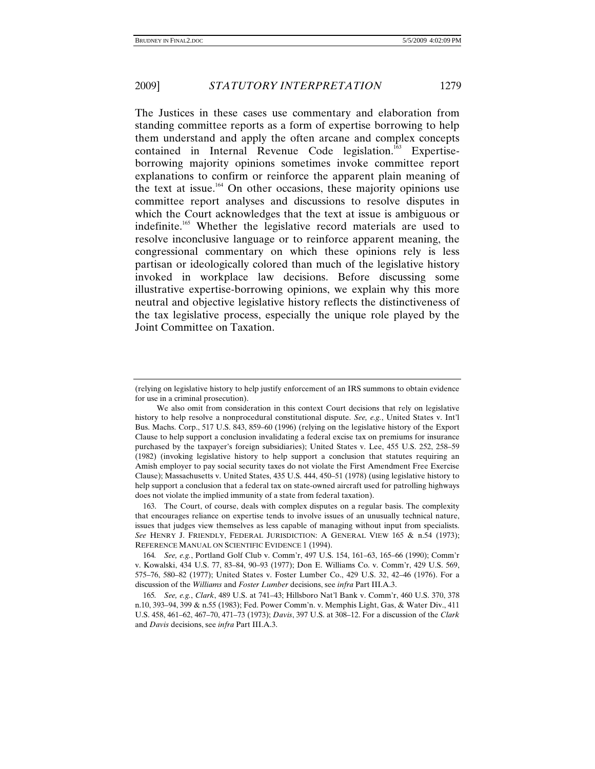The Justices in these cases use commentary and elaboration from standing committee reports as a form of expertise borrowing to help them understand and apply the often arcane and complex concepts contained in Internal Revenue Code legislation.<sup>163</sup> Expertiseborrowing majority opinions sometimes invoke committee report explanations to confirm or reinforce the apparent plain meaning of the text at issue.<sup>164</sup> On other occasions, these majority opinions use committee report analyses and discussions to resolve disputes in which the Court acknowledges that the text at issue is ambiguous or indefinite.165 Whether the legislative record materials are used to resolve inconclusive language or to reinforce apparent meaning, the congressional commentary on which these opinions rely is less partisan or ideologically colored than much of the legislative history invoked in workplace law decisions. Before discussing some illustrative expertise-borrowing opinions, we explain why this more neutral and objective legislative history reflects the distinctiveness of the tax legislative process, especially the unique role played by the Joint Committee on Taxation.

<sup>(</sup>relying on legislative history to help justify enforcement of an IRS summons to obtain evidence for use in a criminal prosecution).

We also omit from consideration in this context Court decisions that rely on legislative history to help resolve a nonprocedural constitutional dispute. *See, e.g.*, United States v. Int'l Bus. Machs. Corp., 517 U.S. 843, 859–60 (1996) (relying on the legislative history of the Export Clause to help support a conclusion invalidating a federal excise tax on premiums for insurance purchased by the taxpayer's foreign subsidiaries); United States v. Lee, 455 U.S. 252, 258–59 (1982) (invoking legislative history to help support a conclusion that statutes requiring an Amish employer to pay social security taxes do not violate the First Amendment Free Exercise Clause); Massachusetts v. United States, 435 U.S. 444, 450–51 (1978) (using legislative history to help support a conclusion that a federal tax on state-owned aircraft used for patrolling highways does not violate the implied immunity of a state from federal taxation).

 <sup>163.</sup> The Court, of course, deals with complex disputes on a regular basis. The complexity that encourages reliance on expertise tends to involve issues of an unusually technical nature, issues that judges view themselves as less capable of managing without input from specialists. *See* HENRY J. FRIENDLY, FEDERAL JURISDICTION: A GENERAL VIEW 165 & n.54 (1973); REFERENCE MANUAL ON SCIENTIFIC EVIDENCE 1 (1994).

<sup>164</sup>*. See, e.g.*, Portland Golf Club v. Comm'r, 497 U.S. 154, 161–63, 165–66 (1990); Comm'r v. Kowalski, 434 U.S. 77, 83–84, 90–93 (1977); Don E. Williams Co. v. Comm'r, 429 U.S. 569, 575–76, 580–82 (1977); United States v. Foster Lumber Co., 429 U.S. 32, 42–46 (1976). For a discussion of the *Williams* and *Foster Lumber* decisions, see *infra* Part III.A.3.

<sup>165</sup>*. See, e.g.*, *Clark*, 489 U.S. at 741–43; Hillsboro Nat'l Bank v. Comm'r, 460 U.S. 370, 378 n.10, 393–94, 399 & n.55 (1983); Fed. Power Comm'n. v. Memphis Light, Gas, & Water Div., 411 U.S. 458, 461–62, 467–70, 471–73 (1973); *Davis*, 397 U.S. at 308–12. For a discussion of the *Clark* and *Davis* decisions, see *infra* Part III.A.3.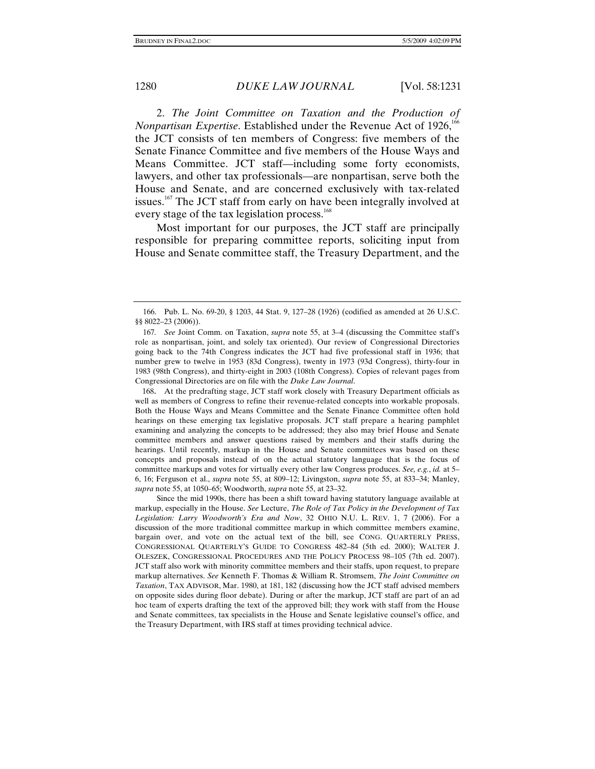2. *The Joint Committee on Taxation and the Production of Nonpartisan Expertise*. Established under the Revenue Act of 1926,<sup>166</sup> the JCT consists of ten members of Congress: five members of the Senate Finance Committee and five members of the House Ways and Means Committee. JCT staff—including some forty economists, lawyers, and other tax professionals—are nonpartisan, serve both the House and Senate, and are concerned exclusively with tax-related issues.<sup>167</sup> The JCT staff from early on have been integrally involved at every stage of the tax legislation process.<sup>168</sup>

Most important for our purposes, the JCT staff are principally responsible for preparing committee reports, soliciting input from House and Senate committee staff, the Treasury Department, and the

168. At the predrafting stage, JCT staff work closely with Treasury Department officials as well as members of Congress to refine their revenue-related concepts into workable proposals. Both the House Ways and Means Committee and the Senate Finance Committee often hold hearings on these emerging tax legislative proposals. JCT staff prepare a hearing pamphlet examining and analyzing the concepts to be addressed; they also may brief House and Senate committee members and answer questions raised by members and their staffs during the hearings. Until recently, markup in the House and Senate committees was based on these concepts and proposals instead of on the actual statutory language that is the focus of committee markups and votes for virtually every other law Congress produces. *See, e.g.*, *id.* at 5– 6, 16; Ferguson et al., *supra* note 55, at 809–12; Livingston, *supra* note 55, at 833–34; Manley, *supra* note 55, at 1050–65; Woodworth, *supra* note 55, at 23–32.

Since the mid 1990s, there has been a shift toward having statutory language available at markup, especially in the House. *See* Lecture, *The Role of Tax Policy in the Development of Tax Legislation: Larry Woodworth's Era and Now*, 32 OHIO N.U. L. REV. 1, 7 (2006). For a discussion of the more traditional committee markup in which committee members examine, bargain over, and vote on the actual text of the bill, see CONG. QUARTERLY PRESS, CONGRESSIONAL QUARTERLY'S GUIDE TO CONGRESS 482–84 (5th ed. 2000); WALTER J. OLESZEK, CONGRESSIONAL PROCEDURES AND THE POLICY PROCESS 98–105 (7th ed. 2007). JCT staff also work with minority committee members and their staffs, upon request, to prepare markup alternatives. *See* Kenneth F. Thomas & William R. Stromsem, *The Joint Committee on Taxation*, TAX ADVISOR, Mar. 1980, at 181, 182 (discussing how the JCT staff advised members on opposite sides during floor debate). During or after the markup, JCT staff are part of an ad hoc team of experts drafting the text of the approved bill; they work with staff from the House and Senate committees, tax specialists in the House and Senate legislative counsel's office, and the Treasury Department, with IRS staff at times providing technical advice.

 <sup>166.</sup> Pub. L. No. 69-20, § 1203, 44 Stat. 9, 127–28 (1926) (codified as amended at 26 U.S.C. §§ 8022–23 (2006)).

<sup>167</sup>*. See* Joint Comm. on Taxation, *supra* note 55, at 3–4 (discussing the Committee staff's role as nonpartisan, joint, and solely tax oriented). Our review of Congressional Directories going back to the 74th Congress indicates the JCT had five professional staff in 1936; that number grew to twelve in 1953 (83d Congress), twenty in 1973 (93d Congress), thirty-four in 1983 (98th Congress), and thirty-eight in 2003 (108th Congress). Copies of relevant pages from Congressional Directories are on file with the *Duke Law Journal*.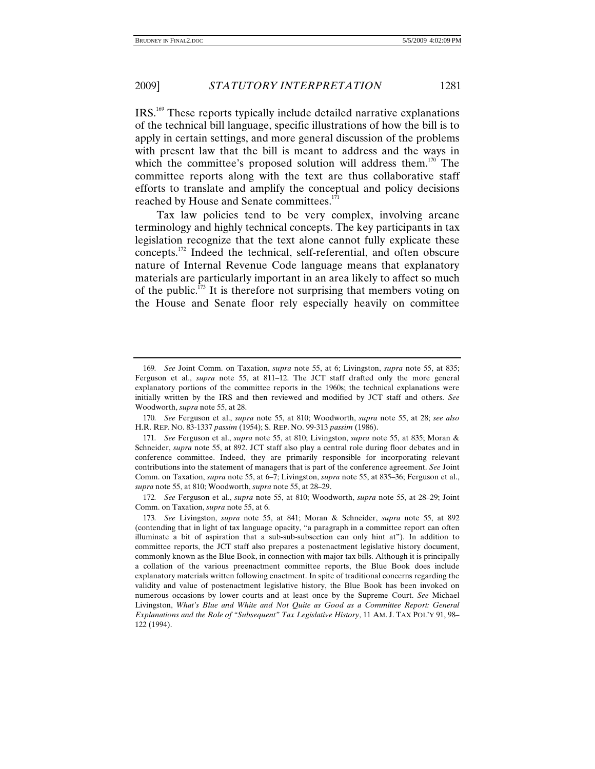IRS.169 These reports typically include detailed narrative explanations of the technical bill language, specific illustrations of how the bill is to apply in certain settings, and more general discussion of the problems with present law that the bill is meant to address and the ways in which the committee's proposed solution will address them.<sup>170</sup> The committee reports along with the text are thus collaborative staff efforts to translate and amplify the conceptual and policy decisions reached by House and Senate committees.<sup>171</sup>

Tax law policies tend to be very complex, involving arcane terminology and highly technical concepts. The key participants in tax legislation recognize that the text alone cannot fully explicate these concepts.172 Indeed the technical, self-referential, and often obscure nature of Internal Revenue Code language means that explanatory materials are particularly important in an area likely to affect so much of the public.173 It is therefore not surprising that members voting on the House and Senate floor rely especially heavily on committee

<sup>169</sup>*. See* Joint Comm. on Taxation, *supra* note 55, at 6; Livingston, *supra* note 55, at 835; Ferguson et al., *supra* note 55, at 811–12. The JCT staff drafted only the more general explanatory portions of the committee reports in the 1960s; the technical explanations were initially written by the IRS and then reviewed and modified by JCT staff and others. *See* Woodworth, *supra* note 55, at 28.

<sup>170</sup>*. See* Ferguson et al., *supra* note 55, at 810; Woodworth, *supra* note 55, at 28; *see also*  H.R. REP. NO. 83-1337 *passim* (1954); S. REP. NO. 99-313 *passim* (1986).

<sup>171</sup>*. See* Ferguson et al., *supra* note 55, at 810; Livingston, *supra* note 55, at 835; Moran & Schneider, *supra* note 55, at 892. JCT staff also play a central role during floor debates and in conference committee. Indeed, they are primarily responsible for incorporating relevant contributions into the statement of managers that is part of the conference agreement. *See* Joint Comm. on Taxation, *supra* note 55, at 6–7; Livingston, *supra* note 55, at 835–36; Ferguson et al., *supra* note 55, at 810; Woodworth, *supra* note 55, at 28–29.

<sup>172</sup>*. See* Ferguson et al., *supra* note 55, at 810; Woodworth, *supra* note 55, at 28–29; Joint Comm. on Taxation, *supra* note 55, at 6.

<sup>173</sup>*. See* Livingston, *supra* note 55, at 841; Moran & Schneider, *supra* note 55, at 892 (contending that in light of tax language opacity, "a paragraph in a committee report can often illuminate a bit of aspiration that a sub-sub-subsection can only hint at"). In addition to committee reports, the JCT staff also prepares a postenactment legislative history document, commonly known as the Blue Book, in connection with major tax bills. Although it is principally a collation of the various preenactment committee reports, the Blue Book does include explanatory materials written following enactment. In spite of traditional concerns regarding the validity and value of postenactment legislative history, the Blue Book has been invoked on numerous occasions by lower courts and at least once by the Supreme Court. *See* Michael Livingston, *What's Blue and White and Not Quite as Good as a Committee Report: General Explanations and the Role of "Subsequent" Tax Legislative History*, 11 AM. J. TAX POL'Y 91, 98– 122 (1994).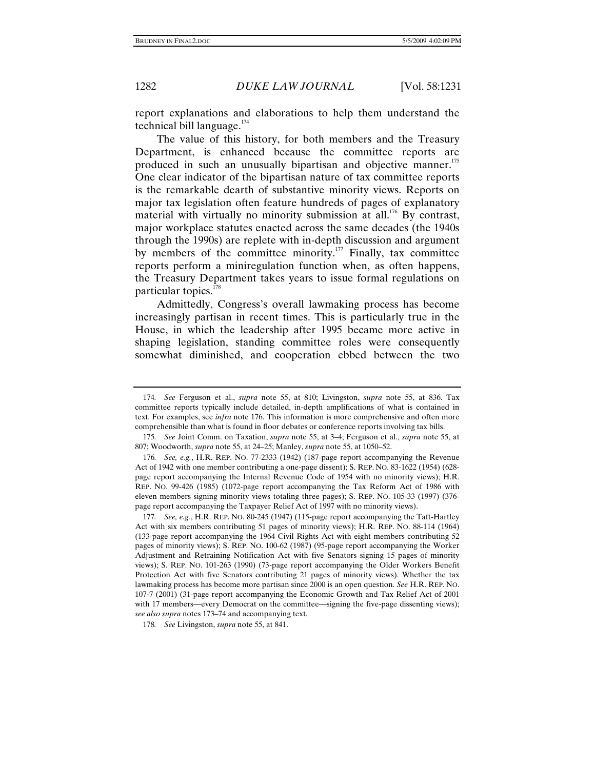report explanations and elaborations to help them understand the technical bill language.<sup>174</sup>

The value of this history, for both members and the Treasury Department, is enhanced because the committee reports are produced in such an unusually bipartisan and objective manner.<sup>175</sup> One clear indicator of the bipartisan nature of tax committee reports is the remarkable dearth of substantive minority views. Reports on major tax legislation often feature hundreds of pages of explanatory material with virtually no minority submission at all.<sup>176</sup> By contrast, major workplace statutes enacted across the same decades (the 1940s through the 1990s) are replete with in-depth discussion and argument by members of the committee minority.<sup>177</sup> Finally, tax committee reports perform a miniregulation function when, as often happens, the Treasury Department takes years to issue formal regulations on particular topics.<sup>178</sup>

Admittedly, Congress's overall lawmaking process has become increasingly partisan in recent times. This is particularly true in the House, in which the leadership after 1995 became more active in shaping legislation, standing committee roles were consequently somewhat diminished, and cooperation ebbed between the two

<sup>174</sup>*. See* Ferguson et al., *supra* note 55, at 810; Livingston, *supra* note 55, at 836. Tax committee reports typically include detailed, in-depth amplifications of what is contained in text. For examples, see *infra* note 176. This information is more comprehensive and often more comprehensible than what is found in floor debates or conference reports involving tax bills.

<sup>175</sup>*. See* Joint Comm. on Taxation, *supra* note 55, at 3–4; Ferguson et al., *supra* note 55, at 807; Woodworth, *supra* note 55, at 24–25; Manley, *supra* note 55, at 1050–52.

<sup>176</sup>*. See, e.g.*, H.R. REP. NO. 77-2333 (1942) (187-page report accompanying the Revenue Act of 1942 with one member contributing a one-page dissent); S. REP. NO. 83-1622 (1954) (628 page report accompanying the Internal Revenue Code of 1954 with no minority views); H.R. REP. NO. 99-426 (1985) (1072-page report accompanying the Tax Reform Act of 1986 with eleven members signing minority views totaling three pages); S. REP. NO. 105-33 (1997) (376 page report accompanying the Taxpayer Relief Act of 1997 with no minority views).

<sup>177</sup>*. See, e.g.*, H.R. REP. NO. 80-245 (1947) (115-page report accompanying the Taft-Hartley Act with six members contributing 51 pages of minority views); H.R. REP. NO. 88-114 (1964) (133-page report accompanying the 1964 Civil Rights Act with eight members contributing 52 pages of minority views); S. REP. NO. 100-62 (1987) (95-page report accompanying the Worker Adjustment and Retraining Notification Act with five Senators signing 15 pages of minority views); S. REP. NO. 101-263 (1990) (73-page report accompanying the Older Workers Benefit Protection Act with five Senators contributing 21 pages of minority views). Whether the tax lawmaking process has become more partisan since 2000 is an open question. *See* H.R. REP. NO. 107-7 (2001) (31-page report accompanying the Economic Growth and Tax Relief Act of 2001 with 17 members—every Democrat on the committee—signing the five-page dissenting views); *see also supra* notes 173–74 and accompanying text.

<sup>178</sup>*. See* Livingston, *supra* note 55, at 841.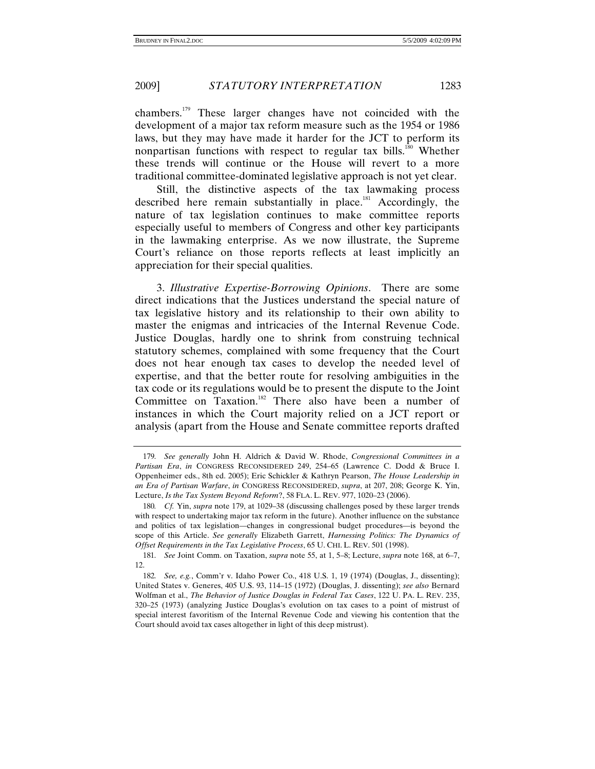chambers.179 These larger changes have not coincided with the development of a major tax reform measure such as the 1954 or 1986 laws, but they may have made it harder for the JCT to perform its nonpartisan functions with respect to regular tax bills.<sup>180</sup> Whether these trends will continue or the House will revert to a more traditional committee-dominated legislative approach is not yet clear.

Still, the distinctive aspects of the tax lawmaking process described here remain substantially in place.<sup>181</sup> Accordingly, the nature of tax legislation continues to make committee reports especially useful to members of Congress and other key participants in the lawmaking enterprise. As we now illustrate, the Supreme Court's reliance on those reports reflects at least implicitly an appreciation for their special qualities.

3. *Illustrative Expertise-Borrowing Opinions*. There are some direct indications that the Justices understand the special nature of tax legislative history and its relationship to their own ability to master the enigmas and intricacies of the Internal Revenue Code. Justice Douglas, hardly one to shrink from construing technical statutory schemes, complained with some frequency that the Court does not hear enough tax cases to develop the needed level of expertise, and that the better route for resolving ambiguities in the tax code or its regulations would be to present the dispute to the Joint Committee on Taxation.<sup>182</sup> There also have been a number of instances in which the Court majority relied on a JCT report or analysis (apart from the House and Senate committee reports drafted

<sup>179</sup>*. See generally* John H. Aldrich & David W. Rhode, *Congressional Committees in a Partisan Era*, *in* CONGRESS RECONSIDERED 249, 254–65 (Lawrence C. Dodd & Bruce I. Oppenheimer eds., 8th ed. 2005); Eric Schickler & Kathryn Pearson, *The House Leadership in an Era of Partisan Warfare*, *in* CONGRESS RECONSIDERED, *supra*, at 207, 208; George K. Yin, Lecture, *Is the Tax System Beyond Reform*?, 58 FLA. L. REV. 977, 1020–23 (2006).

<sup>180</sup>*. Cf.* Yin, *supra* note 179, at 1029–38 (discussing challenges posed by these larger trends with respect to undertaking major tax reform in the future). Another influence on the substance and politics of tax legislation—changes in congressional budget procedures—is beyond the scope of this Article. *See generally* Elizabeth Garrett, *Harnessing Politics: The Dynamics of Offset Requirements in the Tax Legislative Process*, 65 U. CHI. L. REV. 501 (1998).

<sup>181</sup>*. See* Joint Comm. on Taxation, *supra* note 55, at 1, 5–8; Lecture, *supra* note 168, at 6–7, 12.

<sup>182</sup>*. See, e.g.*, Comm'r v. Idaho Power Co., 418 U.S. 1, 19 (1974) (Douglas, J., dissenting); United States v. Generes, 405 U.S. 93, 114–15 (1972) (Douglas, J. dissenting); *see also* Bernard Wolfman et al., *The Behavior of Justice Douglas in Federal Tax Cases*, 122 U. PA. L. REV. 235, 320–25 (1973) (analyzing Justice Douglas's evolution on tax cases to a point of mistrust of special interest favoritism of the Internal Revenue Code and viewing his contention that the Court should avoid tax cases altogether in light of this deep mistrust).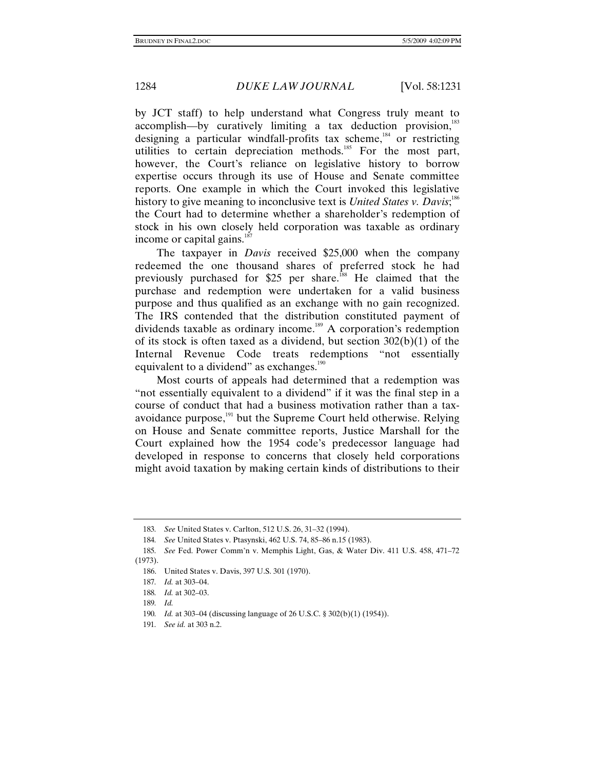by JCT staff) to help understand what Congress truly meant to  $accomplish$ —by curatively limiting a tax deduction provision,<sup>183</sup> designing a particular windfall-profits tax scheme,<sup>184</sup> or restricting utilities to certain depreciation methods.<sup>185</sup> For the most part, however, the Court's reliance on legislative history to borrow expertise occurs through its use of House and Senate committee reports. One example in which the Court invoked this legislative history to give meaning to inconclusive text is *United States v. Davis*;<sup>186</sup> the Court had to determine whether a shareholder's redemption of stock in his own closely held corporation was taxable as ordinary income or capital gains. $187$ 

The taxpayer in *Davis* received \$25,000 when the company redeemed the one thousand shares of preferred stock he had previously purchased for  $$25$  per share.<sup>188</sup> He claimed that the purchase and redemption were undertaken for a valid business purpose and thus qualified as an exchange with no gain recognized. The IRS contended that the distribution constituted payment of dividends taxable as ordinary income.<sup>189</sup> A corporation's redemption of its stock is often taxed as a dividend, but section 302(b)(1) of the Internal Revenue Code treats redemptions "not essentially equivalent to a dividend" as exchanges.<sup>190</sup>

Most courts of appeals had determined that a redemption was "not essentially equivalent to a dividend" if it was the final step in a course of conduct that had a business motivation rather than a taxavoidance purpose,<sup>191</sup> but the Supreme Court held otherwise. Relying on House and Senate committee reports, Justice Marshall for the Court explained how the 1954 code's predecessor language had developed in response to concerns that closely held corporations might avoid taxation by making certain kinds of distributions to their

<sup>183</sup>*. See* United States v. Carlton, 512 U.S. 26, 31–32 (1994).

<sup>184</sup>*. See* United States v. Ptasynski, 462 U.S. 74, 85–86 n.15 (1983).

<sup>185</sup>*. See* Fed. Power Comm'n v. Memphis Light, Gas, & Water Div. 411 U.S. 458, 471–72 (1973).

 <sup>186.</sup> United States v. Davis, 397 U.S. 301 (1970).

<sup>187</sup>*. Id.* at 303–04.

<sup>188</sup>*. Id.* at 302–03.

<sup>189</sup>*. Id.*

<sup>190</sup>*. Id.* at 303–04 (discussing language of 26 U.S.C. § 302(b)(1) (1954)).

<sup>191</sup>*. See id.* at 303 n.2.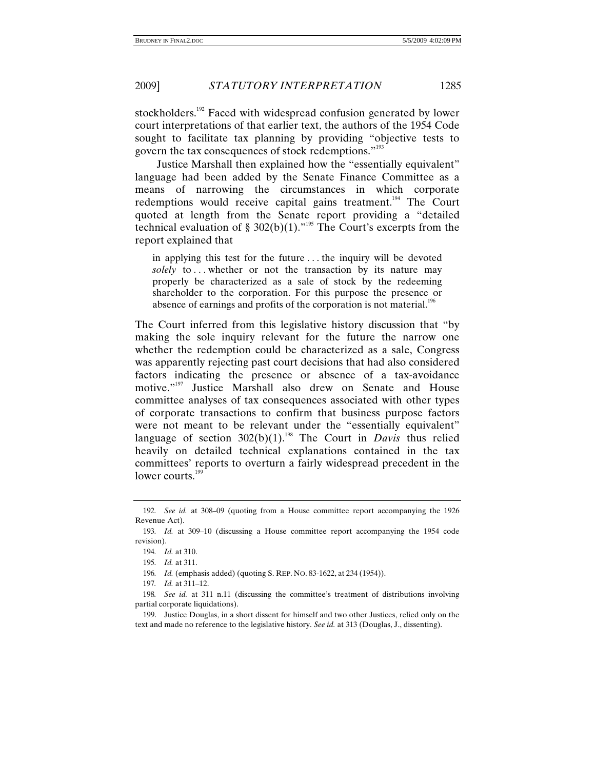stockholders.<sup>192</sup> Faced with widespread confusion generated by lower court interpretations of that earlier text, the authors of the 1954 Code sought to facilitate tax planning by providing "objective tests to govern the tax consequences of stock redemptions."<sup>193</sup>

Justice Marshall then explained how the "essentially equivalent" language had been added by the Senate Finance Committee as a means of narrowing the circumstances in which corporate redemptions would receive capital gains treatment.<sup>194</sup> The Court quoted at length from the Senate report providing a "detailed technical evaluation of § 302(b)(1)."<sup>195</sup> The Court's excerpts from the report explained that

in applying this test for the future . . . the inquiry will be devoted *solely* to . . . whether or not the transaction by its nature may properly be characterized as a sale of stock by the redeeming shareholder to the corporation. For this purpose the presence or absence of earnings and profits of the corporation is not material.<sup>196</sup>

The Court inferred from this legislative history discussion that "by making the sole inquiry relevant for the future the narrow one whether the redemption could be characterized as a sale, Congress was apparently rejecting past court decisions that had also considered factors indicating the presence or absence of a tax-avoidance motive."197 Justice Marshall also drew on Senate and House committee analyses of tax consequences associated with other types of corporate transactions to confirm that business purpose factors were not meant to be relevant under the "essentially equivalent" language of section  $302(b)(1)$ .<sup>198</sup> The Court in *Davis* thus relied heavily on detailed technical explanations contained in the tax committees' reports to overturn a fairly widespread precedent in the lower courts.<sup>199</sup>

<sup>192</sup>*. See id.* at 308–09 (quoting from a House committee report accompanying the 1926 Revenue Act).

<sup>193</sup>*. Id.* at 309–10 (discussing a House committee report accompanying the 1954 code revision).

<sup>194</sup>*. Id.* at 310.

<sup>195</sup>*. Id.* at 311.

<sup>196</sup>*. Id.* (emphasis added) (quoting S. REP. NO. 83-1622, at 234 (1954)).

<sup>197</sup>*. Id.* at 311–12.

<sup>198</sup>*. See id.* at 311 n.11 (discussing the committee's treatment of distributions involving partial corporate liquidations).

 <sup>199.</sup> Justice Douglas, in a short dissent for himself and two other Justices, relied only on the text and made no reference to the legislative history. *See id.* at 313 (Douglas, J., dissenting).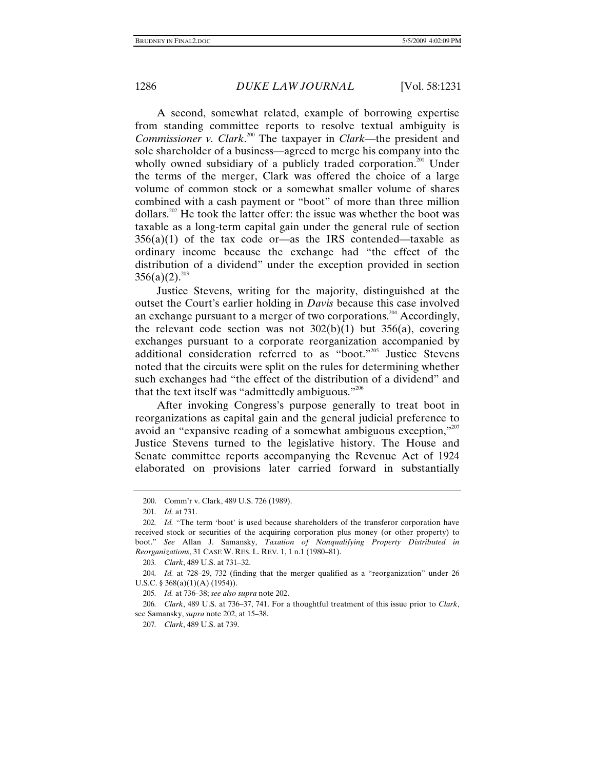A second, somewhat related, example of borrowing expertise from standing committee reports to resolve textual ambiguity is *Commissioner v. Clark*. 200 The taxpayer in *Clark*—the president and sole shareholder of a business—agreed to merge his company into the wholly owned subsidiary of a publicly traded corporation.<sup>201</sup> Under the terms of the merger, Clark was offered the choice of a large volume of common stock or a somewhat smaller volume of shares combined with a cash payment or "boot" of more than three million dollars.<sup>202</sup> He took the latter offer: the issue was whether the boot was taxable as a long-term capital gain under the general rule of section  $356(a)(1)$  of the tax code or—as the IRS contended—taxable as ordinary income because the exchange had "the effect of the distribution of a dividend" under the exception provided in section  $356(a)(2).^{203}$ 

Justice Stevens, writing for the majority, distinguished at the outset the Court's earlier holding in *Davis* because this case involved an exchange pursuant to a merger of two corporations.<sup>204</sup> Accordingly, the relevant code section was not  $302(b)(1)$  but  $356(a)$ , covering exchanges pursuant to a corporate reorganization accompanied by additional consideration referred to as "boot."205 Justice Stevens noted that the circuits were split on the rules for determining whether such exchanges had "the effect of the distribution of a dividend" and that the text itself was "admittedly ambiguous."<sup>206</sup>

After invoking Congress's purpose generally to treat boot in reorganizations as capital gain and the general judicial preference to avoid an "expansive reading of a somewhat ambiguous exception,"207 Justice Stevens turned to the legislative history. The House and Senate committee reports accompanying the Revenue Act of 1924 elaborated on provisions later carried forward in substantially

 <sup>200.</sup> Comm'r v. Clark, 489 U.S. 726 (1989).

<sup>201</sup>*. Id.* at 731.

<sup>202</sup>*. Id.* "The term 'boot' is used because shareholders of the transferor corporation have received stock or securities of the acquiring corporation plus money (or other property) to boot." *See* Allan J. Samansky, *Taxation of Nonqualifying Property Distributed in Reorganizations*, 31 CASE W. RES. L. REV. 1, 1 n.1 (1980–81).

<sup>203</sup>*. Clark*, 489 U.S. at 731–32.

<sup>204</sup>*. Id.* at 728–29, 732 (finding that the merger qualified as a "reorganization" under 26 U.S.C. § 368(a)(1)(A) (1954)).

<sup>205</sup>*. Id.* at 736–38; *see also supra* note 202.

<sup>206</sup>*. Clark*, 489 U.S. at 736–37, 741. For a thoughtful treatment of this issue prior to *Clark*, see Samansky, *supra* note 202, at 15–38.

<sup>207</sup>*. Clark*, 489 U.S. at 739.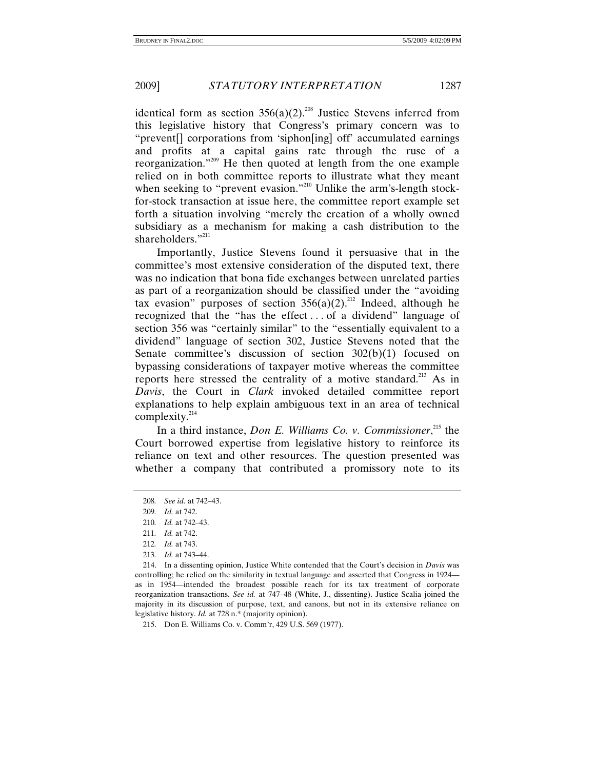identical form as section  $356(a)(2)$ <sup>208</sup> Justice Stevens inferred from this legislative history that Congress's primary concern was to "prevent[] corporations from 'siphon[ing] off' accumulated earnings and profits at a capital gains rate through the ruse of a reorganization."209 He then quoted at length from the one example relied on in both committee reports to illustrate what they meant when seeking to "prevent evasion."<sup>210</sup> Unlike the arm's-length stockfor-stock transaction at issue here, the committee report example set forth a situation involving "merely the creation of a wholly owned subsidiary as a mechanism for making a cash distribution to the shareholders."<sup>211</sup>

Importantly, Justice Stevens found it persuasive that in the committee's most extensive consideration of the disputed text, there was no indication that bona fide exchanges between unrelated parties as part of a reorganization should be classified under the "avoiding tax evasion" purposes of section  $356(a)(2)^{212}$  Indeed, although he recognized that the "has the effect . . . of a dividend" language of section 356 was "certainly similar" to the "essentially equivalent to a dividend" language of section 302, Justice Stevens noted that the Senate committee's discussion of section 302(b)(1) focused on bypassing considerations of taxpayer motive whereas the committee reports here stressed the centrality of a motive standard.<sup>213</sup> As in *Davis*, the Court in *Clark* invoked detailed committee report explanations to help explain ambiguous text in an area of technical complexity.<sup>214</sup>

In a third instance, *Don E. Williams Co. v. Commissioner*, 215 the Court borrowed expertise from legislative history to reinforce its reliance on text and other resources. The question presented was whether a company that contributed a promissory note to its

215. Don E. Williams Co. v. Comm'r, 429 U.S. 569 (1977).

<sup>208</sup>*. See id.* at 742–43.

<sup>209</sup>*. Id.* at 742.

<sup>210</sup>*. Id.* at 742–43.

<sup>211</sup>*. Id.* at 742.

<sup>212</sup>*. Id.* at 743.

<sup>213</sup>*. Id.* at 743–44.

 <sup>214.</sup> In a dissenting opinion, Justice White contended that the Court's decision in *Davis* was controlling; he relied on the similarity in textual language and asserted that Congress in 1924 as in 1954—intended the broadest possible reach for its tax treatment of corporate reorganization transactions. *See id.* at 747–48 (White, J., dissenting). Justice Scalia joined the majority in its discussion of purpose, text, and canons, but not in its extensive reliance on legislative history. *Id.* at 728 n.\* (majority opinion).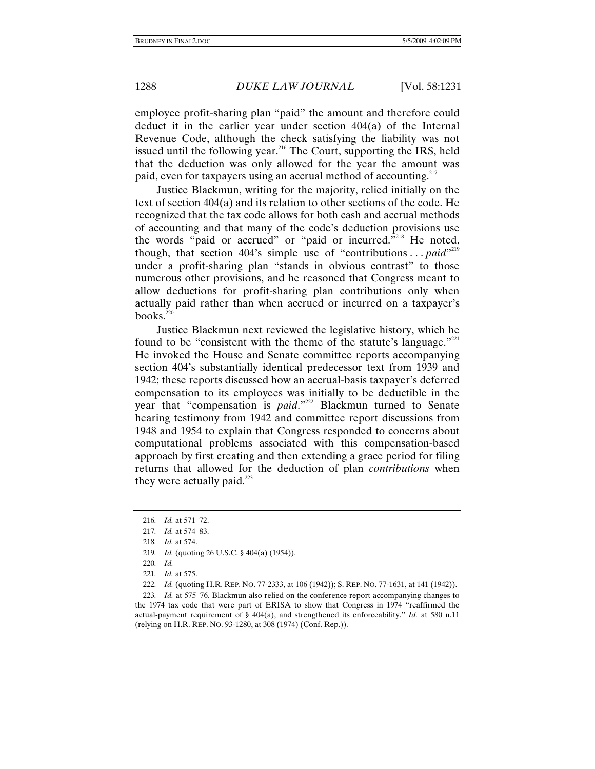employee profit-sharing plan "paid" the amount and therefore could deduct it in the earlier year under section 404(a) of the Internal Revenue Code, although the check satisfying the liability was not issued until the following year.<sup>216</sup> The Court, supporting the IRS, held that the deduction was only allowed for the year the amount was paid, even for taxpayers using an accrual method of accounting. $217$ 

Justice Blackmun, writing for the majority, relied initially on the text of section 404(a) and its relation to other sections of the code. He recognized that the tax code allows for both cash and accrual methods of accounting and that many of the code's deduction provisions use the words "paid or accrued" or "paid or incurred. $\overline{5}^{218}$  He noted, though, that section 404's simple use of "contributions... *paid*"<sup>219</sup> under a profit-sharing plan "stands in obvious contrast" to those numerous other provisions, and he reasoned that Congress meant to allow deductions for profit-sharing plan contributions only when actually paid rather than when accrued or incurred on a taxpayer's books. $220$ 

Justice Blackmun next reviewed the legislative history, which he found to be "consistent with the theme of the statute's language." He invoked the House and Senate committee reports accompanying section 404's substantially identical predecessor text from 1939 and 1942; these reports discussed how an accrual-basis taxpayer's deferred compensation to its employees was initially to be deductible in the year that "compensation is *paid*."<sup>222</sup> Blackmun turned to Senate</sup> hearing testimony from 1942 and committee report discussions from 1948 and 1954 to explain that Congress responded to concerns about computational problems associated with this compensation-based approach by first creating and then extending a grace period for filing returns that allowed for the deduction of plan *contributions* when they were actually paid. $^{223}$ 

222*. Id.* (quoting H.R. REP. NO. 77-2333, at 106 (1942)); S. REP. NO. 77-1631, at 141 (1942)).

223*. Id.* at 575–76. Blackmun also relied on the conference report accompanying changes to the 1974 tax code that were part of ERISA to show that Congress in 1974 "reaffirmed the actual-payment requirement of § 404(a), and strengthened its enforceability." *Id.* at 580 n.11 (relying on H.R. REP. NO. 93-1280, at 308 (1974) (Conf. Rep.)).

<sup>216</sup>*. Id.* at 571–72.

<sup>217</sup>*. Id.* at 574–83.

<sup>218</sup>*. Id.* at 574.

<sup>219</sup>*. Id.* (quoting 26 U.S.C. § 404(a) (1954)).

<sup>220</sup>*. Id.*

<sup>221</sup>*. Id.* at 575.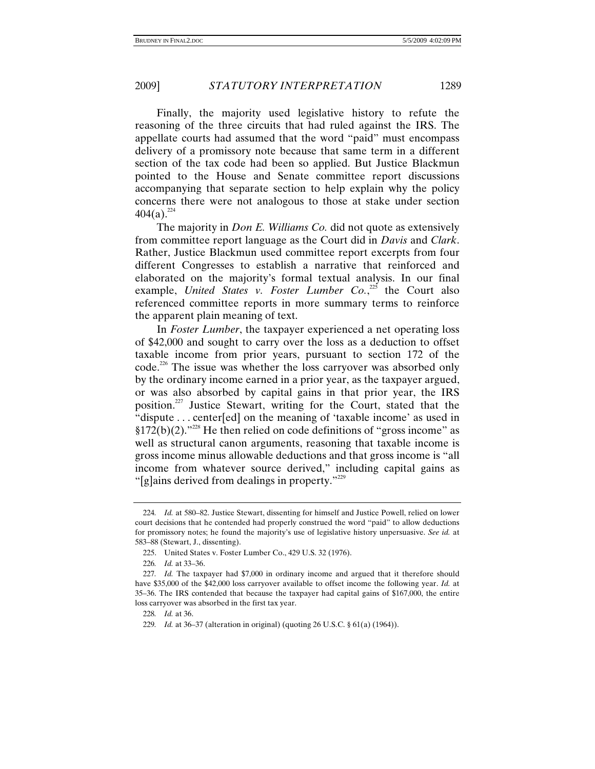Finally, the majority used legislative history to refute the reasoning of the three circuits that had ruled against the IRS. The appellate courts had assumed that the word "paid" must encompass delivery of a promissory note because that same term in a different section of the tax code had been so applied. But Justice Blackmun pointed to the House and Senate committee report discussions accompanying that separate section to help explain why the policy concerns there were not analogous to those at stake under section  $404(a).^{224}$ 

The majority in *Don E. Williams Co.* did not quote as extensively from committee report language as the Court did in *Davis* and *Clark*. Rather, Justice Blackmun used committee report excerpts from four different Congresses to establish a narrative that reinforced and elaborated on the majority's formal textual analysis. In our final example, United States v. Foster Lumber Co.,<sup>225</sup> the Court also referenced committee reports in more summary terms to reinforce the apparent plain meaning of text.

In *Foster Lumber*, the taxpayer experienced a net operating loss of \$42,000 and sought to carry over the loss as a deduction to offset taxable income from prior years, pursuant to section 172 of the code.<sup>226</sup> The issue was whether the loss carryover was absorbed only by the ordinary income earned in a prior year, as the taxpayer argued, or was also absorbed by capital gains in that prior year, the IRS position.227 Justice Stewart, writing for the Court, stated that the "dispute . . . center[ed] on the meaning of 'taxable income' as used in  $§172(b)(2)$ ."<sup>228</sup> He then relied on code definitions of "gross income" as well as structural canon arguments, reasoning that taxable income is gross income minus allowable deductions and that gross income is "all income from whatever source derived," including capital gains as "[g]ains derived from dealings in property."<sup>229</sup>

<sup>224</sup>*. Id.* at 580–82. Justice Stewart, dissenting for himself and Justice Powell, relied on lower court decisions that he contended had properly construed the word "paid" to allow deductions for promissory notes; he found the majority's use of legislative history unpersuasive. *See id.* at 583–88 (Stewart, J., dissenting).

 <sup>225.</sup> United States v. Foster Lumber Co., 429 U.S. 32 (1976).

<sup>226</sup>*. Id.* at 33–36.

<sup>227</sup>*. Id.* The taxpayer had \$7,000 in ordinary income and argued that it therefore should have \$35,000 of the \$42,000 loss carryover available to offset income the following year. *Id.* at 35–36. The IRS contended that because the taxpayer had capital gains of \$167,000, the entire loss carryover was absorbed in the first tax year.

<sup>228</sup>*. Id.* at 36.

<sup>229</sup>*. Id.* at 36–37 (alteration in original) (quoting 26 U.S.C. § 61(a) (1964)).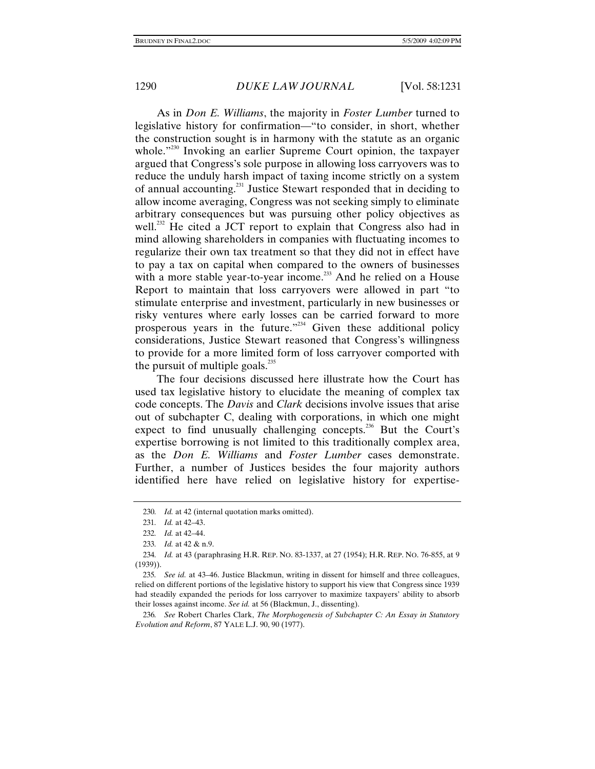As in *Don E. Williams*, the majority in *Foster Lumber* turned to legislative history for confirmation—"to consider, in short, whether the construction sought is in harmony with the statute as an organic whole."<sup>230</sup> Invoking an earlier Supreme Court opinion, the taxpayer argued that Congress's sole purpose in allowing loss carryovers was to reduce the unduly harsh impact of taxing income strictly on a system of annual accounting.<sup>231</sup> Justice Stewart responded that in deciding to allow income averaging, Congress was not seeking simply to eliminate arbitrary consequences but was pursuing other policy objectives as well.<sup>232</sup> He cited a JCT report to explain that Congress also had in mind allowing shareholders in companies with fluctuating incomes to regularize their own tax treatment so that they did not in effect have to pay a tax on capital when compared to the owners of businesses with a more stable year-to-year income.<sup>233</sup> And he relied on a House Report to maintain that loss carryovers were allowed in part "to stimulate enterprise and investment, particularly in new businesses or risky ventures where early losses can be carried forward to more prosperous years in the future."234 Given these additional policy considerations, Justice Stewart reasoned that Congress's willingness to provide for a more limited form of loss carryover comported with the pursuit of multiple goals.<sup>235</sup>

The four decisions discussed here illustrate how the Court has used tax legislative history to elucidate the meaning of complex tax code concepts. The *Davis* and *Clark* decisions involve issues that arise out of subchapter C, dealing with corporations, in which one might expect to find unusually challenging concepts.<sup>236</sup> But the Court's expertise borrowing is not limited to this traditionally complex area, as the *Don E. Williams* and *Foster Lumber* cases demonstrate. Further, a number of Justices besides the four majority authors identified here have relied on legislative history for expertise-

<sup>230</sup>*. Id.* at 42 (internal quotation marks omitted).

<sup>231</sup>*. Id.* at 42–43.

<sup>232</sup>*. Id.* at 42–44.

<sup>233</sup>*. Id.* at 42 & n.9.

<sup>234</sup>*. Id.* at 43 (paraphrasing H.R. REP. NO. 83-1337, at 27 (1954); H.R. REP. NO. 76-855, at 9 (1939)).

<sup>235</sup>*. See id.* at 43–46. Justice Blackmun, writing in dissent for himself and three colleagues, relied on different portions of the legislative history to support his view that Congress since 1939 had steadily expanded the periods for loss carryover to maximize taxpayers' ability to absorb their losses against income. *See id.* at 56 (Blackmun, J., dissenting).

<sup>236</sup>*. See* Robert Charles Clark, *The Morphogenesis of Subchapter C: An Essay in Statutory Evolution and Reform*, 87 YALE L.J. 90, 90 (1977).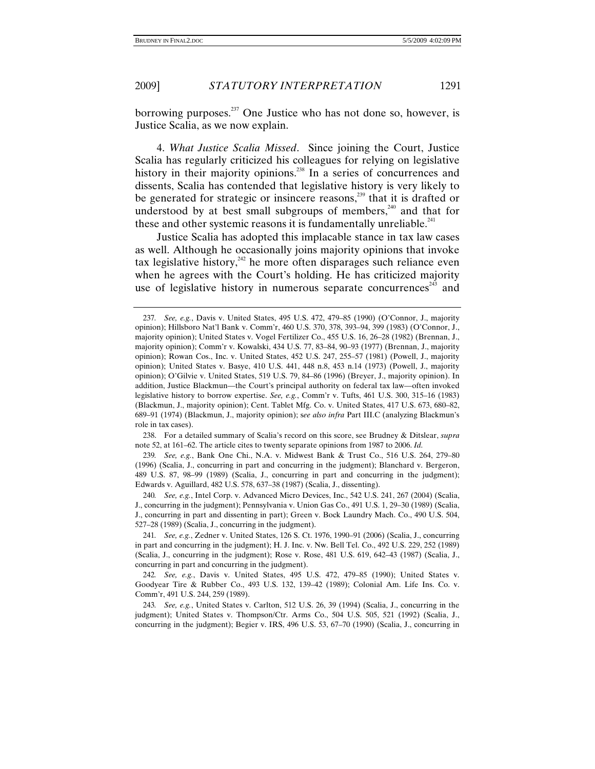borrowing purposes. $^{237}$  One Justice who has not done so, however, is Justice Scalia, as we now explain.

4. *What Justice Scalia Missed*. Since joining the Court, Justice Scalia has regularly criticized his colleagues for relying on legislative history in their majority opinions.<sup>238</sup> In a series of concurrences and dissents, Scalia has contended that legislative history is very likely to be generated for strategic or insincere reasons,<sup>239</sup> that it is drafted or understood by at best small subgroups of members, $240$  and that for these and other systemic reasons it is fundamentally unreliable. $241$ 

Justice Scalia has adopted this implacable stance in tax law cases as well. Although he occasionally joins majority opinions that invoke tax legislative history,<sup>242</sup> he more often disparages such reliance even when he agrees with the Court's holding. He has criticized majority use of legislative history in numerous separate concurrences $^{243}$  and

 238. For a detailed summary of Scalia's record on this score, see Brudney & Ditslear, *supra* note 52, at 161–62. The article cites to twenty separate opinions from 1987 to 2006. *Id.*

239*. See, e.g.*, Bank One Chi., N.A. v. Midwest Bank & Trust Co., 516 U.S. 264, 279–80 (1996) (Scalia, J., concurring in part and concurring in the judgment); Blanchard v. Bergeron, 489 U.S. 87, 98–99 (1989) (Scalia, J., concurring in part and concurring in the judgment); Edwards v. Aguillard, 482 U.S. 578, 637–38 (1987) (Scalia, J., dissenting).

<sup>237</sup>*. See, e.g.*, Davis v. United States, 495 U.S. 472, 479–85 (1990) (O'Connor, J., majority opinion); Hillsboro Nat'l Bank v. Comm'r, 460 U.S. 370, 378, 393–94, 399 (1983) (O'Connor, J., majority opinion); United States v. Vogel Fertilizer Co., 455 U.S. 16, 26–28 (1982) (Brennan, J., majority opinion); Comm'r v. Kowalski, 434 U.S. 77, 83–84, 90–93 (1977) (Brennan, J., majority opinion); Rowan Cos., Inc. v. United States, 452 U.S. 247, 255–57 (1981) (Powell, J., majority opinion); United States v. Basye, 410 U.S. 441, 448 n.8, 453 n.14 (1973) (Powell, J., majority opinion); O'Gilvie v. United States, 519 U.S. 79, 84–86 (1996) (Breyer, J., majority opinion). In addition, Justice Blackmun—the Court's principal authority on federal tax law—often invoked legislative history to borrow expertise. *See, e.g.*, Comm'r v. Tufts, 461 U.S. 300, 315–16 (1983) (Blackmun, J., majority opinion); Cent. Tablet Mfg. Co. v. United States, 417 U.S. 673, 680–82, 689–91 (1974) (Blackmun, J., majority opinion); s*ee also infra* Part III.C (analyzing Blackmun's role in tax cases).

<sup>240</sup>*. See, e.g.*, Intel Corp. v. Advanced Micro Devices, Inc., 542 U.S. 241, 267 (2004) (Scalia, J., concurring in the judgment); Pennsylvania v. Union Gas Co., 491 U.S. 1, 29–30 (1989) (Scalia, J., concurring in part and dissenting in part); Green v. Bock Laundry Mach. Co., 490 U.S. 504, 527–28 (1989) (Scalia, J., concurring in the judgment).

<sup>241</sup>*. See, e.g.*, Zedner v. United States, 126 S. Ct. 1976, 1990–91 (2006) (Scalia, J., concurring in part and concurring in the judgment); H. J. Inc. v. Nw. Bell Tel. Co., 492 U.S. 229, 252 (1989) (Scalia, J., concurring in the judgment); Rose v. Rose, 481 U.S. 619, 642–43 (1987) (Scalia, J., concurring in part and concurring in the judgment).

<sup>242</sup>*. See, e.g.*, Davis v. United States, 495 U.S. 472, 479–85 (1990); United States v. Goodyear Tire & Rubber Co., 493 U.S. 132, 139–42 (1989); Colonial Am. Life Ins. Co. v. Comm'r, 491 U.S. 244, 259 (1989).

<sup>243</sup>*. See, e.g.*, United States v. Carlton, 512 U.S. 26, 39 (1994) (Scalia, J., concurring in the judgment); United States v. Thompson/Ctr. Arms Co., 504 U.S. 505, 521 (1992) (Scalia, J., concurring in the judgment); Begier v. IRS, 496 U.S. 53, 67–70 (1990) (Scalia, J., concurring in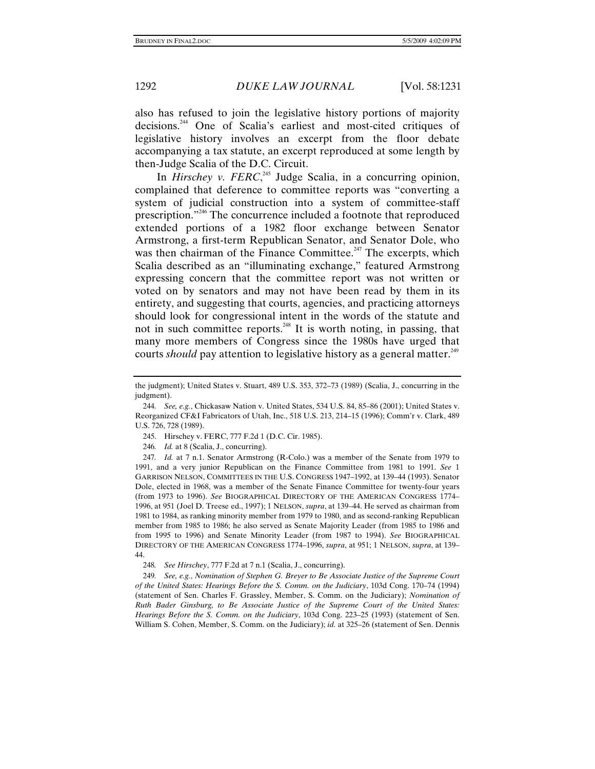also has refused to join the legislative history portions of majority decisions.244 One of Scalia's earliest and most-cited critiques of legislative history involves an excerpt from the floor debate accompanying a tax statute, an excerpt reproduced at some length by then-Judge Scalia of the D.C. Circuit.

In *Hirschey v. FERC*<sup>245</sup>, Judge Scalia, in a concurring opinion, complained that deference to committee reports was "converting a system of judicial construction into a system of committee-staff prescription."<sup>246</sup> The concurrence included a footnote that reproduced extended portions of a 1982 floor exchange between Senator Armstrong, a first-term Republican Senator, and Senator Dole, who was then chairman of the Finance Committee.<sup> $247$ </sup> The excerpts, which Scalia described as an "illuminating exchange," featured Armstrong expressing concern that the committee report was not written or voted on by senators and may not have been read by them in its entirety, and suggesting that courts, agencies, and practicing attorneys should look for congressional intent in the words of the statute and not in such committee reports.<sup>248</sup> It is worth noting, in passing, that many more members of Congress since the 1980s have urged that courts *should* pay attention to legislative history as a general matter.<sup>249</sup>

246*. Id.* at 8 (Scalia, J., concurring).

247*. Id.* at 7 n.1. Senator Armstrong (R-Colo.) was a member of the Senate from 1979 to 1991, and a very junior Republican on the Finance Committee from 1981 to 1991. *See* 1 GARRISON NELSON, COMMITTEES IN THE U.S. CONGRESS 1947–1992, at 139–44 (1993). Senator Dole, elected in 1968, was a member of the Senate Finance Committee for twenty-four years (from 1973 to 1996). *See* BIOGRAPHICAL DIRECTORY OF THE AMERICAN CONGRESS 1774– 1996, at 951 (Joel D. Treese ed., 1997); 1 NELSON, *supra*, at 139–44. He served as chairman from 1981 to 1984, as ranking minority member from 1979 to 1980, and as second-ranking Republican member from 1985 to 1986; he also served as Senate Majority Leader (from 1985 to 1986 and from 1995 to 1996) and Senate Minority Leader (from 1987 to 1994). *See* BIOGRAPHICAL DIRECTORY OF THE AMERICAN CONGRESS 1774–1996, *supra*, at 951; 1 NELSON, *supra*, at 139– 44.

248*. See Hirschey*, 777 F.2d at 7 n.1 (Scalia, J., concurring).

249*. See, e.g.*, *Nomination of Stephen G. Breyer to Be Associate Justice of the Supreme Court of the United States: Hearings Before the S. Comm. on the Judiciary*, 103d Cong. 170–74 (1994) (statement of Sen. Charles F. Grassley, Member, S. Comm. on the Judiciary); *Nomination of Ruth Bader Ginsburg, to Be Associate Justice of the Supreme Court of the United States: Hearings Before the S. Comm. on the Judiciary*, 103d Cong. 223–25 (1993) (statement of Sen. William S. Cohen, Member, S. Comm. on the Judiciary); *id.* at 325–26 (statement of Sen. Dennis

the judgment); United States v. Stuart, 489 U.S. 353, 372–73 (1989) (Scalia, J., concurring in the judgment).

<sup>244</sup>*. See, e.g.*, Chickasaw Nation v. United States, 534 U.S. 84, 85–86 (2001); United States v. Reorganized CF&I Fabricators of Utah, Inc., 518 U.S. 213, 214–15 (1996); Comm'r v. Clark, 489 U.S. 726, 728 (1989).

 <sup>245.</sup> Hirschey v. FERC, 777 F.2d 1 (D.C. Cir. 1985).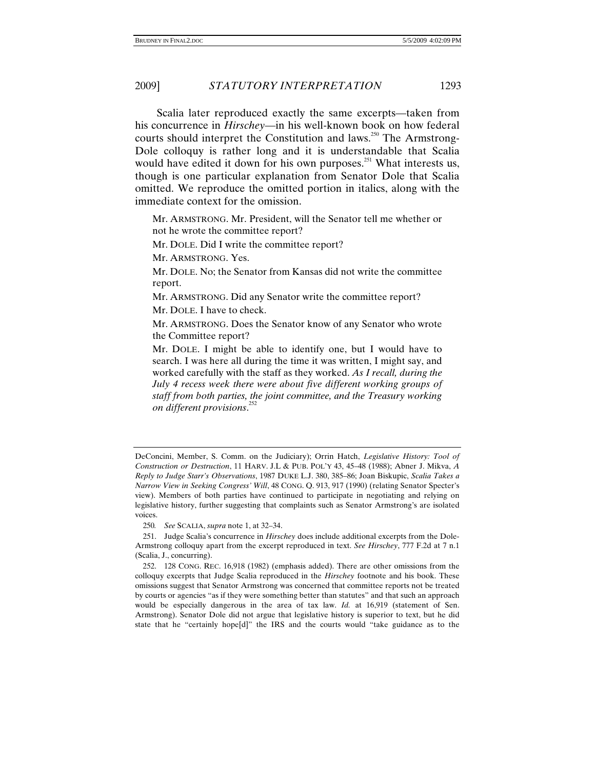Scalia later reproduced exactly the same excerpts—taken from his concurrence in *Hirschey*—in his well-known book on how federal courts should interpret the Constitution and laws.<sup>250</sup> The Armstrong-Dole colloquy is rather long and it is understandable that Scalia would have edited it down for his own purposes.<sup>251</sup> What interests us, though is one particular explanation from Senator Dole that Scalia omitted. We reproduce the omitted portion in italics, along with the immediate context for the omission.

Mr. ARMSTRONG. Mr. President, will the Senator tell me whether or not he wrote the committee report?

Mr. DOLE. Did I write the committee report?

Mr. ARMSTRONG. Yes.

Mr. DOLE. No; the Senator from Kansas did not write the committee report.

Mr. ARMSTRONG. Did any Senator write the committee report?

Mr. DOLE. I have to check.

Mr. ARMSTRONG. Does the Senator know of any Senator who wrote the Committee report?

Mr. DOLE. I might be able to identify one, but I would have to search. I was here all during the time it was written, I might say, and worked carefully with the staff as they worked. *As I recall, during the July 4 recess week there were about five different working groups of staff from both parties, the joint committee, and the Treasury working on different provisions*. 252

DeConcini, Member, S. Comm. on the Judiciary); Orrin Hatch, *Legislative History: Tool of Construction or Destruction*, 11 HARV. J.L & PUB. POL'Y 43, 45–48 (1988); Abner J. Mikva, *A Reply to Judge Starr's Observations*, 1987 DUKE L.J. 380, 385–86; Joan Biskupic, *Scalia Takes a Narrow View in Seeking Congress' Will*, 48 CONG. Q. 913, 917 (1990) (relating Senator Specter's view). Members of both parties have continued to participate in negotiating and relying on legislative history, further suggesting that complaints such as Senator Armstrong's are isolated voices.

<sup>250</sup>*. See* SCALIA, *supra* note 1, at 32–34.

 <sup>251.</sup> Judge Scalia's concurrence in *Hirschey* does include additional excerpts from the Dole-Armstrong colloquy apart from the excerpt reproduced in text. *See Hirschey*, 777 F.2d at 7 n.1 (Scalia, J., concurring).

 <sup>252. 128</sup> CONG. REC. 16,918 (1982) (emphasis added). There are other omissions from the colloquy excerpts that Judge Scalia reproduced in the *Hirschey* footnote and his book. These omissions suggest that Senator Armstrong was concerned that committee reports not be treated by courts or agencies "as if they were something better than statutes" and that such an approach would be especially dangerous in the area of tax law. *Id.* at 16,919 (statement of Sen. Armstrong). Senator Dole did not argue that legislative history is superior to text, but he did state that he "certainly hope[d]" the IRS and the courts would "take guidance as to the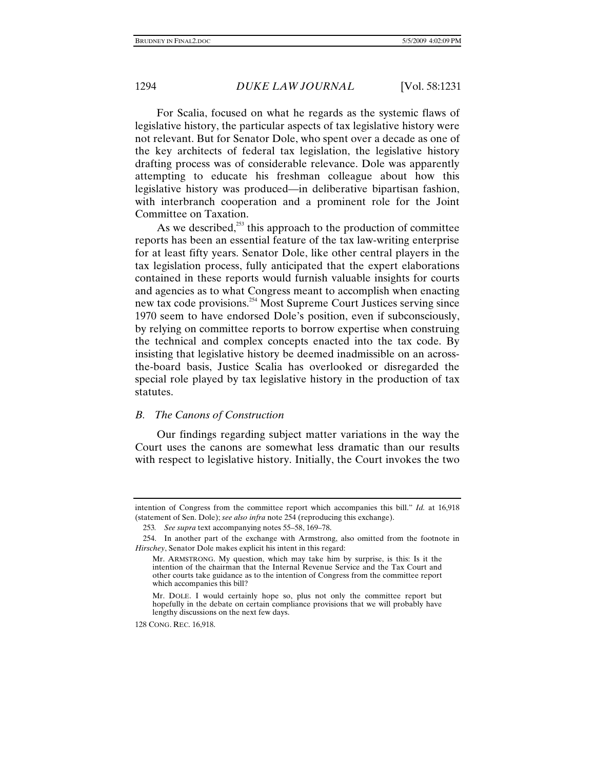For Scalia, focused on what he regards as the systemic flaws of legislative history, the particular aspects of tax legislative history were not relevant. But for Senator Dole, who spent over a decade as one of the key architects of federal tax legislation, the legislative history drafting process was of considerable relevance. Dole was apparently attempting to educate his freshman colleague about how this legislative history was produced—in deliberative bipartisan fashion, with interbranch cooperation and a prominent role for the Joint Committee on Taxation.

As we described, $253$  this approach to the production of committee reports has been an essential feature of the tax law-writing enterprise for at least fifty years. Senator Dole, like other central players in the tax legislation process, fully anticipated that the expert elaborations contained in these reports would furnish valuable insights for courts and agencies as to what Congress meant to accomplish when enacting new tax code provisions.254 Most Supreme Court Justices serving since 1970 seem to have endorsed Dole's position, even if subconsciously, by relying on committee reports to borrow expertise when construing the technical and complex concepts enacted into the tax code. By insisting that legislative history be deemed inadmissible on an acrossthe-board basis, Justice Scalia has overlooked or disregarded the special role played by tax legislative history in the production of tax statutes.

#### *B. The Canons of Construction*

Our findings regarding subject matter variations in the way the Court uses the canons are somewhat less dramatic than our results with respect to legislative history. Initially, the Court invokes the two

128 CONG. REC. 16,918.

intention of Congress from the committee report which accompanies this bill." *Id.* at 16,918 (statement of Sen. Dole); *see also infra* note 254 (reproducing this exchange).

<sup>253</sup>*. See supra* text accompanying notes 55–58, 169–78.

 <sup>254.</sup> In another part of the exchange with Armstrong, also omitted from the footnote in *Hirschey*, Senator Dole makes explicit his intent in this regard:

Mr. ARMSTRONG. My question, which may take him by surprise, is this: Is it the intention of the chairman that the Internal Revenue Service and the Tax Court and other courts take guidance as to the intention of Congress from the committee report which accompanies this bill?

Mr. DOLE. I would certainly hope so, plus not only the committee report but hopefully in the debate on certain compliance provisions that we will probably have lengthy discussions on the next few days.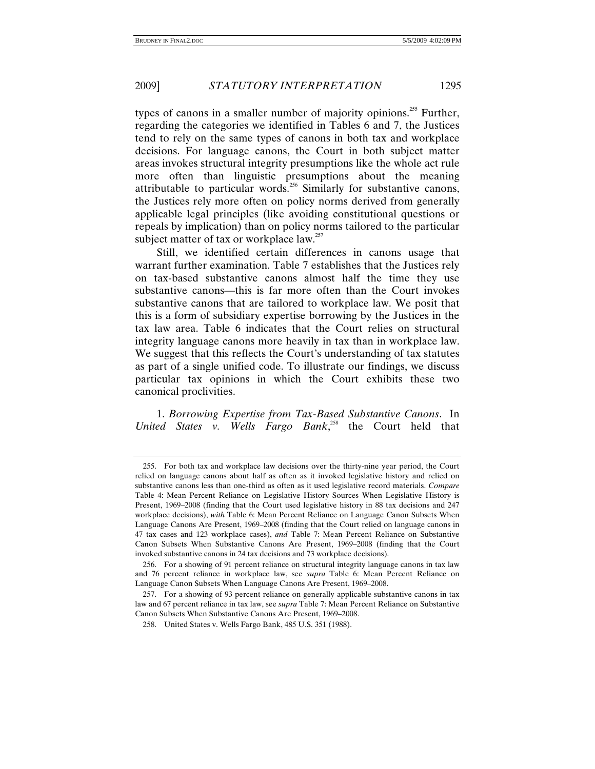types of canons in a smaller number of majority opinions.<sup>255</sup> Further, regarding the categories we identified in Tables 6 and 7, the Justices tend to rely on the same types of canons in both tax and workplace decisions. For language canons, the Court in both subject matter areas invokes structural integrity presumptions like the whole act rule more often than linguistic presumptions about the meaning attributable to particular words.<sup>256</sup> Similarly for substantive canons, the Justices rely more often on policy norms derived from generally applicable legal principles (like avoiding constitutional questions or repeals by implication) than on policy norms tailored to the particular subject matter of tax or workplace  $law.^{257}$ 

Still, we identified certain differences in canons usage that warrant further examination. Table 7 establishes that the Justices rely on tax-based substantive canons almost half the time they use substantive canons—this is far more often than the Court invokes substantive canons that are tailored to workplace law. We posit that this is a form of subsidiary expertise borrowing by the Justices in the tax law area. Table 6 indicates that the Court relies on structural integrity language canons more heavily in tax than in workplace law. We suggest that this reflects the Court's understanding of tax statutes as part of a single unified code. To illustrate our findings, we discuss particular tax opinions in which the Court exhibits these two canonical proclivities.

1. *Borrowing Expertise from Tax-Based Substantive Canons*. In *United States v. Wells Fargo Bank*, 258 the Court held that

 <sup>255.</sup> For both tax and workplace law decisions over the thirty-nine year period, the Court relied on language canons about half as often as it invoked legislative history and relied on substantive canons less than one-third as often as it used legislative record materials. *Compare* Table 4: Mean Percent Reliance on Legislative History Sources When Legislative History is Present, 1969–2008 (finding that the Court used legislative history in 88 tax decisions and 247 workplace decisions), *with* Table 6: Mean Percent Reliance on Language Canon Subsets When Language Canons Are Present, 1969–2008 (finding that the Court relied on language canons in 47 tax cases and 123 workplace cases), *and* Table 7: Mean Percent Reliance on Substantive Canon Subsets When Substantive Canons Are Present, 1969–2008 (finding that the Court invoked substantive canons in 24 tax decisions and 73 workplace decisions).

 <sup>256.</sup> For a showing of 91 percent reliance on structural integrity language canons in tax law and 76 percent reliance in workplace law, see *supra* Table 6: Mean Percent Reliance on Language Canon Subsets When Language Canons Are Present, 1969–2008.

 <sup>257.</sup> For a showing of 93 percent reliance on generally applicable substantive canons in tax law and 67 percent reliance in tax law, see *supra* Table 7: Mean Percent Reliance on Substantive Canon Subsets When Substantive Canons Are Present, 1969–2008.

 <sup>258.</sup> United States v. Wells Fargo Bank, 485 U.S. 351 (1988).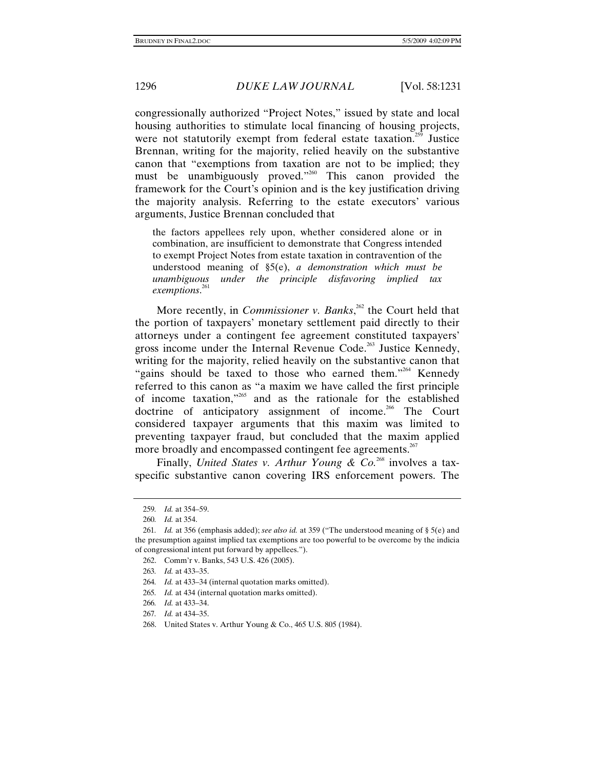congressionally authorized "Project Notes," issued by state and local housing authorities to stimulate local financing of housing projects, were not statutorily exempt from federal estate taxation.<sup>259</sup> Justice Brennan, writing for the majority, relied heavily on the substantive canon that "exemptions from taxation are not to be implied; they must be unambiguously proved."260 This canon provided the framework for the Court's opinion and is the key justification driving the majority analysis. Referring to the estate executors' various arguments, Justice Brennan concluded that

the factors appellees rely upon, whether considered alone or in combination, are insufficient to demonstrate that Congress intended to exempt Project Notes from estate taxation in contravention of the understood meaning of §5(e), *a demonstration which must be unambiguous under the principle disfavoring implied tax exemptions*. 261

More recently, in *Commissioner v. Banks*,<sup>262</sup> the Court held that the portion of taxpayers' monetary settlement paid directly to their attorneys under a contingent fee agreement constituted taxpayers' gross income under the Internal Revenue Code.<sup>263</sup> Justice Kennedy, writing for the majority, relied heavily on the substantive canon that "gains should be taxed to those who earned them."<sup>264</sup> Kennedy referred to this canon as "a maxim we have called the first principle of income taxation,"265 and as the rationale for the established doctrine of anticipatory assignment of income.<sup>266</sup> The Court considered taxpayer arguments that this maxim was limited to preventing taxpayer fraud, but concluded that the maxim applied more broadly and encompassed contingent fee agreements.<sup>267</sup>

Finally, *United States v. Arthur Young & Co.*<sup>268</sup> involves a taxspecific substantive canon covering IRS enforcement powers. The

264*. Id.* at 433–34 (internal quotation marks omitted).

<sup>259</sup>*. Id.* at 354–59.

<sup>260</sup>*. Id.* at 354.

<sup>261</sup>*. Id.* at 356 (emphasis added); *see also id.* at 359 ("The understood meaning of § 5(e) and the presumption against implied tax exemptions are too powerful to be overcome by the indicia of congressional intent put forward by appellees.").

 <sup>262.</sup> Comm'r v. Banks, 543 U.S. 426 (2005).

<sup>263</sup>*. Id.* at 433–35.

<sup>265</sup>*. Id.* at 434 (internal quotation marks omitted).

<sup>266</sup>*. Id.* at 433–34.

<sup>267</sup>*. Id.* at 434–35.

 <sup>268.</sup> United States v. Arthur Young & Co., 465 U.S. 805 (1984).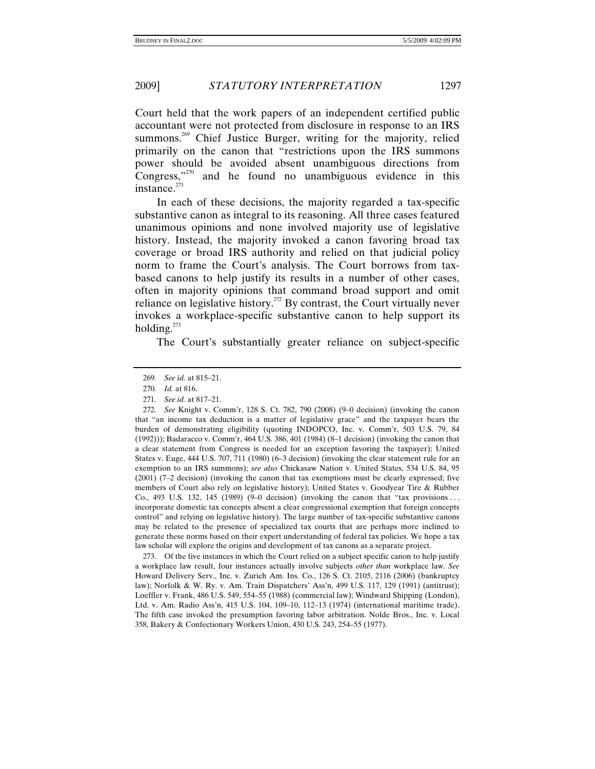Court held that the work papers of an independent certified public accountant were not protected from disclosure in response to an IRS summons.<sup>269</sup> Chief Justice Burger, writing for the majority, relied primarily on the canon that "restrictions upon the IRS summons power should be avoided absent unambiguous directions from Congress,"270 and he found no unambiguous evidence in this instance. $271$ 

In each of these decisions, the majority regarded a tax-specific substantive canon as integral to its reasoning. All three cases featured unanimous opinions and none involved majority use of legislative history. Instead, the majority invoked a canon favoring broad tax coverage or broad IRS authority and relied on that judicial policy norm to frame the Court's analysis. The Court borrows from taxbased canons to help justify its results in a number of other cases, often in majority opinions that command broad support and omit reliance on legislative history.<sup>272</sup> By contrast, the Court virtually never invokes a workplace-specific substantive canon to help support its holding. $^{273}$ 

The Court's substantially greater reliance on subject-specific

 273. Of the five instances in which the Court relied on a subject specific canon to help justify a workplace law result, four instances actually involve subjects *other than* workplace law. *See* Howard Delivery Serv., Inc. v. Zurich Am. Ins. Co., 126 S. Ct. 2105, 2116 (2006) (bankruptcy law); Norfolk & W. Ry. v. Am. Train Dispatchers' Ass'n, 499 U.S. 117, 129 (1991) (antitrust); Loeffler v. Frank, 486 U.S. 549, 554–55 (1988) (commercial law); Windward Shipping (London), Ltd. v. Am. Radio Ass'n, 415 U.S. 104, 109–10, 112–13 (1974) (international maritime trade). The fifth case invoked the presumption favoring labor arbitration. Nolde Bros., Inc. v. Local 358, Bakery & Confectionary Workers Union, 430 U.S. 243, 254–55 (1977).

<sup>269</sup>*. See id.* at 815–21.

<sup>270</sup>*. Id.* at 816.

<sup>271</sup>*. See id.* at 817–21.

<sup>272</sup>*. See* Knight v. Comm'r, 128 S. Ct. 782, 790 (2008) (9–0 decision) (invoking the canon that "an income tax deduction is a matter of legislative grace" and the taxpayer bears the burden of demonstrating eligibility (quoting INDOPCO, Inc. v. Comm'r, 503 U.S. 79, 84 (1992))); Badaracco v. Comm'r, 464 U.S. 386, 401 (1984) (8–1 decision) (invoking the canon that a clear statement from Congress is needed for an exception favoring the taxpayer); United States v. Euge, 444 U.S. 707, 711 (1980) (6–3 decision) (invoking the clear statement rule for an exemption to an IRS summons); *see also* Chickasaw Nation v. United States, 534 U.S. 84, 95 (2001) (7–2 decision) (invoking the canon that tax exemptions must be clearly expressed; five members of Court also rely on legislative history); United States v. Goodyear Tire & Rubber Co., 493 U.S. 132, 145 (1989) (9–0 decision) (invoking the canon that "tax provisions . . . incorporate domestic tax concepts absent a clear congressional exemption that foreign concepts control" and relying on legislative history). The large number of tax-specific substantive canons may be related to the presence of specialized tax courts that are perhaps more inclined to generate these norms based on their expert understanding of federal tax policies. We hope a tax law scholar will explore the origins and development of tax canons as a separate project.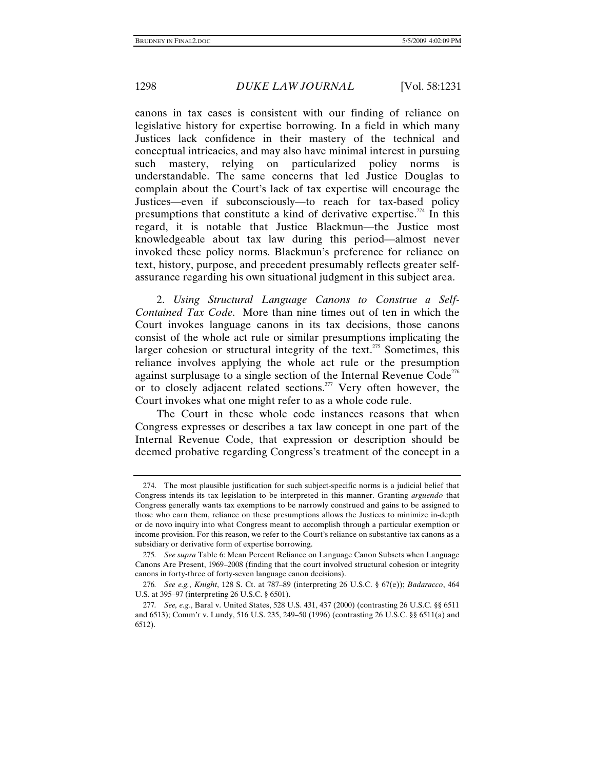canons in tax cases is consistent with our finding of reliance on legislative history for expertise borrowing. In a field in which many Justices lack confidence in their mastery of the technical and conceptual intricacies, and may also have minimal interest in pursuing such mastery, relying on particularized policy norms is understandable. The same concerns that led Justice Douglas to complain about the Court's lack of tax expertise will encourage the Justices—even if subconsciously—to reach for tax-based policy presumptions that constitute a kind of derivative expertise.<sup>274</sup> In this regard, it is notable that Justice Blackmun—the Justice most knowledgeable about tax law during this period—almost never invoked these policy norms. Blackmun's preference for reliance on text, history, purpose, and precedent presumably reflects greater selfassurance regarding his own situational judgment in this subject area.

2. *Using Structural Language Canons to Construe a Self-Contained Tax Code*. More than nine times out of ten in which the Court invokes language canons in its tax decisions, those canons consist of the whole act rule or similar presumptions implicating the larger cohesion or structural integrity of the text. $275$  Sometimes, this reliance involves applying the whole act rule or the presumption against surplusage to a single section of the Internal Revenue  $Code<sup>276</sup>$ or to closely adjacent related sections.<sup>277</sup> Very often however, the Court invokes what one might refer to as a whole code rule.

The Court in these whole code instances reasons that when Congress expresses or describes a tax law concept in one part of the Internal Revenue Code, that expression or description should be deemed probative regarding Congress's treatment of the concept in a

 <sup>274.</sup> The most plausible justification for such subject-specific norms is a judicial belief that Congress intends its tax legislation to be interpreted in this manner. Granting *arguendo* that Congress generally wants tax exemptions to be narrowly construed and gains to be assigned to those who earn them, reliance on these presumptions allows the Justices to minimize in-depth or de novo inquiry into what Congress meant to accomplish through a particular exemption or income provision. For this reason, we refer to the Court's reliance on substantive tax canons as a subsidiary or derivative form of expertise borrowing.

<sup>275</sup>*. See supra* Table 6: Mean Percent Reliance on Language Canon Subsets when Language Canons Are Present, 1969–2008 (finding that the court involved structural cohesion or integrity canons in forty-three of forty-seven language canon decisions).

<sup>276</sup>*. See e.g.*, *Knight*, 128 S. Ct. at 787–89 (interpreting 26 U.S.C. § 67(e)); *Badaracco*, 464 U.S. at 395–97 (interpreting 26 U.S.C. § 6501).

<sup>277</sup>*. See, e.g.*, Baral v. United States, 528 U.S. 431, 437 (2000) (contrasting 26 U.S.C. §§ 6511 and 6513); Comm'r v. Lundy, 516 U.S. 235, 249–50 (1996) (contrasting 26 U.S.C. §§ 6511(a) and 6512).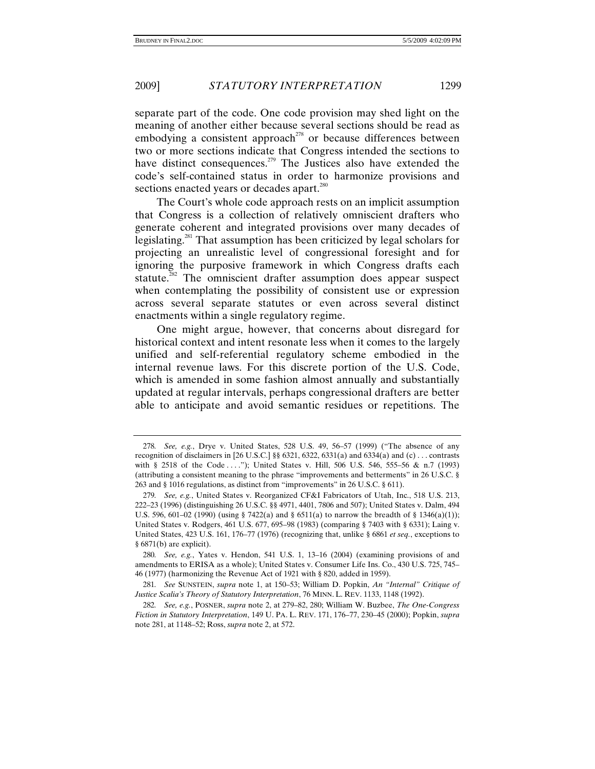separate part of the code. One code provision may shed light on the meaning of another either because several sections should be read as embodying a consistent approach<sup>278</sup> or because differences between two or more sections indicate that Congress intended the sections to have distinct consequences.<sup>279</sup> The Justices also have extended the code's self-contained status in order to harmonize provisions and sections enacted years or decades apart.<sup>280</sup>

The Court's whole code approach rests on an implicit assumption that Congress is a collection of relatively omniscient drafters who generate coherent and integrated provisions over many decades of legislating.281 That assumption has been criticized by legal scholars for projecting an unrealistic level of congressional foresight and for ignoring the purposive framework in which Congress drafts each statute.<sup> $282$ </sup> The omniscient drafter assumption does appear suspect when contemplating the possibility of consistent use or expression across several separate statutes or even across several distinct enactments within a single regulatory regime.

One might argue, however, that concerns about disregard for historical context and intent resonate less when it comes to the largely unified and self-referential regulatory scheme embodied in the internal revenue laws. For this discrete portion of the U.S. Code, which is amended in some fashion almost annually and substantially updated at regular intervals, perhaps congressional drafters are better able to anticipate and avoid semantic residues or repetitions. The

<sup>278</sup>*. See, e.g.*, Drye v. United States, 528 U.S. 49, 56–57 (1999) ("The absence of any recognition of disclaimers in [26 U.S.C.] §§ 6321, 6322, 6331(a) and 6334(a) and (c) ... contrasts with § 2518 of the Code . . . ."); United States v. Hill, 506 U.S. 546, 555–56 & n.7 (1993) (attributing a consistent meaning to the phrase "improvements and betterments" in 26 U.S.C. § 263 and § 1016 regulations, as distinct from "improvements" in 26 U.S.C. § 611).

<sup>279</sup>*. See, e.g.*, United States v. Reorganized CF&I Fabricators of Utah, Inc., 518 U.S. 213, 222–23 (1996) (distinguishing 26 U.S.C. §§ 4971, 4401, 7806 and 507); United States v. Dalm, 494 U.S. 596, 601–02 (1990) (using § 7422(a) and § 6511(a) to narrow the breadth of § 1346(a)(1)); United States v. Rodgers, 461 U.S. 677, 695–98 (1983) (comparing § 7403 with § 6331); Laing v. United States, 423 U.S. 161, 176–77 (1976) (recognizing that, unlike § 6861 *et seq.*, exceptions to § 6871(b) are explicit).

<sup>280</sup>*. See, e.g.*, Yates v. Hendon, 541 U.S. 1, 13–16 (2004) (examining provisions of and amendments to ERISA as a whole); United States v. Consumer Life Ins. Co., 430 U.S. 725, 745– 46 (1977) (harmonizing the Revenue Act of 1921 with § 820, added in 1959).

<sup>281</sup>*. See* SUNSTEIN, *supra* note 1, at 150–53; William D. Popkin, *An "Internal" Critique of Justice Scalia's Theory of Statutory Interpretation*, 76 MINN. L. REV. 1133, 1148 (1992).

<sup>282</sup>*. See, e.g.*, POSNER, *supra* note 2, at 279–82, 280; William W. Buzbee, *The One-Congress Fiction in Statutory Interpretation*, 149 U. PA. L. REV. 171, 176–77, 230–45 (2000); Popkin, *supra* note 281, at 1148–52; Ross, *supra* note 2, at 572.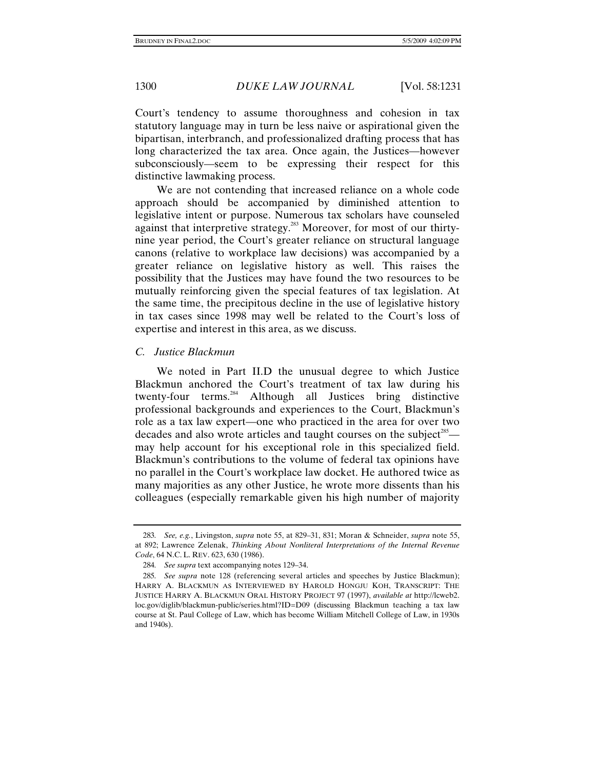Court's tendency to assume thoroughness and cohesion in tax statutory language may in turn be less naive or aspirational given the bipartisan, interbranch, and professionalized drafting process that has long characterized the tax area. Once again, the Justices—however subconsciously—seem to be expressing their respect for this distinctive lawmaking process.

We are not contending that increased reliance on a whole code approach should be accompanied by diminished attention to legislative intent or purpose. Numerous tax scholars have counseled against that interpretive strategy.<sup>283</sup> Moreover, for most of our thirtynine year period, the Court's greater reliance on structural language canons (relative to workplace law decisions) was accompanied by a greater reliance on legislative history as well. This raises the possibility that the Justices may have found the two resources to be mutually reinforcing given the special features of tax legislation. At the same time, the precipitous decline in the use of legislative history in tax cases since 1998 may well be related to the Court's loss of expertise and interest in this area, as we discuss.

# *C. Justice Blackmun*

We noted in Part II.D the unusual degree to which Justice Blackmun anchored the Court's treatment of tax law during his twenty-four terms.284 Although all Justices bring distinctive professional backgrounds and experiences to the Court, Blackmun's role as a tax law expert—one who practiced in the area for over two decades and also wrote articles and taught courses on the subject<sup>285</sup> may help account for his exceptional role in this specialized field. Blackmun's contributions to the volume of federal tax opinions have no parallel in the Court's workplace law docket. He authored twice as many majorities as any other Justice, he wrote more dissents than his colleagues (especially remarkable given his high number of majority

<sup>283</sup>*. See, e.g.*, Livingston, *supra* note 55, at 829–31, 831; Moran & Schneider, *supra* note 55, at 892; Lawrence Zelenak, *Thinking About Nonliteral Interpretations of the Internal Revenue Code*, 64 N.C. L. REV. 623, 630 (1986).

<sup>284</sup>*. See supra* text accompanying notes 129–34.

<sup>285</sup>*. See supra* note 128 (referencing several articles and speeches by Justice Blackmun); HARRY A. BLACKMUN AS INTERVIEWED BY HAROLD HONGJU KOH, TRANSCRIPT: THE JUSTICE HARRY A. BLACKMUN ORAL HISTORY PROJECT 97 (1997), *available at* http://lcweb2. loc.gov/diglib/blackmun-public/series.html?ID=D09 (discussing Blackmun teaching a tax law course at St. Paul College of Law, which has become William Mitchell College of Law, in 1930s and 1940s).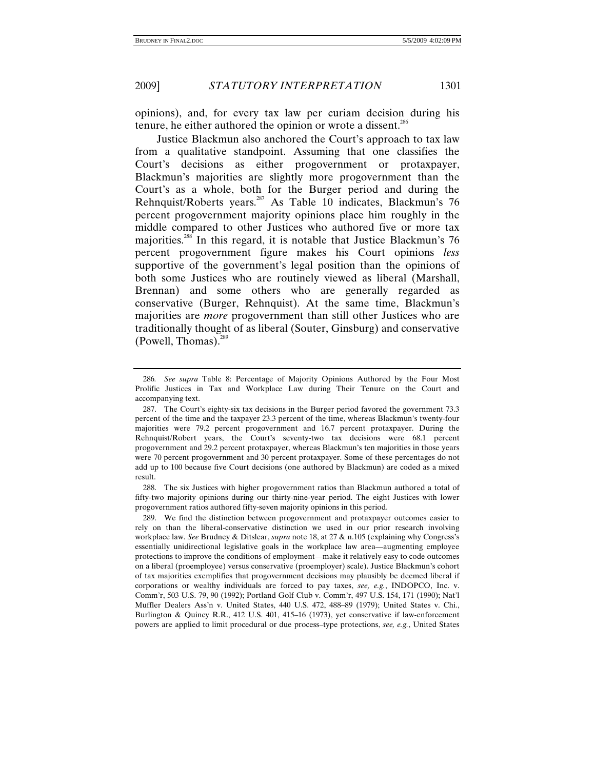opinions), and, for every tax law per curiam decision during his tenure, he either authored the opinion or wrote a dissent.286

Justice Blackmun also anchored the Court's approach to tax law from a qualitative standpoint. Assuming that one classifies the Court's decisions as either progovernment or protaxpayer, Blackmun's majorities are slightly more progovernment than the Court's as a whole, both for the Burger period and during the Rehnquist/Roberts years.<sup>287</sup> As Table 10 indicates, Blackmun's 76 percent progovernment majority opinions place him roughly in the middle compared to other Justices who authored five or more tax majorities.288 In this regard, it is notable that Justice Blackmun's 76 percent progovernment figure makes his Court opinions *less* supportive of the government's legal position than the opinions of both some Justices who are routinely viewed as liberal (Marshall, Brennan) and some others who are generally regarded as conservative (Burger, Rehnquist). At the same time, Blackmun's majorities are *more* progovernment than still other Justices who are traditionally thought of as liberal (Souter, Ginsburg) and conservative (Powell, Thomas). $289$ 

 288. The six Justices with higher progovernment ratios than Blackmun authored a total of fifty-two majority opinions during our thirty-nine-year period. The eight Justices with lower progovernment ratios authored fifty-seven majority opinions in this period.

 289. We find the distinction between progovernment and protaxpayer outcomes easier to rely on than the liberal-conservative distinction we used in our prior research involving workplace law. *See* Brudney & Ditslear, *supra* note 18, at 27 & n.105 (explaining why Congress's essentially unidirectional legislative goals in the workplace law area—augmenting employee protections to improve the conditions of employment—make it relatively easy to code outcomes on a liberal (proemployee) versus conservative (proemployer) scale). Justice Blackmun's cohort of tax majorities exemplifies that progovernment decisions may plausibly be deemed liberal if corporations or wealthy individuals are forced to pay taxes, *see, e.g.*, INDOPCO, Inc. v. Comm'r, 503 U.S. 79, 90 (1992); Portland Golf Club v. Comm'r, 497 U.S. 154, 171 (1990); Nat'l Muffler Dealers Ass'n v. United States, 440 U.S. 472, 488–89 (1979); United States v. Chi., Burlington & Quincy R.R., 412 U.S. 401, 415–16 (1973), yet conservative if law-enforcement powers are applied to limit procedural or due process–type protections, *see, e.g.*, United States

<sup>286</sup>*. See supra* Table 8: Percentage of Majority Opinions Authored by the Four Most Prolific Justices in Tax and Workplace Law during Their Tenure on the Court and accompanying text.

 <sup>287.</sup> The Court's eighty-six tax decisions in the Burger period favored the government 73.3 percent of the time and the taxpayer 23.3 percent of the time, whereas Blackmun's twenty-four majorities were 79.2 percent progovernment and 16.7 percent protaxpayer. During the Rehnquist/Robert years, the Court's seventy-two tax decisions were 68.1 percent progovernment and 29.2 percent protaxpayer, whereas Blackmun's ten majorities in those years were 70 percent progovernment and 30 percent protaxpayer. Some of these percentages do not add up to 100 because five Court decisions (one authored by Blackmun) are coded as a mixed result.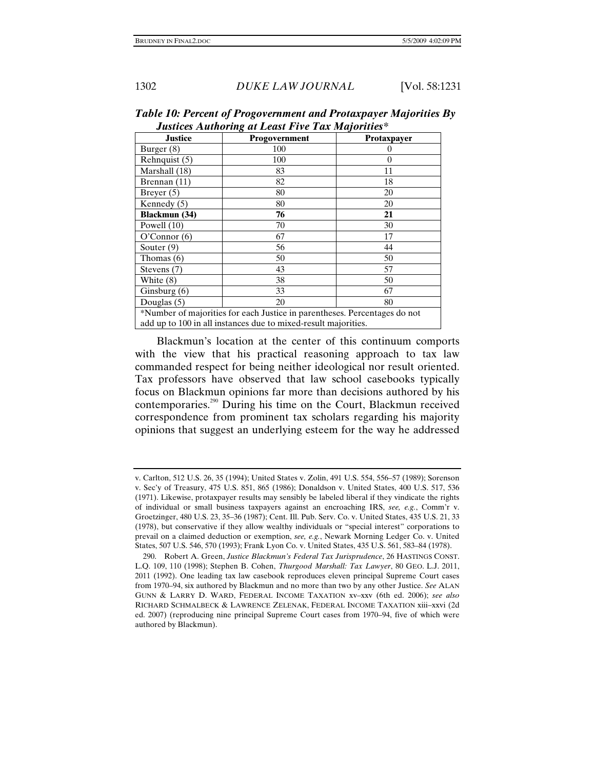| Justices Authoring at Least I tre I an majorities                         |               |             |
|---------------------------------------------------------------------------|---------------|-------------|
| <b>Justice</b>                                                            | Progovernment | Protaxpayer |
| Burger (8)                                                                | 100           |             |
| Rehnquist (5)                                                             | 100           | 0           |
| Marshall (18)                                                             | 83            | 11          |
| Brennan (11)                                                              | 82            | 18          |
| Breyer $(5)$                                                              | 80            | 20          |
| Kennedy $(5)$                                                             | 80            | 20          |
| <b>Blackmun</b> (34)                                                      | 76            | 21          |
| Powell $(10)$                                                             | 70            | 30          |
| O'Connor(6)                                                               | 67            | 17          |
| Souter $(9)$                                                              | 56            | 44          |
| Thomas (6)                                                                | 50            | 50          |
| Stevens (7)                                                               | 43            | 57          |
| White (8)                                                                 | 38            | 50          |
| Ginsburg $(6)$                                                            | 33            | 67          |
| Douglas $(5)$                                                             | 20            | 80          |
| *Number of majorities for each Justice in parentheses. Percentages do not |               |             |
| add up to 100 in all instances due to mixed-result majorities.            |               |             |

*Table 10: Percent of Progovernment and Protaxpayer Majorities By Justices Authoring at Least Five Tax Majorities\** 

Blackmun's location at the center of this continuum comports with the view that his practical reasoning approach to tax law commanded respect for being neither ideological nor result oriented. Tax professors have observed that law school casebooks typically focus on Blackmun opinions far more than decisions authored by his contemporaries.290 During his time on the Court, Blackmun received correspondence from prominent tax scholars regarding his majority opinions that suggest an underlying esteem for the way he addressed

v. Carlton, 512 U.S. 26, 35 (1994); United States v. Zolin, 491 U.S. 554, 556–57 (1989); Sorenson v. Sec'y of Treasury, 475 U.S. 851, 865 (1986); Donaldson v. United States, 400 U.S. 517, 536 (1971). Likewise, protaxpayer results may sensibly be labeled liberal if they vindicate the rights of individual or small business taxpayers against an encroaching IRS, *see, e.g.*, Comm'r v. Groetzinger, 480 U.S. 23, 35–36 (1987); Cent. Ill. Pub. Serv. Co. v. United States, 435 U.S. 21, 33 (1978), but conservative if they allow wealthy individuals or "special interest" corporations to prevail on a claimed deduction or exemption, *see, e.g.*, Newark Morning Ledger Co. v. United States, 507 U.S. 546, 570 (1993); Frank Lyon Co. v. United States, 435 U.S. 561, 583–84 (1978).

 <sup>290.</sup> Robert A. Green, *Justice Blackmun's Federal Tax Jurisprudence*, 26 HASTINGS CONST. L.Q. 109, 110 (1998); Stephen B. Cohen, *Thurgood Marshall: Tax Lawyer*, 80 GEO. L.J. 2011, 2011 (1992). One leading tax law casebook reproduces eleven principal Supreme Court cases from 1970–94, six authored by Blackmun and no more than two by any other Justice. *See* ALAN GUNN & LARRY D. WARD, FEDERAL INCOME TAXATION xv–xxv (6th ed. 2006); *see also* RICHARD SCHMALBECK & LAWRENCE ZELENAK, FEDERAL INCOME TAXATION xiii–xxvi (2d ed. 2007) (reproducing nine principal Supreme Court cases from 1970–94, five of which were authored by Blackmun).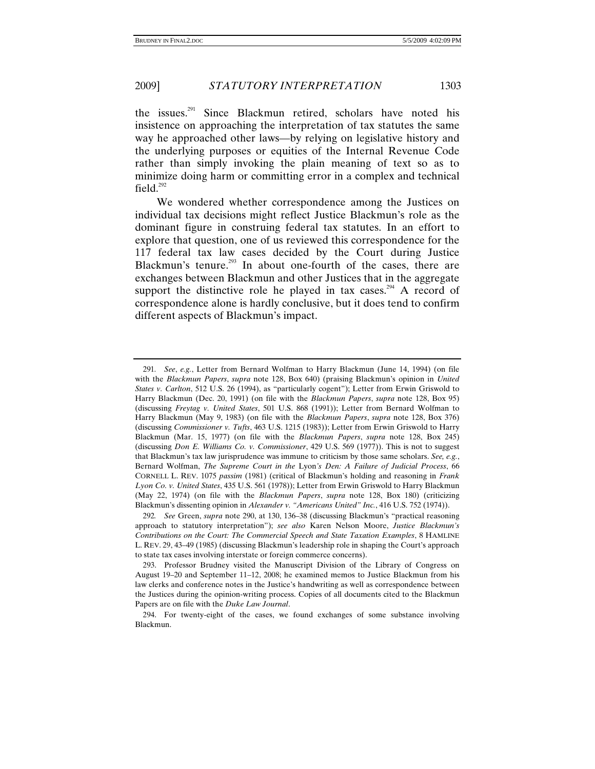the issues. $291$  Since Blackmun retired, scholars have noted his insistence on approaching the interpretation of tax statutes the same way he approached other laws—by relying on legislative history and the underlying purposes or equities of the Internal Revenue Code rather than simply invoking the plain meaning of text so as to minimize doing harm or committing error in a complex and technical field. $292$ 

We wondered whether correspondence among the Justices on individual tax decisions might reflect Justice Blackmun's role as the dominant figure in construing federal tax statutes. In an effort to explore that question, one of us reviewed this correspondence for the 117 federal tax law cases decided by the Court during Justice Blackmun's tenure.<sup>293</sup> In about one-fourth of the cases, there are exchanges between Blackmun and other Justices that in the aggregate support the distinctive role he played in tax cases.<sup>294</sup> A record of correspondence alone is hardly conclusive, but it does tend to confirm different aspects of Blackmun's impact.

<sup>291</sup>*. See*, *e.g.*, Letter from Bernard Wolfman to Harry Blackmun (June 14, 1994) (on file with the *Blackmun Papers*, *supra* note 128, Box 640) (praising Blackmun's opinion in *United States v. Carlton*, 512 U.S. 26 (1994), as "particularly cogent"); Letter from Erwin Griswold to Harry Blackmun (Dec. 20, 1991) (on file with the *Blackmun Papers*, *supra* note 128, Box 95) (discussing *Freytag v. United States*, 501 U.S. 868 (1991)); Letter from Bernard Wolfman to Harry Blackmun (May 9, 1983) (on file with the *Blackmun Papers*, *supra* note 128, Box 376) (discussing *Commissioner v. Tufts*, 463 U.S. 1215 (1983)); Letter from Erwin Griswold to Harry Blackmun (Mar. 15, 1977) (on file with the *Blackmun Papers*, *supra* note 128, Box 245) (discussing *Don E. Williams Co. v. Commissioner*, 429 U.S. 569 (1977)). This is not to suggest that Blackmun's tax law jurisprudence was immune to criticism by those same scholars. *See, e.g.*, Bernard Wolfman, *The Supreme Court in the* Lyon*'s Den: A Failure of Judicial Process*, 66 CORNELL L. REV. 1075 *passim* (1981) (critical of Blackmun's holding and reasoning in *Frank Lyon Co. v. United States*, 435 U.S. 561 (1978)); Letter from Erwin Griswold to Harry Blackmun (May 22, 1974) (on file with the *Blackmun Papers*, *supra* note 128, Box 180) (criticizing Blackmun's dissenting opinion in *Alexander v. "Americans United" Inc.*, 416 U.S. 752 (1974)).

<sup>292</sup>*. See* Green, *supra* note 290, at 130, 136–38 (discussing Blackmun's "practical reasoning approach to statutory interpretation"); *see also* Karen Nelson Moore, *Justice Blackmun's Contributions on the Court: The Commercial Speech and State Taxation Examples*, 8 HAMLINE L. REV. 29, 43–49 (1985) (discussing Blackmun's leadership role in shaping the Court's approach to state tax cases involving interstate or foreign commerce concerns).

 <sup>293.</sup> Professor Brudney visited the Manuscript Division of the Library of Congress on August 19–20 and September 11–12, 2008; he examined memos to Justice Blackmun from his law clerks and conference notes in the Justice's handwriting as well as correspondence between the Justices during the opinion-writing process. Copies of all documents cited to the Blackmun Papers are on file with the *Duke Law Journal*.

 <sup>294.</sup> For twenty-eight of the cases, we found exchanges of some substance involving Blackmun.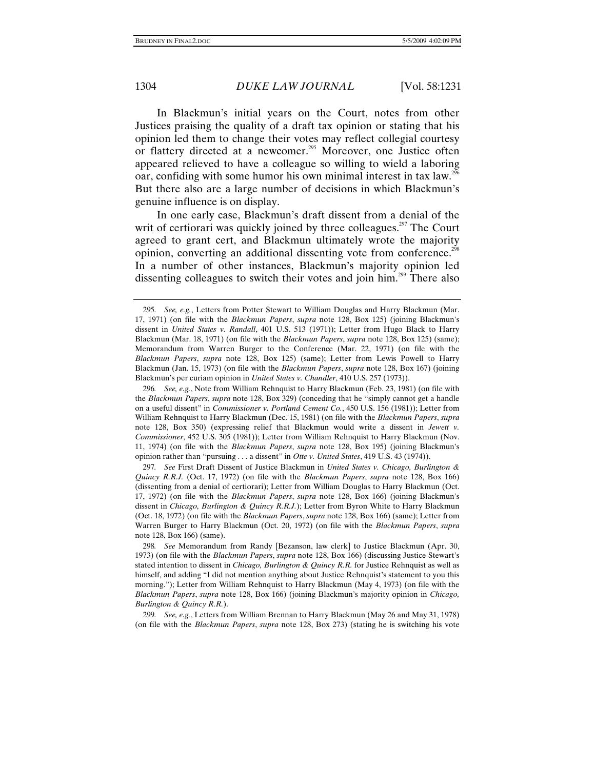In Blackmun's initial years on the Court, notes from other Justices praising the quality of a draft tax opinion or stating that his opinion led them to change their votes may reflect collegial courtesy or flattery directed at a newcomer.<sup>295</sup> Moreover, one Justice often appeared relieved to have a colleague so willing to wield a laboring oar, confiding with some humor his own minimal interest in tax law.<sup>296</sup> But there also are a large number of decisions in which Blackmun's genuine influence is on display.

In one early case, Blackmun's draft dissent from a denial of the writ of certiorari was quickly joined by three colleagues.<sup>297</sup> The Court agreed to grant cert, and Blackmun ultimately wrote the majority opinion, converting an additional dissenting vote from conference.<sup>298</sup> In a number of other instances, Blackmun's majority opinion led dissenting colleagues to switch their votes and join him.<sup>299</sup> There also

297*. See* First Draft Dissent of Justice Blackmun in *United States v. Chicago, Burlington & Quincy R.R.J.* (Oct. 17, 1972) (on file with the *Blackmun Papers*, *supra* note 128, Box 166) (dissenting from a denial of certiorari); Letter from William Douglas to Harry Blackmun (Oct. 17, 1972) (on file with the *Blackmun Papers*, *supra* note 128, Box 166) (joining Blackmun's dissent in *Chicago, Burlington & Quincy R.R.J.*); Letter from Byron White to Harry Blackmun (Oct. 18, 1972) (on file with the *Blackmun Papers*, *supra* note 128, Box 166) (same); Letter from Warren Burger to Harry Blackmun (Oct. 20, 1972) (on file with the *Blackmun Papers*, *supra* note 128, Box 166) (same).

298*. See* Memorandum from Randy [Bezanson, law clerk] to Justice Blackmun (Apr. 30, 1973) (on file with the *Blackmun Papers*, *supra* note 128, Box 166) (discussing Justice Stewart's stated intention to dissent in *Chicago, Burlington & Quincy R.R.* for Justice Rehnquist as well as himself, and adding "I did not mention anything about Justice Rehnquist's statement to you this morning."); Letter from William Rehnquist to Harry Blackmun (May 4, 1973) (on file with the *Blackmun Papers*, *supra* note 128, Box 166) (joining Blackmun's majority opinion in *Chicago, Burlington & Quincy R.R.*).

299*. See, e.g.*, Letters from William Brennan to Harry Blackmun (May 26 and May 31, 1978) (on file with the *Blackmun Papers*, *supra* note 128, Box 273) (stating he is switching his vote

<sup>295</sup>*. See, e.g.*, Letters from Potter Stewart to William Douglas and Harry Blackmun (Mar. 17, 1971) (on file with the *Blackmun Papers*, *supra* note 128, Box 125) (joining Blackmun's dissent in *United States v. Randall*, 401 U.S. 513 (1971)); Letter from Hugo Black to Harry Blackmun (Mar. 18, 1971) (on file with the *Blackmun Papers*, *supra* note 128, Box 125) (same); Memorandum from Warren Burger to the Conference (Mar. 22, 1971) (on file with the *Blackmun Papers*, *supra* note 128, Box 125) (same); Letter from Lewis Powell to Harry Blackmun (Jan. 15, 1973) (on file with the *Blackmun Papers*, *supra* note 128, Box 167) (joining Blackmun's per curiam opinion in *United States v. Chandler*, 410 U.S. 257 (1973)).

<sup>296</sup>*. See, e.g.*, Note from William Rehnquist to Harry Blackmun (Feb. 23, 1981) (on file with the *Blackmun Papers*, *supra* note 128, Box 329) (conceding that he "simply cannot get a handle on a useful dissent" in *Commissioner v. Portland Cement Co.*, 450 U.S. 156 (1981)); Letter from William Rehnquist to Harry Blackmun (Dec. 15, 1981) (on file with the *Blackmun Papers*, *supra* note 128, Box 350) (expressing relief that Blackmun would write a dissent in *Jewett v. Commissioner*, 452 U.S. 305 (1981)); Letter from William Rehnquist to Harry Blackmun (Nov. 11, 1974) (on file with the *Blackmun Papers*, *supra* note 128, Box 195) (joining Blackmun's opinion rather than "pursuing . . . a dissent" in *Otte v. United States*, 419 U.S. 43 (1974)).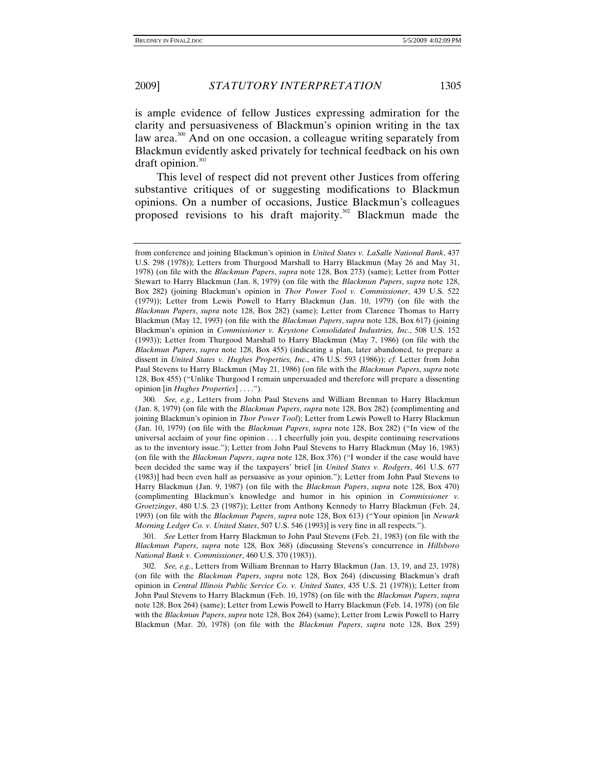is ample evidence of fellow Justices expressing admiration for the clarity and persuasiveness of Blackmun's opinion writing in the tax law area.<sup>300</sup> And on one occasion, a colleague writing separately from Blackmun evidently asked privately for technical feedback on his own draft opinion. $301$ 

This level of respect did not prevent other Justices from offering substantive critiques of or suggesting modifications to Blackmun opinions. On a number of occasions, Justice Blackmun's colleagues proposed revisions to his draft majority.<sup>302</sup> Blackmun made the

301*. See* Letter from Harry Blackmun to John Paul Stevens (Feb. 21, 1983) (on file with the *Blackmun Papers*, *supra* note 128, Box 368) (discussing Stevens's concurrence in *Hillsboro National Bank v. Commissioner*, 460 U.S. 370 (1983)).

302*. See, e.g.*, Letters from William Brennan to Harry Blackmun (Jan. 13, 19, and 23, 1978) (on file with the *Blackmun Papers*, *supra* note 128, Box 264) (discussing Blackmun's draft opinion in *Central Illinois Public Service Co. v. United States*, 435 U.S. 21 (1978)); Letter from John Paul Stevens to Harry Blackmun (Feb. 10, 1978) (on file with the *Blackmun Papers*, *supra* note 128, Box 264) (same); Letter from Lewis Powell to Harry Blackmun (Feb. 14, 1978) (on file with the *Blackmun Papers*, *supra* note 128, Box 264) (same); Letter from Lewis Powell to Harry Blackmun (Mar. 20, 1978) (on file with the *Blackmun Papers*, *supra* note 128, Box 259)

from conference and joining Blackmun's opinion in *United States v. LaSalle National Bank*, 437 U.S. 298 (1978)); Letters from Thurgood Marshall to Harry Blackmun (May 26 and May 31, 1978) (on file with the *Blackmun Papers*, *supra* note 128, Box 273) (same); Letter from Potter Stewart to Harry Blackmun (Jan. 8, 1979) (on file with the *Blackmun Papers*, *supra* note 128, Box 282) (joining Blackmun's opinion in *Thor Power Tool v. Commissioner*, 439 U.S. 522 (1979)); Letter from Lewis Powell to Harry Blackmun (Jan. 10, 1979) (on file with the *Blackmun Papers*, *supra* note 128, Box 282) (same); Letter from Clarence Thomas to Harry Blackmun (May 12, 1993) (on file with the *Blackmun Papers*, *supra* note 128, Box 617) (joining Blackmun's opinion in *Commissioner v. Keystone Consolidated Industries, Inc.*, 508 U.S. 152 (1993)); Letter from Thurgood Marshall to Harry Blackmun (May 7, 1986) (on file with the *Blackmun Papers*, *supra* note 128, Box 455) (indicating a plan, later abandoned, to prepare a dissent in *United States v. Hughes Properties, Inc.*, 476 U.S. 593 (1986)); *cf.* Letter from John Paul Stevens to Harry Blackmun (May 21, 1986) (on file with the *Blackmun Papers*, *supra* note 128, Box 455) ("Unlike Thurgood I remain unpersuaded and therefore will prepare a dissenting opinion [in *Hughes Properties*] . . . .").

<sup>300</sup>*. See, e.g.*, Letters from John Paul Stevens and William Brennan to Harry Blackmun (Jan. 8, 1979) (on file with the *Blackmun Papers*, *supra* note 128, Box 282) (complimenting and joining Blackmun's opinion in *Thor Power Tool*); Letter from Lewis Powell to Harry Blackmun (Jan. 10, 1979) (on file with the *Blackmun Papers*, *supra* note 128, Box 282) ("In view of the universal acclaim of your fine opinion . . . I cheerfully join you, despite continuing reservations as to the inventory issue."); Letter from John Paul Stevens to Harry Blackmun (May 16, 1983) (on file with the *Blackmun Papers*, *supra* note 128, Box 376) ("I wonder if the case would have been decided the same way if the taxpayers' brief [in *United States v. Rodgers*, 461 U.S. 677 (1983)] had been even half as persuasive as your opinion."); Letter from John Paul Stevens to Harry Blackmun (Jan. 9, 1987) (on file with the *Blackmun Papers*, *supra* note 128, Box 470) (complimenting Blackmun's knowledge and humor in his opinion in *Commissioner v. Groetzinger*, 480 U.S. 23 (1987)); Letter from Anthony Kennedy to Harry Blackmun (Feb. 24, 1993) (on file with the *Blackmun Papers*, *supra* note 128, Box 613) ("Your opinion [in *Newark Morning Ledger Co. v. United States*, 507 U.S. 546 (1993)] is very fine in all respects.").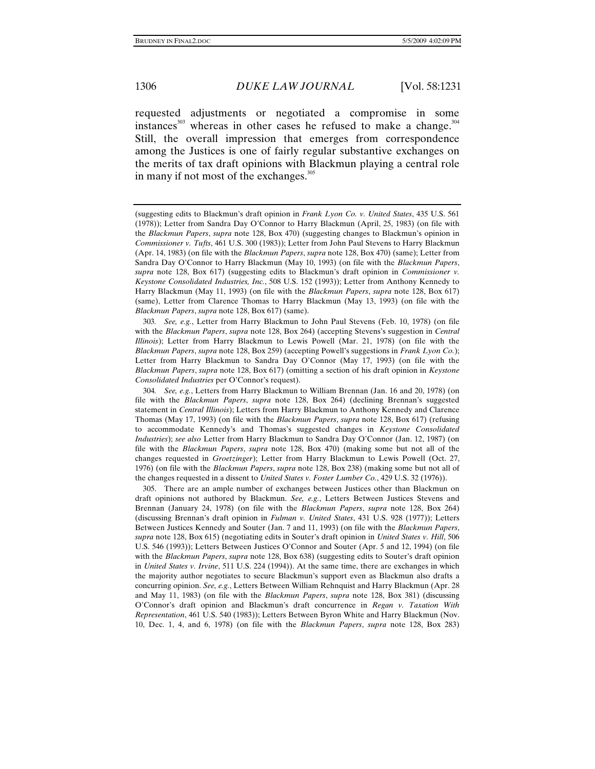requested adjustments or negotiated a compromise in some instances<sup>303</sup> whereas in other cases he refused to make a change. $304$ Still, the overall impression that emerges from correspondence among the Justices is one of fairly regular substantive exchanges on the merits of tax draft opinions with Blackmun playing a central role in many if not most of the exchanges. $305$ 

303*. See, e.g.*, Letter from Harry Blackmun to John Paul Stevens (Feb. 10, 1978) (on file with the *Blackmun Papers*, *supra* note 128, Box 264) (accepting Stevens's suggestion in *Central Illinois*); Letter from Harry Blackmun to Lewis Powell (Mar. 21, 1978) (on file with the *Blackmun Papers*, *supra* note 128, Box 259) (accepting Powell's suggestions in *Frank Lyon Co.*); Letter from Harry Blackmun to Sandra Day O'Connor (May 17, 1993) (on file with the *Blackmun Papers*, *supra* note 128, Box 617) (omitting a section of his draft opinion in *Keystone Consolidated Industries* per O'Connor's request).

304*. See, e.g.*, Letters from Harry Blackmun to William Brennan (Jan. 16 and 20, 1978) (on file with the *Blackmun Papers*, *supra* note 128, Box 264) (declining Brennan's suggested statement in *Central Illinois*); Letters from Harry Blackmun to Anthony Kennedy and Clarence Thomas (May 17, 1993) (on file with the *Blackmun Papers*, *supra* note 128, Box 617) (refusing to accommodate Kennedy's and Thomas's suggested changes in *Keystone Consolidated Industries*); *see also* Letter from Harry Blackmun to Sandra Day O'Connor (Jan. 12, 1987) (on file with the *Blackmun Papers*, *supra* note 128, Box 470) (making some but not all of the changes requested in *Groetzinger*); Letter from Harry Blackmun to Lewis Powell (Oct. 27, 1976) (on file with the *Blackmun Papers*, *supra* note 128, Box 238) (making some but not all of the changes requested in a dissent to *United States v. Foster Lumber Co.*, 429 U.S. 32 (1976)).

 305. There are an ample number of exchanges between Justices other than Blackmun on draft opinions not authored by Blackmun. *See, e.g.*, Letters Between Justices Stevens and Brennan (January 24, 1978) (on file with the *Blackmun Papers*, *supra* note 128, Box 264) (discussing Brennan's draft opinion in *Fulman v. United States*, 431 U.S. 928 (1977)); Letters Between Justices Kennedy and Souter (Jan. 7 and 11, 1993) (on file with the *Blackmun Papers*, *supra* note 128, Box 615) (negotiating edits in Souter's draft opinion in *United States v. Hill*, 506 U.S. 546 (1993)); Letters Between Justices O'Connor and Souter (Apr. 5 and 12, 1994) (on file with the *Blackmun Papers*, *supra* note 128, Box 638) (suggesting edits to Souter's draft opinion in *United States v. Irvine*, 511 U.S. 224 (1994)). At the same time, there are exchanges in which the majority author negotiates to secure Blackmun's support even as Blackmun also drafts a concurring opinion. *See, e.g.*, Letters Between William Rehnquist and Harry Blackmun (Apr. 28 and May 11, 1983) (on file with the *Blackmun Papers*, *supra* note 128, Box 381) (discussing O'Connor's draft opinion and Blackmun's draft concurrence in *Regan v. Taxation With Representation*, 461 U.S. 540 (1983)); Letters Between Byron White and Harry Blackmun (Nov. 10, Dec. 1, 4, and 6, 1978) (on file with the *Blackmun Papers*, *supra* note 128, Box 283)

<sup>(</sup>suggesting edits to Blackmun's draft opinion in *Frank Lyon Co. v. United States*, 435 U.S. 561 (1978)); Letter from Sandra Day O'Connor to Harry Blackmun (April, 25, 1983) (on file with the *Blackmun Papers*, *supra* note 128, Box 470) (suggesting changes to Blackmun's opinion in *Commissioner v. Tufts*, 461 U.S. 300 (1983)); Letter from John Paul Stevens to Harry Blackmun (Apr. 14, 1983) (on file with the *Blackmun Papers*, *supra* note 128, Box 470) (same); Letter from Sandra Day O'Connor to Harry Blackmun (May 10, 1993) (on file with the *Blackmun Papers*, *supra* note 128, Box 617) (suggesting edits to Blackmun's draft opinion in *Commissioner v. Keystone Consolidated Industries, Inc.*, 508 U.S. 152 (1993)); Letter from Anthony Kennedy to Harry Blackmun (May 11, 1993) (on file with the *Blackmun Papers*, *supra* note 128, Box 617) (same), Letter from Clarence Thomas to Harry Blackmun (May 13, 1993) (on file with the *Blackmun Papers*, *supra* note 128, Box 617) (same).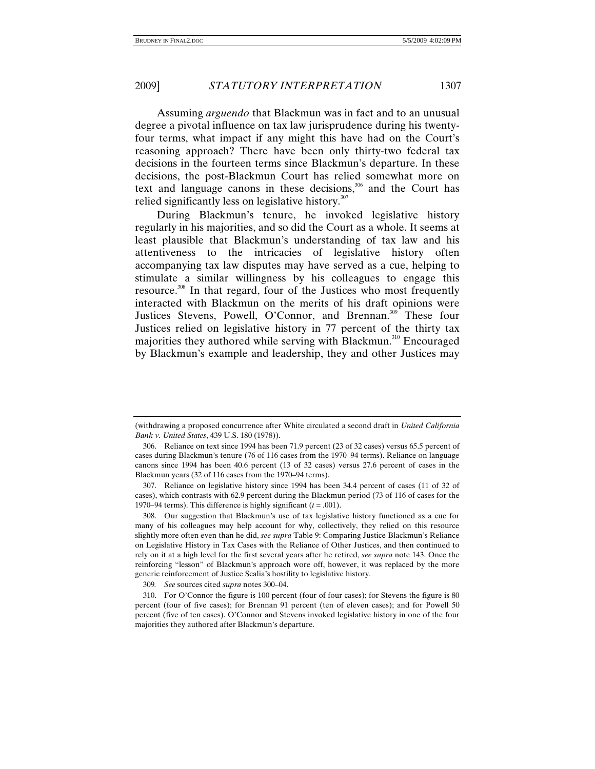Assuming *arguendo* that Blackmun was in fact and to an unusual degree a pivotal influence on tax law jurisprudence during his twentyfour terms, what impact if any might this have had on the Court's reasoning approach? There have been only thirty-two federal tax decisions in the fourteen terms since Blackmun's departure. In these decisions, the post-Blackmun Court has relied somewhat more on text and language canons in these decisions, $306$  and the Court has relied significantly less on legislative history.<sup>307</sup>

During Blackmun's tenure, he invoked legislative history regularly in his majorities, and so did the Court as a whole. It seems at least plausible that Blackmun's understanding of tax law and his attentiveness to the intricacies of legislative history often accompanying tax law disputes may have served as a cue, helping to stimulate a similar willingness by his colleagues to engage this resource.<sup>308</sup> In that regard, four of the Justices who most frequently interacted with Blackmun on the merits of his draft opinions were Justices Stevens, Powell, O'Connor, and Brennan.<sup>309</sup> These four Justices relied on legislative history in 77 percent of the thirty tax majorities they authored while serving with Blackmun.<sup>310</sup> Encouraged by Blackmun's example and leadership, they and other Justices may

<sup>(</sup>withdrawing a proposed concurrence after White circulated a second draft in *United California Bank v. United States*, 439 U.S. 180 (1978)).

 <sup>306.</sup> Reliance on text since 1994 has been 71.9 percent (23 of 32 cases) versus 65.5 percent of cases during Blackmun's tenure (76 of 116 cases from the 1970–94 terms). Reliance on language canons since 1994 has been 40.6 percent (13 of 32 cases) versus 27.6 percent of cases in the Blackmun years (32 of 116 cases from the 1970–94 terms).

 <sup>307.</sup> Reliance on legislative history since 1994 has been 34.4 percent of cases (11 of 32 of cases), which contrasts with 62.9 percent during the Blackmun period (73 of 116 of cases for the 1970–94 terms). This difference is highly significant  $(t = .001)$ .

 <sup>308.</sup> Our suggestion that Blackmun's use of tax legislative history functioned as a cue for many of his colleagues may help account for why, collectively, they relied on this resource slightly more often even than he did, *see supra* Table 9: Comparing Justice Blackmun's Reliance on Legislative History in Tax Cases with the Reliance of Other Justices, and then continued to rely on it at a high level for the first several years after he retired, *see supra* note 143. Once the reinforcing "lesson" of Blackmun's approach wore off, however, it was replaced by the more generic reinforcement of Justice Scalia's hostility to legislative history.

<sup>309</sup>*. See* sources cited *supra* notes 300–04.

 <sup>310.</sup> For O'Connor the figure is 100 percent (four of four cases); for Stevens the figure is 80 percent (four of five cases); for Brennan 91 percent (ten of eleven cases); and for Powell 50 percent (five of ten cases). O'Connor and Stevens invoked legislative history in one of the four majorities they authored after Blackmun's departure.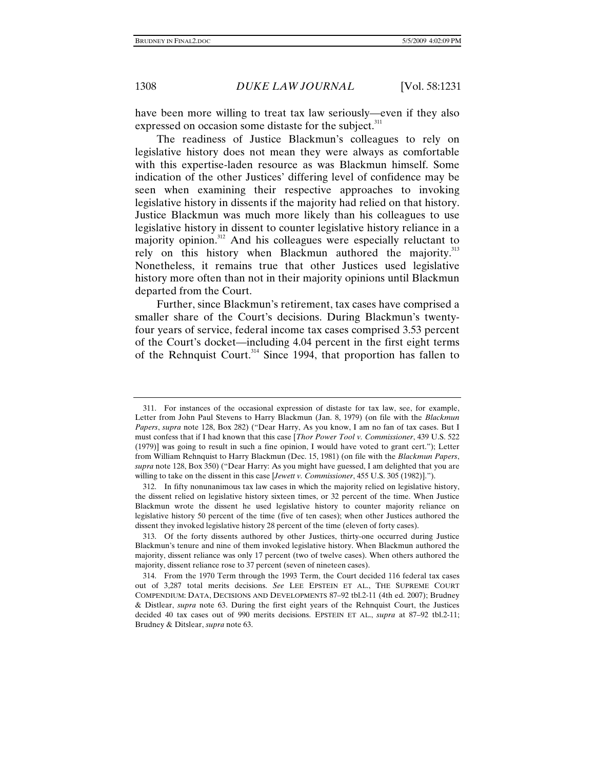have been more willing to treat tax law seriously—even if they also expressed on occasion some distaste for the subject.<sup>311</sup>

The readiness of Justice Blackmun's colleagues to rely on legislative history does not mean they were always as comfortable with this expertise-laden resource as was Blackmun himself. Some indication of the other Justices' differing level of confidence may be seen when examining their respective approaches to invoking legislative history in dissents if the majority had relied on that history. Justice Blackmun was much more likely than his colleagues to use legislative history in dissent to counter legislative history reliance in a majority opinion.<sup>312</sup> And his colleagues were especially reluctant to rely on this history when Blackmun authored the majority.<sup>313</sup> Nonetheless, it remains true that other Justices used legislative history more often than not in their majority opinions until Blackmun departed from the Court.

Further, since Blackmun's retirement, tax cases have comprised a smaller share of the Court's decisions. During Blackmun's twentyfour years of service, federal income tax cases comprised 3.53 percent of the Court's docket—including 4.04 percent in the first eight terms of the Rehnquist Court.<sup>314</sup> Since 1994, that proportion has fallen to

 <sup>311.</sup> For instances of the occasional expression of distaste for tax law, see, for example, Letter from John Paul Stevens to Harry Blackmun (Jan. 8, 1979) (on file with the *Blackmun Papers*, *supra* note 128, Box 282) ("Dear Harry, As you know, I am no fan of tax cases. But I must confess that if I had known that this case [*Thor Power Tool v. Commissioner*, 439 U.S. 522 (1979)] was going to result in such a fine opinion, I would have voted to grant cert."); Letter from William Rehnquist to Harry Blackmun (Dec. 15, 1981) (on file with the *Blackmun Papers*, *supra* note 128, Box 350) ("Dear Harry: As you might have guessed, I am delighted that you are willing to take on the dissent in this case [*Jewett v. Commissioner*, 455 U.S. 305 (1982)].").

 <sup>312.</sup> In fifty nonunanimous tax law cases in which the majority relied on legislative history, the dissent relied on legislative history sixteen times, or 32 percent of the time. When Justice Blackmun wrote the dissent he used legislative history to counter majority reliance on legislative history 50 percent of the time (five of ten cases); when other Justices authored the dissent they invoked legislative history 28 percent of the time (eleven of forty cases).

 <sup>313.</sup> Of the forty dissents authored by other Justices, thirty-one occurred during Justice Blackmun's tenure and nine of them invoked legislative history. When Blackmun authored the majority, dissent reliance was only 17 percent (two of twelve cases). When others authored the majority, dissent reliance rose to 37 percent (seven of nineteen cases).

 <sup>314.</sup> From the 1970 Term through the 1993 Term, the Court decided 116 federal tax cases out of 3,287 total merits decisions. *See* LEE EPSTEIN ET AL., THE SUPREME COURT COMPENDIUM: DATA, DECISIONS AND DEVELOPMENTS 87–92 tbl.2-11 (4th ed. 2007); Brudney & Distlear, *supra* note 63. During the first eight years of the Rehnquist Court, the Justices decided 40 tax cases out of 990 merits decisions. EPSTEIN ET AL., *supra* at 87–92 tbl.2-11; Brudney & Ditslear, *supra* note 63.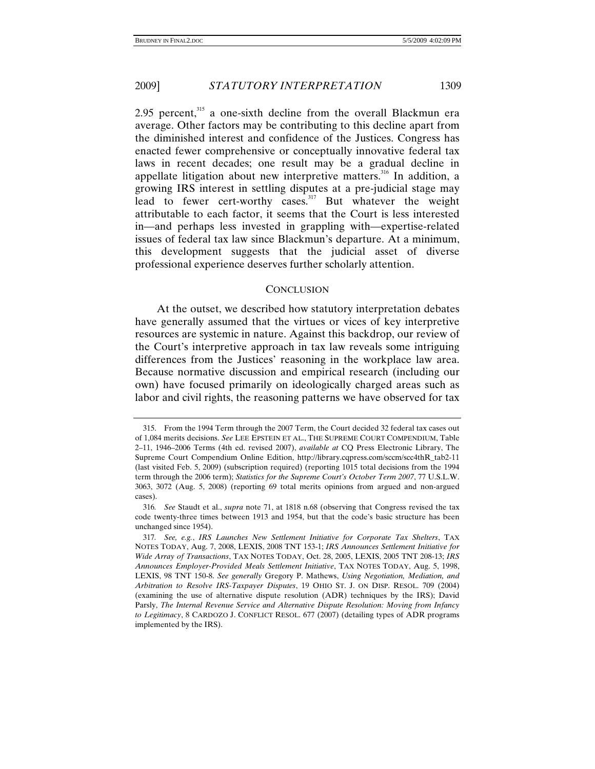2.95 percent, $315$  a one-sixth decline from the overall Blackmun era average. Other factors may be contributing to this decline apart from the diminished interest and confidence of the Justices. Congress has enacted fewer comprehensive or conceptually innovative federal tax laws in recent decades; one result may be a gradual decline in appellate litigation about new interpretive matters.<sup>316</sup> In addition, a growing IRS interest in settling disputes at a pre-judicial stage may lead to fewer cert-worthy cases.<sup>317</sup> But whatever the weight attributable to each factor, it seems that the Court is less interested in—and perhaps less invested in grappling with—expertise-related issues of federal tax law since Blackmun's departure. At a minimum, this development suggests that the judicial asset of diverse professional experience deserves further scholarly attention.

## **CONCLUSION**

At the outset, we described how statutory interpretation debates have generally assumed that the virtues or vices of key interpretive resources are systemic in nature. Against this backdrop, our review of the Court's interpretive approach in tax law reveals some intriguing differences from the Justices' reasoning in the workplace law area. Because normative discussion and empirical research (including our own) have focused primarily on ideologically charged areas such as labor and civil rights, the reasoning patterns we have observed for tax

 <sup>315.</sup> From the 1994 Term through the 2007 Term, the Court decided 32 federal tax cases out of 1,084 merits decisions. *See* LEE EPSTEIN ET AL., THE SUPREME COURT COMPENDIUM, Table 2–11, 1946–2006 Terms (4th ed. revised 2007), *available at* CQ Press Electronic Library, The Supreme Court Compendium Online Edition, http://library.cqpress.com/sccm/scc4thR\_tab2-11 (last visited Feb. 5, 2009) (subscription required) (reporting 1015 total decisions from the 1994 term through the 2006 term); *Statistics for the Supreme Court's October Term 2007*, 77 U.S.L.W. 3063, 3072 (Aug. 5, 2008) (reporting 69 total merits opinions from argued and non-argued cases).

<sup>316</sup>*. See* Staudt et al., *supra* note 71, at 1818 n.68 (observing that Congress revised the tax code twenty-three times between 1913 and 1954, but that the code's basic structure has been unchanged since 1954).

<sup>317</sup>*. See, e.g.*, *IRS Launches New Settlement Initiative for Corporate Tax Shelters*, TAX NOTES TODAY, Aug. 7, 2008, LEXIS, 2008 TNT 153-1; *IRS Announces Settlement Initiative for Wide Array of Transactions*, TAX NOTES TODAY, Oct. 28, 2005, LEXIS, 2005 TNT 208-13; *IRS Announces Employer-Provided Meals Settlement Initiative*, TAX NOTES TODAY, Aug. 5, 1998, LEXIS, 98 TNT 150-8. *See generally* Gregory P. Mathews, *Using Negotiation, Mediation, and Arbitration to Resolve IRS-Taxpayer Disputes*, 19 OHIO ST. J. ON DISP. RESOL. 709 (2004) (examining the use of alternative dispute resolution (ADR) techniques by the IRS); David Parsly, *The Internal Revenue Service and Alternative Dispute Resolution: Moving from Infancy to Legitimacy*, 8 CARDOZO J. CONFLICT RESOL. 677 (2007) (detailing types of ADR programs implemented by the IRS).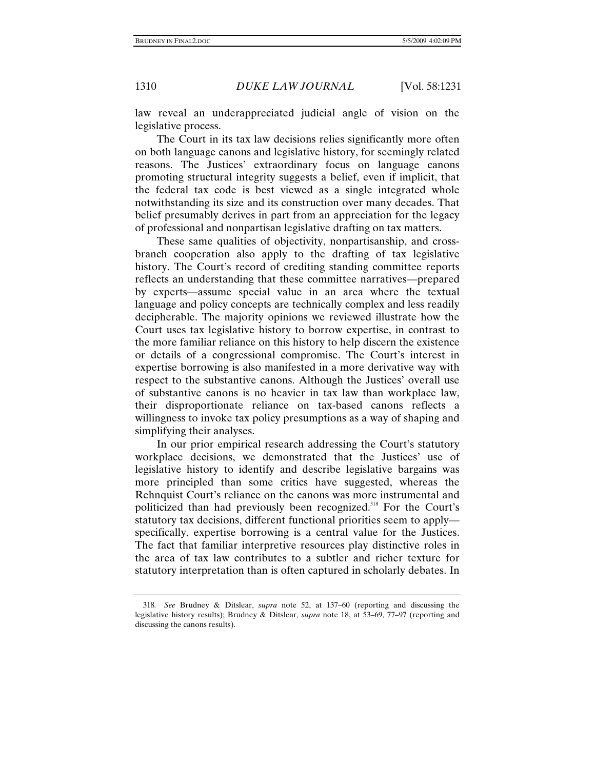law reveal an underappreciated judicial angle of vision on the legislative process.

The Court in its tax law decisions relies significantly more often on both language canons and legislative history, for seemingly related reasons. The Justices' extraordinary focus on language canons promoting structural integrity suggests a belief, even if implicit, that the federal tax code is best viewed as a single integrated whole notwithstanding its size and its construction over many decades. That belief presumably derives in part from an appreciation for the legacy of professional and nonpartisan legislative drafting on tax matters.

These same qualities of objectivity, nonpartisanship, and crossbranch cooperation also apply to the drafting of tax legislative history. The Court's record of crediting standing committee reports reflects an understanding that these committee narratives—prepared by experts—assume special value in an area where the textual language and policy concepts are technically complex and less readily decipherable. The majority opinions we reviewed illustrate how the Court uses tax legislative history to borrow expertise, in contrast to the more familiar reliance on this history to help discern the existence or details of a congressional compromise. The Court's interest in expertise borrowing is also manifested in a more derivative way with respect to the substantive canons. Although the Justices' overall use of substantive canons is no heavier in tax law than workplace law, their disproportionate reliance on tax-based canons reflects a willingness to invoke tax policy presumptions as a way of shaping and simplifying their analyses.

In our prior empirical research addressing the Court's statutory workplace decisions, we demonstrated that the Justices' use of legislative history to identify and describe legislative bargains was more principled than some critics have suggested, whereas the Rehnquist Court's reliance on the canons was more instrumental and politicized than had previously been recognized.<sup>318</sup> For the Court's statutory tax decisions, different functional priorities seem to apply specifically, expertise borrowing is a central value for the Justices. The fact that familiar interpretive resources play distinctive roles in the area of tax law contributes to a subtler and richer texture for statutory interpretation than is often captured in scholarly debates. In

<sup>318</sup>*. See* Brudney & Ditslear, *supra* note 52, at 137–60 (reporting and discussing the legislative history results); Brudney & Ditslear, *supra* note 18, at 53–69, 77–97 (reporting and discussing the canons results).